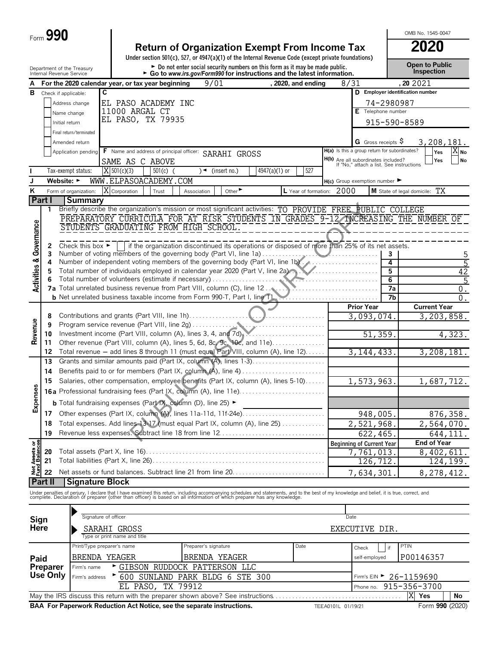| Form $990$ |  |  |
|------------|--|--|
|------------|--|--|

| <b>Return of Organization Exempt From Income Tax</b>                                               | 2020 |
|----------------------------------------------------------------------------------------------------|------|
| Under section 501(c), 527, or 4947(a)(1) of the Internal Revenue Code (except private foundations) |      |
|                                                                                                    |      |

OMB No. 1545-0047

|                                        | Department of the Treasury<br>Internal Revenue Service |                            |                                                                                                                                                                                                                                   |                      | $\triangleright$ Do not enter social security numbers on this form as it may be made public.<br>Go to www.irs.gov/Form990 for instructions and the latest information. |                      |                                                                                        |                                     | Open to Public<br><b>Inspection</b>                                                |
|----------------------------------------|--------------------------------------------------------|----------------------------|-----------------------------------------------------------------------------------------------------------------------------------------------------------------------------------------------------------------------------------|----------------------|------------------------------------------------------------------------------------------------------------------------------------------------------------------------|----------------------|----------------------------------------------------------------------------------------|-------------------------------------|------------------------------------------------------------------------------------|
| А                                      |                                                        |                            | For the 2020 calendar year, or tax year beginning                                                                                                                                                                                 | 9/01                 |                                                                                                                                                                        | , 2020, and ending   | 8/31                                                                                   |                                     | , 20 20 21                                                                         |
| в                                      | Check if applicable:                                   | C                          |                                                                                                                                                                                                                                   |                      |                                                                                                                                                                        |                      |                                                                                        |                                     | D Employer identification number                                                   |
|                                        |                                                        | Address change             | EL PASO ACADEMY INC                                                                                                                                                                                                               |                      |                                                                                                                                                                        |                      |                                                                                        | 74-2980987                          |                                                                                    |
|                                        |                                                        | Name change                | 11000 ARGAL CT                                                                                                                                                                                                                    |                      |                                                                                                                                                                        |                      |                                                                                        | Telephone number                    |                                                                                    |
|                                        | Initial return                                         |                            | EL PASO, TX 79935                                                                                                                                                                                                                 |                      |                                                                                                                                                                        |                      |                                                                                        |                                     | 915-590-8589                                                                       |
|                                        |                                                        | Final return/terminated    |                                                                                                                                                                                                                                   |                      |                                                                                                                                                                        |                      |                                                                                        |                                     |                                                                                    |
|                                        |                                                        |                            |                                                                                                                                                                                                                                   |                      |                                                                                                                                                                        |                      |                                                                                        |                                     |                                                                                    |
|                                        |                                                        | Amended return             |                                                                                                                                                                                                                                   |                      |                                                                                                                                                                        |                      | H(a) Is this a group return for subordinates?                                          | <b>G</b> Gross receipts $\varsigma$ | 3, 208, 181.                                                                       |
|                                        |                                                        | Application pending        | F Name and address of principal officer: SARAHI GROSS                                                                                                                                                                             |                      |                                                                                                                                                                        |                      |                                                                                        |                                     | Yes<br>X No<br><b>No</b><br>Yes                                                    |
|                                        |                                                        |                            | SAME AS C ABOVE                                                                                                                                                                                                                   |                      |                                                                                                                                                                        |                      | <b>H(b)</b> Are all subordinates included?<br>If "No," attach a list. See instructions |                                     |                                                                                    |
|                                        |                                                        | Tax-exempt status:         | $X$ 501(c)(3)<br>$501(c)$ (                                                                                                                                                                                                       | $\rightarrow$        | (insert no.)<br>$4947(a)(1)$ or                                                                                                                                        | 527                  |                                                                                        |                                     |                                                                                    |
|                                        | Website: $\blacktriangleright$                         |                            | WWW.ELPASOACADEMY.COM                                                                                                                                                                                                             |                      |                                                                                                                                                                        |                      | $H(c)$ Group exemption number                                                          |                                     |                                                                                    |
| ĸ                                      |                                                        | Form of organization:      | X Corporation<br>Trust                                                                                                                                                                                                            | Association          | Other <sup>&gt;</sup>                                                                                                                                                  | L Year of formation: | 2000                                                                                   |                                     | M State of legal domicile: TX                                                      |
|                                        | Part I                                                 | <b>Summary</b>             |                                                                                                                                                                                                                                   |                      |                                                                                                                                                                        |                      |                                                                                        |                                     |                                                                                    |
|                                        | 1                                                      |                            | Briefly describe the organization's mission or most significant activities: TO PROVIDE FREE PUBLIC COLLEGE                                                                                                                        |                      |                                                                                                                                                                        |                      |                                                                                        |                                     |                                                                                    |
|                                        |                                                        |                            |                                                                                                                                                                                                                                   |                      |                                                                                                                                                                        |                      |                                                                                        |                                     | PREPARATORY CURRICULA FOR AT RISK STUDENTS IN GRADES 9-12 INCREASING THE NUMBER OF |
|                                        |                                                        |                            | STUDENTS GRADUATING FROM HIGH SCHOOL.                                                                                                                                                                                             |                      |                                                                                                                                                                        |                      |                                                                                        |                                     |                                                                                    |
| <b>Activities &amp; Governance</b>     |                                                        |                            |                                                                                                                                                                                                                                   |                      |                                                                                                                                                                        |                      |                                                                                        |                                     |                                                                                    |
|                                        | 2                                                      |                            | Check this box $\blacktriangleright$ if the organization discontinued its operations or disposed of more than 25% of its net assets.                                                                                              |                      |                                                                                                                                                                        |                      |                                                                                        |                                     |                                                                                    |
|                                        | 3<br>4                                                 |                            | Number of voting members of the governing body (Part VI, line 1a)<br>Number of independent voting members of the governing body (Part VI, line 1b)                                                                                |                      |                                                                                                                                                                        |                      |                                                                                        | 3<br>4                              |                                                                                    |
|                                        | 5                                                      |                            | Total number of individuals employed in calendar year 2020 (Part V, line 2a).                                                                                                                                                     |                      |                                                                                                                                                                        |                      |                                                                                        | 5                                   | $\overline{5}$<br>42                                                               |
|                                        |                                                        |                            | Total number of volunteers (estimate if necessary)                                                                                                                                                                                |                      |                                                                                                                                                                        |                      |                                                                                        | 6                                   | $\overline{5}$                                                                     |
|                                        |                                                        |                            | 7a Total unrelated business revenue from Part VIII, column (C), line 12.                                                                                                                                                          |                      |                                                                                                                                                                        |                      |                                                                                        |                                     | 7a<br>$0$ .                                                                        |
|                                        |                                                        |                            | <b>b</b> Net unrelated business taxable income from Form 990-T, Part I, line 11.                                                                                                                                                  |                      |                                                                                                                                                                        |                      |                                                                                        |                                     | $\overline{0}$ .<br>7 <sub>b</sub>                                                 |
|                                        |                                                        |                            |                                                                                                                                                                                                                                   |                      |                                                                                                                                                                        |                      |                                                                                        | <b>Prior Year</b>                   | <b>Current Year</b>                                                                |
|                                        | 8                                                      |                            |                                                                                                                                                                                                                                   |                      |                                                                                                                                                                        |                      |                                                                                        | 3,093,074.                          | 3,203,858.                                                                         |
|                                        | 9                                                      |                            |                                                                                                                                                                                                                                   |                      |                                                                                                                                                                        |                      |                                                                                        |                                     |                                                                                    |
| Revenue                                | 10                                                     |                            | Investment income (Part VIII, column (A), lines 3, 4, and 7d).                                                                                                                                                                    |                      |                                                                                                                                                                        |                      |                                                                                        | 51,359.                             | 4,323.                                                                             |
|                                        | 11                                                     |                            | Other revenue (Part VIII, column (A), lines 5, 6d, 8c, 9c, 10c, and 11e)                                                                                                                                                          |                      |                                                                                                                                                                        |                      |                                                                                        |                                     |                                                                                    |
|                                        | 12                                                     |                            | Total revenue - add lines 8 through 11 (must equal Part VIII, column (A), line 12)                                                                                                                                                |                      |                                                                                                                                                                        |                      |                                                                                        | 3, 144, 433.                        | 3, 208, 181.                                                                       |
|                                        | 13                                                     |                            |                                                                                                                                                                                                                                   |                      |                                                                                                                                                                        |                      |                                                                                        |                                     |                                                                                    |
|                                        | 14                                                     |                            | Benefits paid to or for members (Part IX, column (A), line 4)                                                                                                                                                                     |                      |                                                                                                                                                                        |                      |                                                                                        |                                     |                                                                                    |
|                                        | 15                                                     |                            | Salaries, other compensation, employee benefits (Part IX, column (A), lines 5-10)                                                                                                                                                 |                      |                                                                                                                                                                        |                      |                                                                                        | 1,573,963.                          | 1,687,712.                                                                         |
|                                        |                                                        |                            |                                                                                                                                                                                                                                   |                      |                                                                                                                                                                        |                      |                                                                                        |                                     |                                                                                    |
| Expenses                               |                                                        |                            |                                                                                                                                                                                                                                   |                      |                                                                                                                                                                        |                      |                                                                                        |                                     |                                                                                    |
|                                        |                                                        |                            | <b>b</b> Total fundraising expenses (Part IX, column (D), line 25) ►                                                                                                                                                              |                      |                                                                                                                                                                        |                      |                                                                                        |                                     |                                                                                    |
|                                        |                                                        |                            |                                                                                                                                                                                                                                   |                      |                                                                                                                                                                        |                      |                                                                                        | 948,005.                            | 876,358.                                                                           |
|                                        | 18                                                     |                            | Total expenses. Add lines 13-17 (must equal Part IX, column (A), line 25)                                                                                                                                                         |                      |                                                                                                                                                                        |                      |                                                                                        | 2,521,968.                          | 2,564,070.                                                                         |
|                                        | 19                                                     |                            |                                                                                                                                                                                                                                   |                      |                                                                                                                                                                        |                      |                                                                                        | 622, 465.                           | 644, 111.                                                                          |
|                                        |                                                        |                            |                                                                                                                                                                                                                                   |                      |                                                                                                                                                                        |                      | <b>Beginning of Current Year</b>                                                       |                                     | <b>End of Year</b>                                                                 |
|                                        | 20                                                     |                            |                                                                                                                                                                                                                                   |                      |                                                                                                                                                                        |                      |                                                                                        | 7,761,013.                          | 8,402,611.                                                                         |
| <b>Net Assets or<br/>Fund Balances</b> | 21                                                     |                            |                                                                                                                                                                                                                                   |                      |                                                                                                                                                                        |                      |                                                                                        | 126, 712.                           | 124, 199.                                                                          |
|                                        | 22                                                     |                            |                                                                                                                                                                                                                                   |                      |                                                                                                                                                                        |                      |                                                                                        | 7,634,301                           | 8,278,412.                                                                         |
|                                        | Part II                                                | <b>Signature Block</b>     |                                                                                                                                                                                                                                   |                      |                                                                                                                                                                        |                      |                                                                                        |                                     |                                                                                    |
|                                        |                                                        |                            | Under penalties of perjury, I declare that I have examined this return, including accompanying schedules and statements, and to the best of my knowledge and belief, it is true, correct, and<br>complete. Declaration of prepare |                      |                                                                                                                                                                        |                      |                                                                                        |                                     |                                                                                    |
|                                        |                                                        |                            |                                                                                                                                                                                                                                   |                      |                                                                                                                                                                        |                      |                                                                                        |                                     |                                                                                    |
|                                        |                                                        |                            |                                                                                                                                                                                                                                   |                      |                                                                                                                                                                        |                      |                                                                                        |                                     |                                                                                    |
| Sign                                   |                                                        | Signature of officer       |                                                                                                                                                                                                                                   |                      |                                                                                                                                                                        |                      | Date                                                                                   |                                     |                                                                                    |
| Here                                   |                                                        |                            | SARAHI GROSS                                                                                                                                                                                                                      |                      |                                                                                                                                                                        |                      | EXECUTIVE DIR.                                                                         |                                     |                                                                                    |
|                                        |                                                        |                            | Type or print name and title                                                                                                                                                                                                      |                      |                                                                                                                                                                        |                      |                                                                                        |                                     |                                                                                    |
|                                        |                                                        | Print/Type preparer's name |                                                                                                                                                                                                                                   | Preparer's signature |                                                                                                                                                                        | Date                 | Check                                                                                  | if                                  | PTIN                                                                               |
| Paid                                   |                                                        | BRENDA YEAGER              |                                                                                                                                                                                                                                   | BRENDA YEAGER        |                                                                                                                                                                        |                      |                                                                                        | self-employed                       | P00146357                                                                          |
|                                        | Preparer                                               | Firm's name                | GIBSON RUDDOCK PATTERSON LLC                                                                                                                                                                                                      |                      |                                                                                                                                                                        |                      |                                                                                        |                                     |                                                                                    |
|                                        | Use Only                                               | Firm's address             | ▶ 600 SUNLAND PARK BLDG 6 STE 300                                                                                                                                                                                                 |                      |                                                                                                                                                                        |                      |                                                                                        |                                     | Firm's EIN > 26-1159690                                                            |
|                                        |                                                        |                            | EL PASO, TX 79912                                                                                                                                                                                                                 |                      |                                                                                                                                                                        |                      |                                                                                        | Phone no.                           | 915-356-3700                                                                       |

May the IRS discuss this return with the preparer shown above? See instructions. . . . . . . . . . . . . . . . . . . . . . . . . . . . . . . . . . . . . . . **Yes No BAA For Paperwork Reduction Act Notice, see the separate instructions.** TEEA0101L 01/19/21 Form 990 (2020) X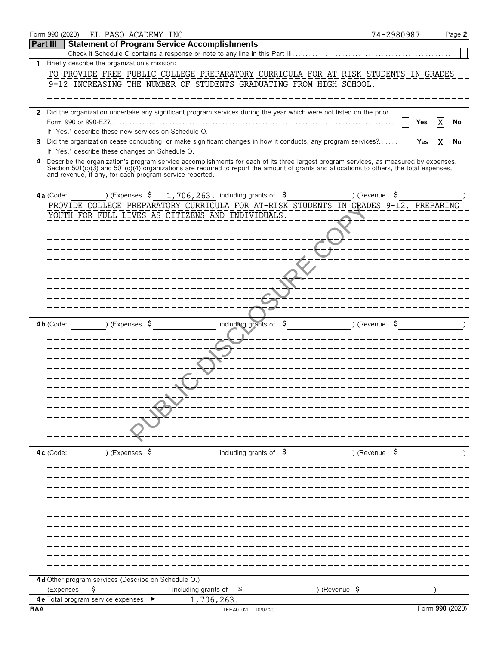| 4          |             |                                                           |                           |                                                         |            | Describe the organization's program service accomplishments for each of its three largest program services, as measured by expenses.<br>Section 501(c)(3) and 501(c)(4) organizations are required to report the amount of grants and allocations to others, the total expenses, |  |               |               |    |                 |  |
|------------|-------------|-----------------------------------------------------------|---------------------------|---------------------------------------------------------|------------|----------------------------------------------------------------------------------------------------------------------------------------------------------------------------------------------------------------------------------------------------------------------------------|--|---------------|---------------|----|-----------------|--|
|            |             |                                                           |                           | and revenue, if any, for each program service reported. |            |                                                                                                                                                                                                                                                                                  |  |               |               |    |                 |  |
|            |             |                                                           |                           |                                                         |            |                                                                                                                                                                                                                                                                                  |  |               |               |    |                 |  |
|            | 4a (Code:   |                                                           | ) (Expenses $\sqrt{5}$    |                                                         |            | 1,706,263. including grants of $$$<br>PROVIDE COLLEGE PREPARATORY CURRICULA FOR AT-RISK STUDENTS IN GRADES 9-12, PREPARING                                                                                                                                                       |  |               | ) (Revenue    | \$ |                 |  |
|            |             |                                                           |                           |                                                         |            | YOUTH FOR FULL LIVES AS CITIZENS AND INDIVIDUALS.                                                                                                                                                                                                                                |  |               |               |    |                 |  |
|            |             |                                                           |                           |                                                         |            |                                                                                                                                                                                                                                                                                  |  |               |               |    |                 |  |
|            |             |                                                           |                           |                                                         |            |                                                                                                                                                                                                                                                                                  |  |               |               |    |                 |  |
|            |             |                                                           |                           |                                                         |            |                                                                                                                                                                                                                                                                                  |  |               |               |    |                 |  |
|            |             |                                                           |                           |                                                         |            |                                                                                                                                                                                                                                                                                  |  |               |               |    |                 |  |
|            |             |                                                           |                           |                                                         |            |                                                                                                                                                                                                                                                                                  |  |               |               |    |                 |  |
|            |             |                                                           |                           |                                                         |            |                                                                                                                                                                                                                                                                                  |  |               |               |    |                 |  |
|            |             |                                                           |                           |                                                         |            |                                                                                                                                                                                                                                                                                  |  |               |               |    |                 |  |
|            |             |                                                           |                           |                                                         |            |                                                                                                                                                                                                                                                                                  |  |               |               |    |                 |  |
|            | $4b$ (Code: |                                                           | ) (Expenses $\sqrt{5}$    |                                                         |            | including grants of $$$                                                                                                                                                                                                                                                          |  |               | ) (Revenue    | Ş  |                 |  |
|            |             |                                                           |                           |                                                         |            |                                                                                                                                                                                                                                                                                  |  |               |               |    |                 |  |
|            |             |                                                           |                           |                                                         |            |                                                                                                                                                                                                                                                                                  |  |               |               |    |                 |  |
|            |             |                                                           |                           |                                                         |            |                                                                                                                                                                                                                                                                                  |  |               |               |    |                 |  |
|            |             |                                                           |                           |                                                         |            |                                                                                                                                                                                                                                                                                  |  |               |               |    |                 |  |
|            |             |                                                           |                           |                                                         |            |                                                                                                                                                                                                                                                                                  |  |               |               |    |                 |  |
|            |             |                                                           |                           |                                                         |            |                                                                                                                                                                                                                                                                                  |  |               |               |    |                 |  |
|            |             |                                                           |                           |                                                         |            |                                                                                                                                                                                                                                                                                  |  |               |               |    |                 |  |
|            |             |                                                           |                           |                                                         |            |                                                                                                                                                                                                                                                                                  |  |               |               |    |                 |  |
|            |             |                                                           |                           |                                                         |            |                                                                                                                                                                                                                                                                                  |  |               |               |    |                 |  |
|            | 4c (Code:   |                                                           | ) (Expenses $\frac{1}{2}$ |                                                         |            | including grants of $\frac{1}{5}$                                                                                                                                                                                                                                                |  |               | ) (Revenue \$ |    |                 |  |
|            |             |                                                           |                           |                                                         |            |                                                                                                                                                                                                                                                                                  |  |               |               |    |                 |  |
|            |             |                                                           |                           |                                                         |            |                                                                                                                                                                                                                                                                                  |  |               |               |    |                 |  |
|            |             |                                                           |                           |                                                         |            |                                                                                                                                                                                                                                                                                  |  |               |               |    |                 |  |
|            |             |                                                           |                           |                                                         |            |                                                                                                                                                                                                                                                                                  |  |               |               |    |                 |  |
|            |             |                                                           |                           |                                                         |            |                                                                                                                                                                                                                                                                                  |  |               |               |    |                 |  |
|            |             |                                                           |                           |                                                         |            |                                                                                                                                                                                                                                                                                  |  |               |               |    |                 |  |
|            |             |                                                           |                           |                                                         |            |                                                                                                                                                                                                                                                                                  |  |               |               |    |                 |  |
|            |             |                                                           |                           |                                                         |            |                                                                                                                                                                                                                                                                                  |  |               |               |    |                 |  |
|            |             |                                                           |                           |                                                         |            |                                                                                                                                                                                                                                                                                  |  |               |               |    |                 |  |
|            |             |                                                           |                           |                                                         |            |                                                                                                                                                                                                                                                                                  |  |               |               |    |                 |  |
|            | (Expenses   | 4d Other program services (Describe on Schedule O.)<br>\$ |                           | including grants of                                     |            | Ş.                                                                                                                                                                                                                                                                               |  | ) (Revenue \$ |               |    |                 |  |
|            |             | 4 e Total program service expenses $\blacktriangleright$  |                           |                                                         | 1,706,263. |                                                                                                                                                                                                                                                                                  |  |               |               |    |                 |  |
| <b>BAA</b> |             |                                                           |                           |                                                         |            | TEEA0102L 10/07/20                                                                                                                                                                                                                                                               |  |               |               |    | Form 990 (2020) |  |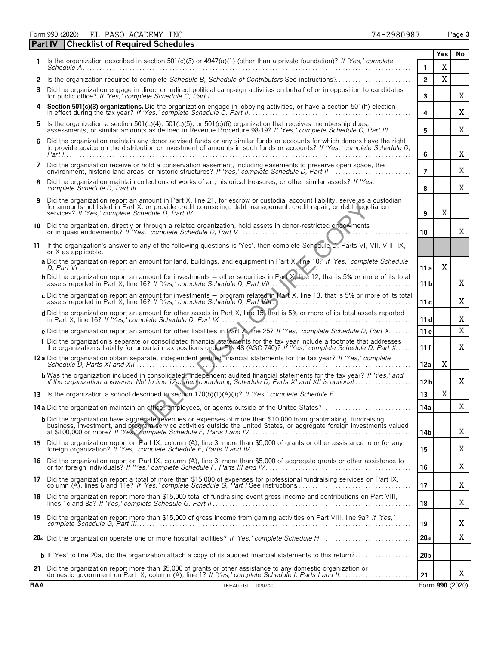Form 990 (2020) Page **3** EL PASO ACADEMY INC  $\begin{array}{ccc} 74-2980987 \end{array}$ 

|            | <b>Checklist of Required Schedules</b><br>Part IV                                                                                                                                                                                                                                                                        |                 |     |                 |
|------------|--------------------------------------------------------------------------------------------------------------------------------------------------------------------------------------------------------------------------------------------------------------------------------------------------------------------------|-----------------|-----|-----------------|
|            | Is the organization described in section 501(c)(3) or $4947(a)(1)$ (other than a private foundation)? If 'Yes,' complete                                                                                                                                                                                                 |                 | Yes | No              |
|            | <i>Schedule A</i>                                                                                                                                                                                                                                                                                                        | 1               | X   |                 |
| 2          | Is the organization required to complete Schedule B, Schedule of Contributors See instructions?                                                                                                                                                                                                                          | $\overline{2}$  | X   |                 |
| 3          | Did the organization engage in direct or indirect political campaign activities on behalf of or in opposition to candidates                                                                                                                                                                                              | 3               |     | Χ               |
|            | Section 501(c)(3) organizations. Did the organization engage in lobbying activities, or have a section 501(h) election                                                                                                                                                                                                   | 4               |     | Χ               |
| 5.         | Is the organization a section 501(c)(4), 501(c)(5), or 501(c)(6) organization that receives membership dues,<br>assessments, or similar amounts as defined in Revenue Procedure 98-19? If 'Yes,' complete Schedule C, Part III                                                                                           | 5               |     | Χ               |
| 6          | Did the organization maintain any donor advised funds or any similar funds or accounts for which donors have the right<br>to provide advice on the distribution or investment of amounts in such funds or accounts? If 'Yes,' complete Schedule D,                                                                       | 6               |     | Χ               |
| 7          | Did the organization receive or hold a conservation easement, including easements to preserve open space, the                                                                                                                                                                                                            | $\overline{7}$  |     | Χ               |
| 8          | Did the organization maintain collections of works of art, historical treasures, or other similar assets? If 'Yes,'                                                                                                                                                                                                      | 8               |     | Χ               |
| 9          | Did the organization report an amount in Part X, line 21, for escrow or custodial account liability, serve as a custodian<br>for amounts not listed in Part X; or provide credit counseling, debt management, credit repair, or debt negotiation                                                                         | 9               | X   |                 |
| 10         | Did the organization, directly or through a related organization, hold assets in donor-restricted endowments                                                                                                                                                                                                             |                 |     |                 |
|            |                                                                                                                                                                                                                                                                                                                          | 10              |     | Χ               |
| 11         | If the organization's answer to any of the following questions is 'Yes', then complete Schedule D, Parts VI, VII, VIII, IX,<br>or X as applicable.                                                                                                                                                                       |                 |     |                 |
|            | a Did the organization report an amount for land, buildings, and equipment in Part X, line 10? If 'Yes,' complete Schedule                                                                                                                                                                                               | 11 a            | X   |                 |
|            | <b>b</b> Did the organization report an amount for investments - other securities in Part X, line 12, that is 5% or more of its total<br>assets reported in Part X, line 16? If 'Yes,' complete Schedule D, Part VII                                                                                                     | 11 <sub>b</sub> |     | Χ               |
|            | c Did the organization report an amount for investments - program related in Part X, line 13, that is 5% or more of its total<br>assets reported in Part X, line 16? If 'Yes,' complete Schedule D, Part VII                                                                                                             | 11c             |     | Χ               |
|            | d Did the organization report an amount for other assets in Part X, line 15, that is 5% or more of its total assets reported<br>in Part X, line 16? If 'Yes,' complete Schedule D, Part IX.                                                                                                                              | 11d             |     | Χ               |
|            | e Did the organization report an amount for other liabilities in Part X, line 25? If 'Yes,' complete Schedule D, Part X                                                                                                                                                                                                  | 11 e            |     | X               |
|            | f Did the organization's separate or consolidated financial statements for the tax year include a footnote that addresses<br>the organization's liability for uncertain tax positions under FIN 48 (ASC 740)? If 'Yes,' complete Schedule D, Part X                                                                      | 11f             |     | X               |
|            | 12a Did the organization obtain separate, independent audited financial statements for the tax year? If 'Yes,' complete                                                                                                                                                                                                  | 12a             | X   |                 |
|            | <b>b</b> Was the organization included in consolidated, independent audited financial statements for the tax year? If 'Yes,' and if the organization answered 'No' to line 12a, then completing Schedule D, Parts XI and XII is opt                                                                                      | 12 <sub>b</sub> |     | Χ               |
|            |                                                                                                                                                                                                                                                                                                                          | 13              | X   |                 |
|            | 14a Did the organization maintain an office, employees, or agents outside of the United States?                                                                                                                                                                                                                          | 14a             |     | X               |
|            | <b>b</b> Did the organization have aggregate revenues or expenses of more than \$10,000 from grantmaking, fundraising,<br>business, investment, and program service activities outside the United States, or aggregate foreign investments valued<br>at \$100,000 or more? If 'Yes' complete Schedule F, Parts I and IV. | 14b             |     | Χ               |
|            | 15 Did the organization report on Part IX, column (A), line 3, more than \$5,000 of grants or other assistance to or for any                                                                                                                                                                                             | 15              |     | Χ               |
|            | 16 Did the organization report on Part IX, column (A), line 3, more than \$5,000 of aggregate grants or other assistance to or for foreign individuals? If 'Yes,' complete Schedule F, Parts III and IV.                                                                                                                 | 16              |     | Χ               |
|            | 17 Did the organization report a total of more than \$15,000 of expenses for professional fundraising services on Part IX, column (A), lines 6 and 11e? If 'Yes,' complete Schedule G, Part I See instructions                                                                                                           | 17              |     | Χ               |
|            | 18 Did the organization report more than \$15,000 total of fundraising event gross income and contributions on Part VIII,                                                                                                                                                                                                | 18              |     | Χ               |
|            | 19 Did the organization report more than \$15,000 of gross income from gaming activities on Part VIII, line 9a? If 'Yes,'                                                                                                                                                                                                | 19              |     | X               |
|            |                                                                                                                                                                                                                                                                                                                          | <b>20a</b>      |     | Χ               |
|            | <b>b</b> If 'Yes' to line 20a, did the organization attach a copy of its audited financial statements to this return?                                                                                                                                                                                                    | 20 <sub>b</sub> |     |                 |
|            | 21 Did the organization report more than \$5,000 of grants or other assistance to any domestic organization or                                                                                                                                                                                                           | 21              |     | Χ               |
| <b>BAA</b> | TEEA0103L 10/07/20                                                                                                                                                                                                                                                                                                       |                 |     | Form 990 (2020) |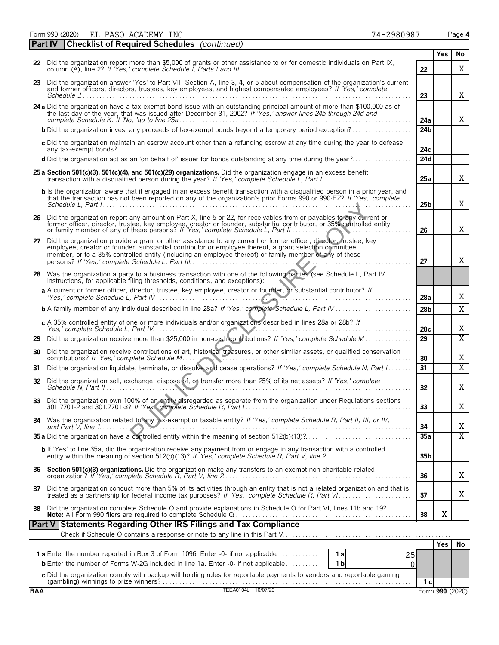Form 990 (2020) Page **4** EL PASO ACADEMY INC  $\begin{array}{ccc} 74-2980987 \end{array}$ 

|    | <b>Part IV</b> | <b>Checklist of Required Schedules</b> (continued)                                                                                                                                                                                                                                                                                                                                        |                 |            |                       |
|----|----------------|-------------------------------------------------------------------------------------------------------------------------------------------------------------------------------------------------------------------------------------------------------------------------------------------------------------------------------------------------------------------------------------------|-----------------|------------|-----------------------|
|    |                |                                                                                                                                                                                                                                                                                                                                                                                           |                 | Yes        | No                    |
|    |                | 22 Did the organization report more than \$5,000 of grants or other assistance to or for domestic individuals on Part IX,                                                                                                                                                                                                                                                                 | 22              |            | X                     |
|    |                | 23 Did the organization answer 'Yes' to Part VII, Section A, line 3, 4, or 5 about compensation of the organization's current<br>and former officers, directors, trustees, key employees, and highest compensated employees? If 'Yes,' complete                                                                                                                                           | 23              |            | Χ                     |
|    |                | 24 a Did the organization have a tax-exempt bond issue with an outstanding principal amount of more than \$100,000 as of<br>the last day of the year, that was issued after December 31, 2002? If "Yes,' answer lines 24b through 24d and                                                                                                                                                 | 24a             |            | Χ                     |
|    |                | <b>b</b> Did the organization invest any proceeds of tax-exempt bonds beyond a temporary period exception?                                                                                                                                                                                                                                                                                | 24 <sub>b</sub> |            |                       |
|    |                | c Did the organization maintain an escrow account other than a refunding escrow at any time during the year to defease                                                                                                                                                                                                                                                                    | 24с             |            |                       |
|    |                | d Did the organization act as an 'on behalf of' issuer for bonds outstanding at any time during the year?                                                                                                                                                                                                                                                                                 | 24d             |            |                       |
|    |                | 25 a Section 501(c)(3), 501(c)(4), and 501(c)(29) organizations. Did the organization engage in an excess benefit                                                                                                                                                                                                                                                                         | 25a             |            | X                     |
|    |                | b Is the organization aware that it engaged in an excess benefit transaction with a disqualified person in a prior year, and<br>that the transaction has not been reported on any of the organization's prior Forms 990 or 990-EZ? If 'Yes,' complete                                                                                                                                     | 25 <sub>b</sub> |            | X                     |
|    |                | 26 Did the organization report any amount on Part X, line 5 or 22, for receivables from or payables to any current or<br>former officer, director, trustee, key employee, creator or founder, substantial contributor, or 35% controlled entity<br>or family member of any of these persons? If 'Yes,' complete Schedule L, Part II<br><b>N. N.</b>                                       | 26              |            | Χ                     |
| 27 |                | Did the organization provide a grant or other assistance to any current or former officer, director, trustee, key<br>employee, creator or founder, substantial contributor or employee thereof, a grant selection committee<br>member, or to a 35% controlled entity (including an employee thereof) or family member of any of these<br>persons? If 'Yes,' complete Schedule L. Part III | 27              |            | X                     |
|    |                | 28 Was the organization a party to a business transaction with one of the following parties (see Schedule L, Part IV<br>instructions, for applicable filing thresholds, conditions, and exceptions):                                                                                                                                                                                      |                 |            |                       |
|    |                | a A current or former officer, director, trustee, key employee, creator or founder, or substantial contributor? If                                                                                                                                                                                                                                                                        | 28a             |            | Χ                     |
|    |                | <b>b</b> A family member of any individual described in line 28a? If 'Yes,' complete Schedule L, Part IV                                                                                                                                                                                                                                                                                  | 28 <sub>b</sub> |            | X                     |
|    |                | c A 35% controlled entity of one or more individuals and/or organizations described in lines 28a or 28b? If                                                                                                                                                                                                                                                                               | 28c             |            | Χ                     |
| 29 |                | Did the organization receive more than \$25,000 in non-cash contributions? If 'Yes,' complete Schedule M                                                                                                                                                                                                                                                                                  | 29              |            | $\overline{X}$        |
| 30 |                | Did the organization receive contributions of art, historical treasures, or other similar assets, or qualified conservation<br>contributions? If 'Yes,' complete Schedule M                                                                                                                                                                                                               | 30              |            | X                     |
| 31 |                | Did the organization liquidate, terminate, or dissolve and cease operations? If 'Yes,' complete Schedule N, Part I                                                                                                                                                                                                                                                                        | 31              |            | $\overline{X}$        |
| 32 |                | Did the organization sell, exchange, dispose of, of transfer more than 25% of its net assets? If 'Yes,' complete<br>Schedule N. Part II                                                                                                                                                                                                                                                   | 32 <sub>2</sub> |            | X                     |
|    |                | 33 Did the organization own 100% of an entity disregarded as separate from the organization under Regulations sections                                                                                                                                                                                                                                                                    | 33              |            | Χ                     |
| 34 |                | Was the organization related to any tax-exempt or taxable entity? If 'Yes,' complete Schedule R, Part II, III, or IV,                                                                                                                                                                                                                                                                     | 34              |            | Χ                     |
|    |                |                                                                                                                                                                                                                                                                                                                                                                                           | 35a             |            | $\overline{\text{X}}$ |
|    |                | <b>b</b> If 'Yes' to line 35a, did the organization receive any payment from or engage in any transaction with a controlled entity within the meaning of section 512(b)(13)? If 'Yes,' complete Schedule R, Part V, line 2                                                                                                                                                                | 35 <sub>b</sub> |            |                       |
|    |                | 36 Section 501(c)(3) organizations. Did the organization make any transfers to an exempt non-charitable related                                                                                                                                                                                                                                                                           | 36              |            | Χ                     |
| 37 |                | Did the organization conduct more than 5% of its activities through an entity that is not a related organization and that is treated as a partnership for federal income tax purposes? If 'Yes,' complete Schedule R, Part VI.                                                                                                                                                            | 37              |            | Χ                     |
| 38 |                | Did the organization complete Schedule O and provide explanations in Schedule O for Part VI, lines 11b and 19?                                                                                                                                                                                                                                                                            | 38              | Χ          |                       |
|    |                | Part V Statements Regarding Other IRS Filings and Tax Compliance                                                                                                                                                                                                                                                                                                                          |                 |            |                       |
|    |                |                                                                                                                                                                                                                                                                                                                                                                                           |                 |            |                       |
|    |                | 25                                                                                                                                                                                                                                                                                                                                                                                        |                 | <b>Yes</b> | No                    |
|    |                | <b>b</b> Enter the number of Forms W-2G included in line 1a. Enter -0- if not applicable<br>1 <sub>b</sub><br>0                                                                                                                                                                                                                                                                           |                 |            |                       |
|    |                | c Did the organization comply with backup withholding rules for reportable payments to vendors and reportable gaming                                                                                                                                                                                                                                                                      |                 |            |                       |
|    |                |                                                                                                                                                                                                                                                                                                                                                                                           | 1 с             |            |                       |

| 1987 |  |
|------|--|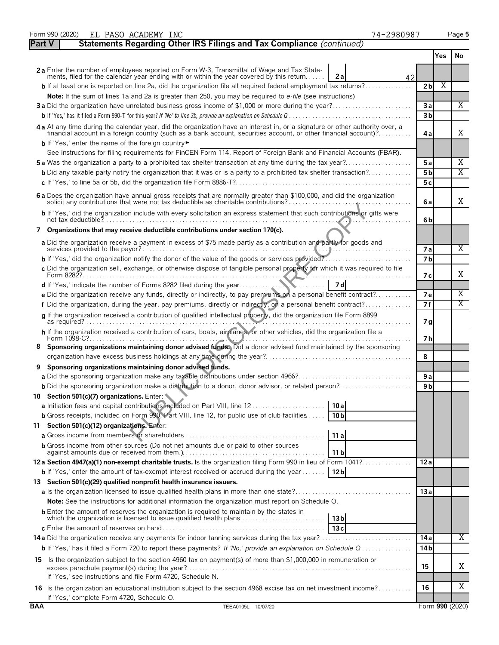|               | Form 990 (2020)<br>EL PASO ACADEMY INC<br>74-2980987                                                                                                                                                                           |                |     | Page 5          |
|---------------|--------------------------------------------------------------------------------------------------------------------------------------------------------------------------------------------------------------------------------|----------------|-----|-----------------|
| <b>Part V</b> | Statements Regarding Other IRS Filings and Tax Compliance (continued)                                                                                                                                                          |                |     |                 |
|               |                                                                                                                                                                                                                                |                | Yes | No              |
|               | 2a Enter the number of employees reported on Form W-3, Transmittal of Wage and Tax State-<br>ments, filed for the calendar year ending with or within the year covered by this return<br>2 a<br>42                             |                |     |                 |
|               | <b>b</b> If at least one is reported on line 2a, did the organization file all required federal employment tax returns?                                                                                                        | 2 <sub>b</sub> | X   |                 |
|               | Note: If the sum of lines 1a and 2a is greater than 250, you may be required to e-file (see instructions)                                                                                                                      |                |     |                 |
|               | 3a Did the organization have unrelated business gross income of \$1,000 or more during the year?                                                                                                                               | 3a             |     | X               |
|               |                                                                                                                                                                                                                                | 3 <sub>b</sub> |     |                 |
|               | 4a At any time during the calendar year, did the organization have an interest in, or a signature or other authority over, a financial account in a foreign country (such as a bank account, securities account, or other fina | 4a             |     | X               |
|               | <b>b</b> If 'Yes,' enter the name of the foreign country                                                                                                                                                                       |                |     |                 |
|               | See instructions for filing requirements for FinCEN Form 114, Report of Foreign Bank and Financial Accounts (FBAR).                                                                                                            |                |     |                 |
|               | <b>5a</b> Was the organization a party to a prohibited tax shelter transaction at any time during the tax year?                                                                                                                | 5a             |     | Χ               |
|               | <b>b</b> Did any taxable party notify the organization that it was or is a party to a prohibited tax shelter transaction?                                                                                                      | 5 <sub>b</sub> |     | $\overline{X}$  |
|               |                                                                                                                                                                                                                                | 5 c            |     |                 |
|               | 6 a Does the organization have annual gross receipts that are normally greater than \$100,000, and did the organization                                                                                                        | 6 a            |     | X               |
|               | b If 'Yes,' did the organization include with every solicitation an express statement that such contributions or gifts were                                                                                                    | 6b             |     |                 |
|               | 7 Organizations that may receive deductible contributions under section 170(c).                                                                                                                                                |                |     |                 |
|               | a Did the organization receive a payment in excess of \$75 made partly as a contribution and partly for goods and                                                                                                              |                |     |                 |
|               |                                                                                                                                                                                                                                | <b>7a</b>      |     | Χ               |
|               | <b>b</b> If 'Yes,' did the organization notify the donor of the value of the goods or services provided?                                                                                                                       | 7 <sub>b</sub> |     |                 |
|               | c Did the organization sell, exchange, or otherwise dispose of tangible personal property for which it was required to file                                                                                                    |                |     | X               |
|               | 7 dl                                                                                                                                                                                                                           | 7 с            |     |                 |
|               | e Did the organization receive any funds, directly or indirectly, to pay premiums on a personal benefit contract?                                                                                                              | <b>7e</b>      |     | Χ               |
|               | f Did the organization, during the year, pay premiums, directly or indirectly, on a personal benefit contract?                                                                                                                 | 7 f            |     | Χ               |
|               | q If the organization received a contribution of qualified intellectual property, did the organization file Form 8899                                                                                                          |                |     |                 |
|               |                                                                                                                                                                                                                                | 7 g            |     |                 |
|               | h If the organization received a contribution of cars, boats, airplanes, or other vehicles, did the organization file a                                                                                                        |                |     |                 |
|               | Sponsoring organizations maintaining donor advised funds. Did a donor advised fund maintained by the sponsoring                                                                                                                | 7 h            |     |                 |
| 8             |                                                                                                                                                                                                                                | 8              |     |                 |
| 9             | Sponsoring organizations maintaining donor advised funds.                                                                                                                                                                      |                |     |                 |
|               |                                                                                                                                                                                                                                | 9a             |     |                 |
|               | <b>b</b> Did the sponsoring organization make a distribution to a donor, donor advisor, or related person?                                                                                                                     | 9 b            |     |                 |
|               | 10 Section 501(c)(7) organizations. Enter:                                                                                                                                                                                     |                |     |                 |
|               | a Initiation fees and capital contributions included on Part VIII, line 12<br>10 a                                                                                                                                             |                |     |                 |
|               | <b>b</b> Gross receipts, included on Form 990, Part VIII, line 12, for public use of club facilities<br>10 <sub>b</sub>                                                                                                        |                |     |                 |
| 11            | Section 501(c)(12) organizations. Enter:                                                                                                                                                                                       |                |     |                 |
|               | 11a                                                                                                                                                                                                                            |                |     |                 |
|               | <b>b</b> Gross income from other sources (Do not net amounts due or paid to other sources                                                                                                                                      |                |     |                 |
|               | 11 <sub>b</sub>                                                                                                                                                                                                                |                |     |                 |
|               | 12a Section 4947(a)(1) non-exempt charitable trusts. Is the organization filing Form 990 in lieu of Form 1041?                                                                                                                 | 12a            |     |                 |
|               | <b>b</b> If 'Yes,' enter the amount of tax-exempt interest received or accrued during the year<br>12 <sub>b</sub>                                                                                                              |                |     |                 |
|               | 13 Section 501(c)(29) qualified nonprofit health insurance issuers.                                                                                                                                                            |                |     |                 |
|               | a Is the organization licensed to issue qualified health plans in more than one state?                                                                                                                                         | 13a            |     |                 |
|               | <b>Note:</b> See the instructions for additional information the organization must report on Schedule O.                                                                                                                       |                |     |                 |
|               | <b>b</b> Enter the amount of reserves the organization is required to maintain by the states in<br>13 <sub>b</sub>                                                                                                             |                |     |                 |
|               | 13c                                                                                                                                                                                                                            |                |     | Χ               |
|               |                                                                                                                                                                                                                                | 14 a           |     |                 |
|               |                                                                                                                                                                                                                                | 14 b           |     |                 |
|               | 15 Is the organization subject to the section 4960 tax on payment(s) of more than \$1,000,000 in remuneration or                                                                                                               | 15             |     | Χ               |
|               | If 'Yes,' see instructions and file Form 4720, Schedule N.                                                                                                                                                                     |                |     |                 |
|               | 16 Is the organization an educational institution subject to the section 4968 excise tax on net investment income?                                                                                                             | 16             |     | X               |
|               | If 'Yes,' complete Form 4720, Schedule O.                                                                                                                                                                                      |                |     |                 |
| <b>BAA</b>    | TEEA0105L 10/07/20                                                                                                                                                                                                             |                |     | Form 990 (2020) |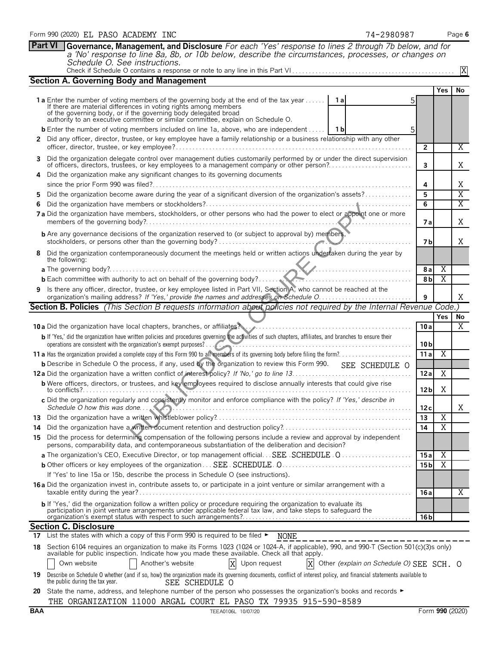|                                                                                                                           | Schedule O. See instructions.                                                                                                                                                                                                                                                                                                |                 |                               | X       |  |  |  |  |  |  |
|---------------------------------------------------------------------------------------------------------------------------|------------------------------------------------------------------------------------------------------------------------------------------------------------------------------------------------------------------------------------------------------------------------------------------------------------------------------|-----------------|-------------------------------|---------|--|--|--|--|--|--|
|                                                                                                                           | <b>Section A. Governing Body and Management</b>                                                                                                                                                                                                                                                                              |                 |                               |         |  |  |  |  |  |  |
|                                                                                                                           |                                                                                                                                                                                                                                                                                                                              |                 | <b>Yes</b>                    | No      |  |  |  |  |  |  |
|                                                                                                                           | <b>1a</b> Enter the number of voting members of the governing body at the end of the tax year<br>1al<br>If there are material differences in voting rights among members<br>of the governing body, or if the governing body delegated broad authority to an executive committee or similar committee, explain on Schedule O. |                 |                               |         |  |  |  |  |  |  |
|                                                                                                                           | <b>b</b> Enter the number of voting members included on line 1a, above, who are independent<br>1 b                                                                                                                                                                                                                           |                 |                               |         |  |  |  |  |  |  |
| $\mathbf{2}$                                                                                                              | Did any officer, director, trustee, or key employee have a family relationship or a business relationship with any other                                                                                                                                                                                                     |                 |                               |         |  |  |  |  |  |  |
|                                                                                                                           |                                                                                                                                                                                                                                                                                                                              | $\mathbf{2}$    |                               | Χ       |  |  |  |  |  |  |
| 3                                                                                                                         | Did the organization delegate control over management duties customarily performed by or under the direct supervision<br>of officers, directors, trustees, or key employees to a management company or other person?                                                                                                         | 3               |                               | X       |  |  |  |  |  |  |
| 4                                                                                                                         | Did the organization make any significant changes to its governing documents                                                                                                                                                                                                                                                 |                 |                               |         |  |  |  |  |  |  |
|                                                                                                                           |                                                                                                                                                                                                                                                                                                                              |                 |                               |         |  |  |  |  |  |  |
| 5                                                                                                                         | Did the organization become aware during the year of a significant diversion of the organization's assets?                                                                                                                                                                                                                   | 5               |                               | X       |  |  |  |  |  |  |
| 6                                                                                                                         |                                                                                                                                                                                                                                                                                                                              | 6               |                               | X       |  |  |  |  |  |  |
|                                                                                                                           | 7a Did the organization have members, stockholders, or other persons who had the power to elect or appoint one or more                                                                                                                                                                                                       | 7 a             |                               | Χ       |  |  |  |  |  |  |
|                                                                                                                           | <b>b</b> Are any governance decisions of the organization reserved to (or subject to approval by) members,                                                                                                                                                                                                                   | 7 b             |                               | Χ       |  |  |  |  |  |  |
| 8                                                                                                                         | Did the organization contemporaneously document the meetings held or written actions undertaken during the year by<br>the following:                                                                                                                                                                                         |                 |                               |         |  |  |  |  |  |  |
|                                                                                                                           |                                                                                                                                                                                                                                                                                                                              | 8a              | X                             |         |  |  |  |  |  |  |
|                                                                                                                           | <b>b</b> Each committee with authority to act on behalf of the governing body?                                                                                                                                                                                                                                               | 8 <sub>b</sub>  | $\overline{X}$                |         |  |  |  |  |  |  |
| Is there any officer, director, trustee, or key employee listed in Part VII, Section A, who cannot be reached at the<br>9 |                                                                                                                                                                                                                                                                                                                              |                 |                               |         |  |  |  |  |  |  |
|                                                                                                                           |                                                                                                                                                                                                                                                                                                                              | 9               |                               | Χ       |  |  |  |  |  |  |
|                                                                                                                           | Section B. Policies (This Section B requests information about policies not required by the Internal Revenue Code.)                                                                                                                                                                                                          |                 |                               |         |  |  |  |  |  |  |
|                                                                                                                           |                                                                                                                                                                                                                                                                                                                              | 10 a            | <b>Yes</b>                    | No<br>X |  |  |  |  |  |  |
|                                                                                                                           | b If 'Yes,' did the organization have written policies and procedures governing the activities of such chapters, affiliates, and branches to ensure their                                                                                                                                                                    |                 |                               |         |  |  |  |  |  |  |
|                                                                                                                           | operations are consistent with the organization's exempt purposes?                                                                                                                                                                                                                                                           | 10 b            |                               |         |  |  |  |  |  |  |
|                                                                                                                           |                                                                                                                                                                                                                                                                                                                              | 11 a            | Χ                             |         |  |  |  |  |  |  |
|                                                                                                                           | <b>b</b> Describe in Schedule O the process, if any, used by the organization to review this Form 990.<br>SEE SCHEDULE O                                                                                                                                                                                                     |                 |                               |         |  |  |  |  |  |  |
|                                                                                                                           |                                                                                                                                                                                                                                                                                                                              | 12 a            | X                             |         |  |  |  |  |  |  |
|                                                                                                                           | <b>b</b> Were officers, directors, or trustees, and key employees required to disclose annually interests that could give rise                                                                                                                                                                                               | 12 <sub>b</sub> | Χ                             |         |  |  |  |  |  |  |
|                                                                                                                           | c Did the organization regularly and consistently monitor and enforce compliance with the policy? If 'Yes,' describe in<br>Schedule O how this was done                                                                                                                                                                      | 12c             |                               | X       |  |  |  |  |  |  |
|                                                                                                                           |                                                                                                                                                                                                                                                                                                                              | 13              | Χ                             |         |  |  |  |  |  |  |
|                                                                                                                           |                                                                                                                                                                                                                                                                                                                              | 14              | $\overline{\mathbf{r}}$<br>X. |         |  |  |  |  |  |  |
|                                                                                                                           | 15 Did the process for determining compensation of the following persons include a review and approval by independent<br>persons, comparability data, and contemporaneous substantiation of the deliberation and decision?                                                                                                   |                 |                               |         |  |  |  |  |  |  |
|                                                                                                                           |                                                                                                                                                                                                                                                                                                                              | 15a             | $\overline{X}$                |         |  |  |  |  |  |  |
|                                                                                                                           |                                                                                                                                                                                                                                                                                                                              | 15 <sub>b</sub> | Χ                             |         |  |  |  |  |  |  |
|                                                                                                                           | If 'Yes' to line 15a or 15b, describe the process in Schedule O (see instructions).                                                                                                                                                                                                                                          |                 |                               |         |  |  |  |  |  |  |
|                                                                                                                           | 16 a Did the organization invest in, contribute assets to, or participate in a joint venture or similar arrangement with a                                                                                                                                                                                                   | 16 a            |                               | Χ       |  |  |  |  |  |  |
|                                                                                                                           | b If 'Yes,' did the organization follow a written policy or procedure requiring the organization to evaluate its<br>participation in joint venture arrangements under applicable federal tax law, and take steps to safeguard the                                                                                            | 16 b            |                               |         |  |  |  |  |  |  |
|                                                                                                                           | <b>Section C. Disclosure</b>                                                                                                                                                                                                                                                                                                 |                 |                               |         |  |  |  |  |  |  |
|                                                                                                                           | 17 List the states with which a copy of this Form 990 is required to be filed $\blacktriangleright$<br><b>NONE</b>                                                                                                                                                                                                           |                 |                               |         |  |  |  |  |  |  |
|                                                                                                                           | 18 Section 6104 requires an organization to make its Forms 1023 (1024 or 1024-A, if applicable), 990, and 990-T (Section 501(c)(3)s only) available for public inspection. Indicate how you made these available. Check all th                                                                                               |                 |                               |         |  |  |  |  |  |  |
|                                                                                                                           | X<br>Upon request<br>X<br>Other (explain on Schedule O) SEE SCH. O<br>Own website<br>Another's website                                                                                                                                                                                                                       |                 |                               |         |  |  |  |  |  |  |
| 19                                                                                                                        | Describe on Schedule O whether (and if so, how) the organization made its governing documents, conflict of interest policy, and financial statements available to<br>the public during the tax year.<br>SEE SCHEDULE O                                                                                                       |                 |                               |         |  |  |  |  |  |  |
|                                                                                                                           | 20 State the name, address, and telephone number of the person who possesses the organization's books and records ►                                                                                                                                                                                                          |                 |                               |         |  |  |  |  |  |  |
|                                                                                                                           | THE ORGANIZATION 11000 ARGAL COURT EL PASO TX 79935 915-590-8589                                                                                                                                                                                                                                                             |                 |                               |         |  |  |  |  |  |  |
| BAA                                                                                                                       | TEEA0106L 10/07/20                                                                                                                                                                                                                                                                                                           | Form 990 (2020) |                               |         |  |  |  |  |  |  |

**Part VI Governance, Management, and Disclosure** *For each 'Yes' response to lines 2 through 7b below, and for*

*a 'No' response to line 8a, 8b, or 10b below, describe the circumstances, processes, or changes on*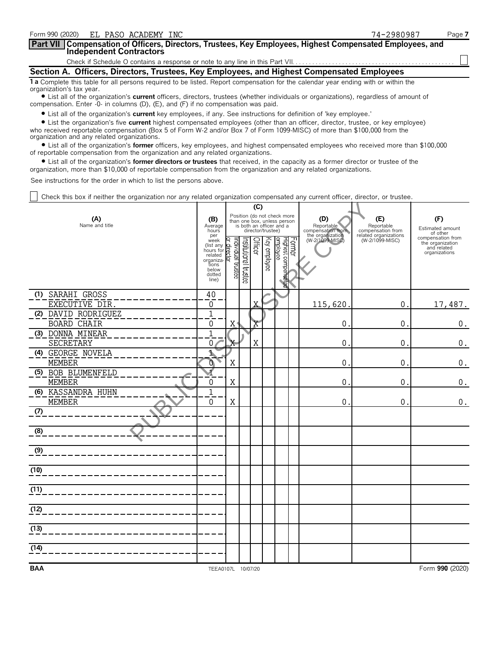| Form 990 (2020)<br>EL PASO ACADEMY INC                                                                                                                                                                                                                                                                     | 74-2980987 | Page 7 |
|------------------------------------------------------------------------------------------------------------------------------------------------------------------------------------------------------------------------------------------------------------------------------------------------------------|------------|--------|
| Part VII Compensation of Officers, Directors, Trustees, Key Employees, Highest Compensated Employees, and<br><b>Independent Contractors</b>                                                                                                                                                                |            |        |
|                                                                                                                                                                                                                                                                                                            |            |        |
| Section A. Officers, Directors, Trustees, Key Employees, and Highest Compensated Employees                                                                                                                                                                                                                 |            |        |
| 1 a Complete this table for all persons required to be listed. Report compensation for the calendar year ending with or within the<br>organization's tax year.                                                                                                                                             |            |        |
| • List all of the organization's <b>current</b> officers, directors, trustees (whether individuals or organizations), regardless of amount of<br>compensation. Enter $-0$ - in columns (D), (E), and (F) if no compensation was paid.                                                                      |            |        |
| • List all of the organization's <b>current</b> key employees, if any. See instructions for definition of 'key employee.'                                                                                                                                                                                  |            |        |
| • List the organization's five current highest compensated employees (other than an officer, director, trustee, or key employee)<br>who received reportable compensation (Box 5 of Form W-2 and/or Box 7 of Form 1099-MISC) of more than \$100,000 from the<br>organization and any related organizations. |            |        |

? List all of the organization's **former** officers, key employees, and highest compensated employees who received more than \$100,000 of reportable compensation from the organization and any related organizations.

? List all of the organization's **former directors or trustees** that received, in the capacity as a former director or trustee of the organization, more than \$10,000 of reportable compensation from the organization and any related organizations.

See instructions for the order in which to list the persons above.

Check this box if neither the organization nor any related organization compensated any current officer, director, or trustee.

|                                           |                                                                                             |                                              | (C)                   |         |                   |                                                                                        |        |                                                                               |                                          |                                                                       |
|-------------------------------------------|---------------------------------------------------------------------------------------------|----------------------------------------------|-----------------------|---------|-------------------|----------------------------------------------------------------------------------------|--------|-------------------------------------------------------------------------------|------------------------------------------|-----------------------------------------------------------------------|
| (A)<br>Name and title                     | (B)<br>Average<br>hours<br>per                                                              |                                              |                       |         | director/trustee) | Position (do not check more<br>than one box, unless person<br>is both an officer and a |        | (D)<br>Reportable<br>compensation from<br>the organization<br>(W-2/1099-MISC) | (E)<br>Reportable<br>compensation from   | (F)<br>Estimated amount<br>of other                                   |
|                                           | week<br>(list any<br>hours for<br>related<br>organiza-<br>tions<br>below<br>dotted<br>line) | ্<br>Individual trustee<br><u>r director</u> | Institutional trustee | Officer | Key employee      | Highest compensa<br>employee                                                           | Former |                                                                               | related organizations<br>(W-2/1099-MISC) | compensation from<br>the organization<br>and related<br>organizations |
| (1) SARAHI GROSS<br>EXECUTIVE DIR.        | 40<br>0                                                                                     |                                              |                       | Χ       |                   |                                                                                        |        | 115,620                                                                       | $\mathbf 0$ .                            | 17,487.                                                               |
| (2) DAVID RODRIGUEZ<br><b>BOARD CHAIR</b> | $\mathbf 1$<br>0                                                                            | $X^*$                                        |                       | Χ       |                   |                                                                                        |        | 0                                                                             | $\mathbf 0$ .                            | $\boldsymbol{0}$ .                                                    |
| (3) DONNA MINEAR<br>SECRETARY             | $\overline{1}$<br>0 <sub>1</sub>                                                            |                                              |                       | X       |                   |                                                                                        |        | 0                                                                             | 0                                        | $\boldsymbol{0}$ .                                                    |
| (4) GEORGE NOVELA<br><b>MEMBER</b>        | Ť,<br>o.                                                                                    | Χ                                            |                       |         |                   |                                                                                        |        | 0                                                                             | $\mathbf{0}$                             | $\boldsymbol{0}$ .                                                    |
| (5) BOB BLUMENFELD<br><b>MEMBER</b>       | $\overline{\mathbf{1}}$<br>0                                                                | X                                            |                       |         |                   |                                                                                        |        | 0                                                                             | $\mathbf{0}$                             | $\boldsymbol{0}$ .                                                    |
| (6) KASSANDRA HUHN<br><b>MEMBER</b>       | $\mathbf{1}$<br>0                                                                           | X                                            |                       |         |                   |                                                                                        |        | 0                                                                             | 0.                                       | 0.                                                                    |
| (7)                                       |                                                                                             |                                              |                       |         |                   |                                                                                        |        |                                                                               |                                          |                                                                       |
| (8)                                       |                                                                                             |                                              |                       |         |                   |                                                                                        |        |                                                                               |                                          |                                                                       |
| (9)                                       |                                                                                             |                                              |                       |         |                   |                                                                                        |        |                                                                               |                                          |                                                                       |
| (10)                                      |                                                                                             |                                              |                       |         |                   |                                                                                        |        |                                                                               |                                          |                                                                       |
| (11)                                      |                                                                                             |                                              |                       |         |                   |                                                                                        |        |                                                                               |                                          |                                                                       |
| (12)                                      |                                                                                             |                                              |                       |         |                   |                                                                                        |        |                                                                               |                                          |                                                                       |
| (13)                                      |                                                                                             |                                              |                       |         |                   |                                                                                        |        |                                                                               |                                          |                                                                       |
| (14)                                      |                                                                                             |                                              |                       |         |                   |                                                                                        |        |                                                                               |                                          |                                                                       |
| <b>BAA</b>                                | TEEA0107L 10/07/20                                                                          |                                              |                       |         |                   |                                                                                        |        |                                                                               |                                          | Form 990 (2020)                                                       |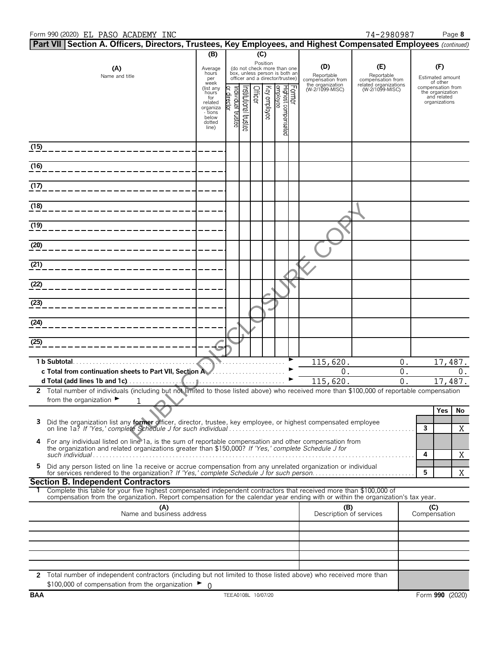## Form 990 (2020) Page **8** EL PASO ACADEMY INC 74-2980987

|      | Part VII Section A. Officers, Directors, Trustees, Key Employees, and Highest Compensated Employees (continued)                                                 |                            |                                  |                      |              |                                                                                                             |        |                                        |                                          |                     |                                       |    |
|------|-----------------------------------------------------------------------------------------------------------------------------------------------------------------|----------------------------|----------------------------------|----------------------|--------------|-------------------------------------------------------------------------------------------------------------|--------|----------------------------------------|------------------------------------------|---------------------|---------------------------------------|----|
|      |                                                                                                                                                                 | (B)                        |                                  |                      | (C)          |                                                                                                             |        |                                        |                                          |                     |                                       |    |
|      | (A)<br>Name and title                                                                                                                                           | Average<br>hours<br>per    |                                  |                      |              | Position<br>(do not check more than one<br>box, unless person is both an<br>officer and a director/trustee) |        | (D)<br>Reportable<br>compensation from | (E)<br>Reportable<br>compensation from   |                     | (F)<br>Estimated amount<br>of other   |    |
|      |                                                                                                                                                                 | week<br>(list any<br>hours |                                  | Officer              |              |                                                                                                             | Former | the organization<br>(W-2/1099-MISC)    | related organizations<br>(W-2/1099-MISC) |                     | compensation from<br>the organization |    |
|      |                                                                                                                                                                 | for<br>related<br>organiza | or director<br>ndividual trustee | nstitutional trustee | Key employee | Highest compensated<br>employee                                                                             |        |                                        |                                          |                     | and related<br>organizations          |    |
|      |                                                                                                                                                                 | - tions<br>below           |                                  |                      |              |                                                                                                             |        |                                        |                                          |                     |                                       |    |
|      |                                                                                                                                                                 | dotted<br>line)            |                                  |                      |              |                                                                                                             |        |                                        |                                          |                     |                                       |    |
|      |                                                                                                                                                                 |                            |                                  |                      |              |                                                                                                             |        |                                        |                                          |                     |                                       |    |
| (15) |                                                                                                                                                                 |                            |                                  |                      |              |                                                                                                             |        |                                        |                                          |                     |                                       |    |
| (16) |                                                                                                                                                                 |                            |                                  |                      |              |                                                                                                             |        |                                        |                                          |                     |                                       |    |
|      |                                                                                                                                                                 |                            |                                  |                      |              |                                                                                                             |        |                                        |                                          |                     |                                       |    |
| (17) |                                                                                                                                                                 |                            |                                  |                      |              |                                                                                                             |        |                                        |                                          |                     |                                       |    |
| (18) |                                                                                                                                                                 |                            |                                  |                      |              |                                                                                                             |        |                                        |                                          |                     |                                       |    |
|      |                                                                                                                                                                 |                            |                                  |                      |              |                                                                                                             |        |                                        |                                          |                     |                                       |    |
| (19) |                                                                                                                                                                 |                            |                                  |                      |              |                                                                                                             |        |                                        |                                          |                     |                                       |    |
|      |                                                                                                                                                                 |                            |                                  |                      |              |                                                                                                             |        |                                        |                                          |                     |                                       |    |
| (20) |                                                                                                                                                                 |                            |                                  |                      |              |                                                                                                             |        |                                        |                                          |                     |                                       |    |
| (21) |                                                                                                                                                                 |                            |                                  |                      |              |                                                                                                             |        |                                        |                                          |                     |                                       |    |
|      |                                                                                                                                                                 |                            |                                  |                      |              |                                                                                                             |        |                                        |                                          |                     |                                       |    |
| (22) |                                                                                                                                                                 |                            |                                  |                      |              |                                                                                                             |        |                                        |                                          |                     |                                       |    |
| (23) |                                                                                                                                                                 |                            |                                  |                      |              |                                                                                                             |        |                                        |                                          |                     |                                       |    |
|      |                                                                                                                                                                 |                            |                                  |                      |              |                                                                                                             |        |                                        |                                          |                     |                                       |    |
| (24) |                                                                                                                                                                 |                            |                                  |                      |              |                                                                                                             |        |                                        |                                          |                     |                                       |    |
| (25) |                                                                                                                                                                 |                            |                                  |                      |              |                                                                                                             |        |                                        |                                          |                     |                                       |    |
|      |                                                                                                                                                                 |                            |                                  |                      |              |                                                                                                             |        |                                        |                                          |                     |                                       |    |
|      | 1 b Subtotal.                                                                                                                                                   |                            |                                  |                      |              |                                                                                                             |        | $1\overline{15,620}$ .                 | $0$ .                                    |                     | 17,487.                               |    |
|      | c Total from continuation sheets to Part VII, Section A                                                                                                         |                            |                                  |                      |              |                                                                                                             |        | 0.                                     | 0.<br>$\overline{0}$ .                   |                     |                                       | 0. |
|      | 2 Total number of individuals (including but not limited to those listed above) who received more than \$100,000 of reportable compensation                     |                            |                                  |                      |              |                                                                                                             |        | 115,620.                               |                                          |                     | 17,487.                               |    |
|      | from the organization $\blacktriangleright$<br>1                                                                                                                |                            |                                  |                      |              |                                                                                                             |        |                                        |                                          |                     |                                       |    |
|      |                                                                                                                                                                 |                            |                                  |                      |              |                                                                                                             |        |                                        |                                          |                     | Yes                                   | No |
| 3    | Did the organization list any former officer, director, trustee, key employee, or highest compensated employee                                                  |                            |                                  |                      |              |                                                                                                             |        |                                        |                                          | 3                   |                                       | X  |
| 4    | For any individual listed on line 1a, is the sum of reportable compensation and other compensation from                                                         |                            |                                  |                      |              |                                                                                                             |        |                                        |                                          |                     |                                       |    |
|      | the organization and related organizations greater than \$150,000? If 'Yes,' complete Schedule J for                                                            |                            |                                  |                      |              |                                                                                                             |        |                                        |                                          | 4                   |                                       |    |
| 5.   | Did any person listed on line 1a receive or accrue compensation from any unrelated organization or individual                                                   |                            |                                  |                      |              |                                                                                                             |        |                                        |                                          |                     |                                       | Χ  |
|      |                                                                                                                                                                 |                            |                                  |                      |              |                                                                                                             |        |                                        |                                          | 5                   |                                       | X  |
|      | <b>Section B. Independent Contractors</b><br>Complete this table for your five highest compensated independent contractors that received more than \$100,000 of |                            |                                  |                      |              |                                                                                                             |        |                                        |                                          |                     |                                       |    |
|      | compensation from the organization. Report compensation for the calendar year ending with or within the organization's tax year.                                |                            |                                  |                      |              |                                                                                                             |        |                                        |                                          |                     |                                       |    |
|      | (A)<br>Name and business address                                                                                                                                |                            |                                  |                      |              |                                                                                                             |        | (B)<br>Description of services         |                                          | (C)<br>Compensation |                                       |    |
|      |                                                                                                                                                                 |                            |                                  |                      |              |                                                                                                             |        |                                        |                                          |                     |                                       |    |
|      |                                                                                                                                                                 |                            |                                  |                      |              |                                                                                                             |        |                                        |                                          |                     |                                       |    |
|      |                                                                                                                                                                 |                            |                                  |                      |              |                                                                                                             |        |                                        |                                          |                     |                                       |    |
|      |                                                                                                                                                                 |                            |                                  |                      |              |                                                                                                             |        |                                        |                                          |                     |                                       |    |
|      | 2 Total number of independent contractors (including but not limited to those listed above) who received more than                                              |                            |                                  |                      |              |                                                                                                             |        |                                        |                                          |                     |                                       |    |
|      | \$100,000 of compensation from the organization $\blacktriangleright$ 0                                                                                         |                            |                                  |                      |              |                                                                                                             |        |                                        |                                          |                     |                                       |    |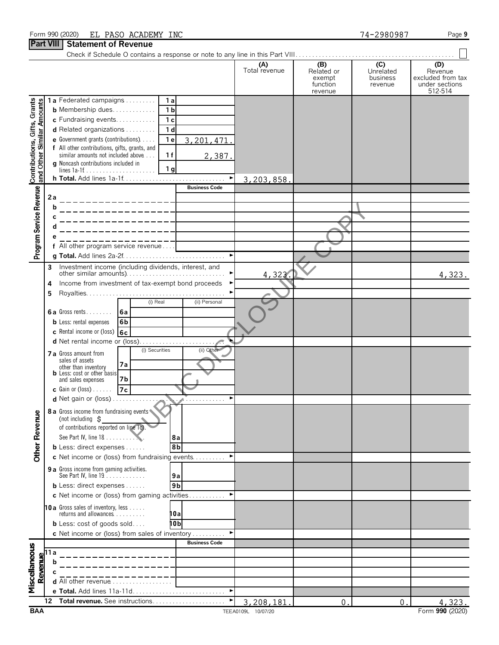## Form 990 (2020) Page **9** EL PASO ACADEMY INC 74-2980987

# **Part VIII Statement of Revenue**

|                                                           |                                                                                                                                                      |                                                                                           |                       | (A)<br>Total revenue | (B)<br>Related or<br>exempt<br>function<br>revenue | (C)<br>Unrelated<br>business<br>revenue | (D)<br>Revenue<br>excluded from tax<br>under sections<br>512-514 |
|-----------------------------------------------------------|------------------------------------------------------------------------------------------------------------------------------------------------------|-------------------------------------------------------------------------------------------|-----------------------|----------------------|----------------------------------------------------|-----------------------------------------|------------------------------------------------------------------|
|                                                           |                                                                                                                                                      | 1a Federated campaigns<br>1a                                                              |                       |                      |                                                    |                                         |                                                                  |
| Contributions, Gifts, Grants<br>and Other Similar Amounts |                                                                                                                                                      | <b>b</b> Membership dues.<br>1 <sub>b</sub>                                               |                       |                      |                                                    |                                         |                                                                  |
|                                                           |                                                                                                                                                      | c Fundraising events<br>1 <sub>c</sub>                                                    |                       |                      |                                                    |                                         |                                                                  |
|                                                           |                                                                                                                                                      | d Related organizations<br>1 <sub>d</sub>                                                 |                       |                      |                                                    |                                         |                                                                  |
|                                                           |                                                                                                                                                      | 1 <sub>e</sub><br>e Government grants (contributions)                                     | 3, 201, 471.          |                      |                                                    |                                         |                                                                  |
|                                                           |                                                                                                                                                      | f All other contributions, gifts, grants, and<br>1f<br>similar amounts not included above |                       |                      |                                                    |                                         |                                                                  |
|                                                           |                                                                                                                                                      | g Noncash contributions included in                                                       | 2,387.                |                      |                                                    |                                         |                                                                  |
|                                                           |                                                                                                                                                      | 1 <sub>g</sub>                                                                            |                       |                      |                                                    |                                         |                                                                  |
|                                                           |                                                                                                                                                      |                                                                                           | $\blacktriangleright$ | 3,203,858.           |                                                    |                                         |                                                                  |
| Program Service Revenue                                   |                                                                                                                                                      |                                                                                           | <b>Business Code</b>  |                      |                                                    |                                         |                                                                  |
|                                                           | 2a                                                                                                                                                   |                                                                                           |                       |                      |                                                    |                                         |                                                                  |
|                                                           | b                                                                                                                                                    |                                                                                           |                       |                      |                                                    |                                         |                                                                  |
|                                                           |                                                                                                                                                      |                                                                                           |                       |                      |                                                    |                                         |                                                                  |
|                                                           |                                                                                                                                                      |                                                                                           |                       |                      |                                                    |                                         |                                                                  |
|                                                           |                                                                                                                                                      |                                                                                           |                       |                      |                                                    |                                         |                                                                  |
|                                                           |                                                                                                                                                      | All other program service revenue                                                         | $\blacktriangleright$ |                      |                                                    |                                         |                                                                  |
|                                                           |                                                                                                                                                      |                                                                                           |                       |                      |                                                    |                                         |                                                                  |
|                                                           | 3                                                                                                                                                    | Investment income (including dividends, interest, and                                     |                       | 4,323.               |                                                    |                                         | 4,323.                                                           |
|                                                           | 4                                                                                                                                                    | Income from investment of tax-exempt bond proceeds                                        | ▶                     |                      |                                                    |                                         |                                                                  |
|                                                           | 5                                                                                                                                                    |                                                                                           |                       |                      |                                                    |                                         |                                                                  |
|                                                           |                                                                                                                                                      | (i) Real                                                                                  | (ii) Personal         |                      |                                                    |                                         |                                                                  |
|                                                           |                                                                                                                                                      | <b>6a</b> Gross rents<br>6a                                                               |                       |                      |                                                    |                                         |                                                                  |
|                                                           |                                                                                                                                                      | 6b<br><b>b</b> Less: rental expenses                                                      |                       |                      |                                                    |                                         |                                                                  |
|                                                           |                                                                                                                                                      | c Rental income or (loss) $6c$                                                            |                       |                      |                                                    |                                         |                                                                  |
|                                                           |                                                                                                                                                      |                                                                                           |                       |                      |                                                    |                                         |                                                                  |
|                                                           |                                                                                                                                                      | (i) Securities<br><b>7 a</b> Gross amount from                                            | (ii) Other            |                      |                                                    |                                         |                                                                  |
|                                                           |                                                                                                                                                      | sales of assets<br>7a                                                                     |                       |                      |                                                    |                                         |                                                                  |
|                                                           |                                                                                                                                                      | other than inventory<br><b>b</b> Less: cost or other basis                                |                       |                      |                                                    |                                         |                                                                  |
|                                                           |                                                                                                                                                      | 7b<br>and sales expenses                                                                  |                       |                      |                                                    |                                         |                                                                  |
|                                                           |                                                                                                                                                      | 7c<br><b>c</b> Gain or (loss) $\ldots$ .                                                  |                       |                      |                                                    |                                         |                                                                  |
|                                                           |                                                                                                                                                      | <b>d</b> Net gain or $(\text{loss})$                                                      | ٠                     |                      |                                                    |                                         |                                                                  |
| Φ                                                         |                                                                                                                                                      | 8 a Gross income from fundraising events                                                  |                       |                      |                                                    |                                         |                                                                  |
|                                                           |                                                                                                                                                      | (not including $\zeta$                                                                    |                       |                      |                                                    |                                         |                                                                  |
|                                                           |                                                                                                                                                      | of contributions reported on line 1c)                                                     |                       |                      |                                                    |                                         |                                                                  |
|                                                           |                                                                                                                                                      | See Part IV, line 18                                                                      | 8а                    |                      |                                                    |                                         |                                                                  |
| Other Revenu                                              |                                                                                                                                                      | <b>b</b> Less: direct expenses $\ldots$ .                                                 | 8 <sub>b</sub>        |                      |                                                    |                                         |                                                                  |
|                                                           |                                                                                                                                                      | c Net income or (loss) from fundraising events                                            | ▶                     |                      |                                                    |                                         |                                                                  |
|                                                           |                                                                                                                                                      | 9 a Gross income from gaming activities.<br>See Part IV, line 19                          | 9a                    |                      |                                                    |                                         |                                                                  |
|                                                           |                                                                                                                                                      | <b>b</b> Less: direct expenses                                                            | 9 <sub>b</sub>        |                      |                                                    |                                         |                                                                  |
|                                                           |                                                                                                                                                      | c Net income or (loss) from gaming activities                                             | ▸                     |                      |                                                    |                                         |                                                                  |
|                                                           |                                                                                                                                                      |                                                                                           |                       |                      |                                                    |                                         |                                                                  |
|                                                           |                                                                                                                                                      | 10a Gross sales of inventory, less<br>returns and allowances                              | 10a                   |                      |                                                    |                                         |                                                                  |
|                                                           |                                                                                                                                                      | <b>b</b> Less: cost of goods sold                                                         | 10b                   |                      |                                                    |                                         |                                                                  |
|                                                           |                                                                                                                                                      | c Net income or (loss) from sales of inventory                                            | ▶                     |                      |                                                    |                                         |                                                                  |
|                                                           |                                                                                                                                                      |                                                                                           | <b>Business Code</b>  |                      |                                                    |                                         |                                                                  |
| Miscellaneous                                             |                                                                                                                                                      |                                                                                           |                       |                      |                                                    |                                         |                                                                  |
|                                                           | $\begin{array}{c}\n\hline\n\text{Remove}\n\\ \hline\n\text{I} & \text{I} \\ \hline\n\text{I} & \text{I} \\ \hline\n\text{I} & \text{I}\n\end{array}$ |                                                                                           |                       |                      |                                                    |                                         |                                                                  |
|                                                           |                                                                                                                                                      |                                                                                           |                       |                      |                                                    |                                         |                                                                  |
|                                                           |                                                                                                                                                      | d All other revenue                                                                       |                       |                      |                                                    |                                         |                                                                  |
|                                                           |                                                                                                                                                      |                                                                                           | $\blacktriangleright$ |                      |                                                    |                                         |                                                                  |
|                                                           | 12                                                                                                                                                   |                                                                                           | ▶                     | 3,208,181            | $\mathbf 0$                                        | $\mathbf 0$ .                           | 4,323.                                                           |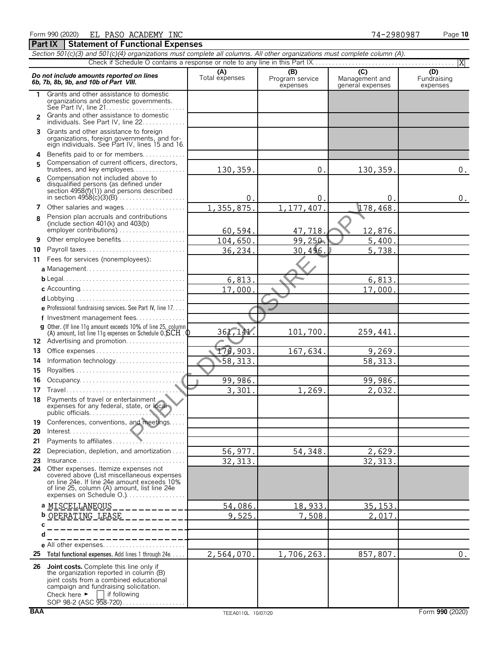|                |                                                                                                                                                                                                                                                         |                       |                                    |                                           | X                              |
|----------------|---------------------------------------------------------------------------------------------------------------------------------------------------------------------------------------------------------------------------------------------------------|-----------------------|------------------------------------|-------------------------------------------|--------------------------------|
|                | Do not include amounts reported on lines<br>6b, 7b, 8b, 9b, and 10b of Part VIII.                                                                                                                                                                       | (A)<br>Total expenses | (B)<br>Program service<br>expenses | (C)<br>Management and<br>general expenses | (D)<br>Fundraising<br>expenses |
| 1              | Grants and other assistance to domestic<br>organizations and domestic governments.                                                                                                                                                                      |                       |                                    |                                           |                                |
| $\mathfrak{p}$ | Grants and other assistance to domestic<br>individuals. See Part IV, line 22.                                                                                                                                                                           |                       |                                    |                                           |                                |
| 3              | Grants and other assistance to foreign<br>organizations, foreign governments, and for-<br>eign individuals. See Part IV, lines 15 and 16.                                                                                                               |                       |                                    |                                           |                                |
| 4              | Benefits paid to or for members                                                                                                                                                                                                                         |                       |                                    |                                           |                                |
| 5              | Compensation of current officers, directors,<br>trustees, and key employees                                                                                                                                                                             | 130,359.              | 0.                                 | 130,359.                                  | 0.                             |
| 6              | Compensation not included above to<br>disqualified persons (as defined under<br>section $4958(f)(1)$ and persons described                                                                                                                              | 0.                    | 0.                                 | 0.                                        | $0$ .                          |
| 7              | Other salaries and wages                                                                                                                                                                                                                                | 1,355,875.            | 1,177,407.                         | 178,468.                                  |                                |
| 8              | Pension plan accruals and contributions                                                                                                                                                                                                                 |                       |                                    |                                           |                                |
|                | (include section $401(k)$ and $403(b)$                                                                                                                                                                                                                  | 60,594.               | 47,718.                            | 12,876.                                   |                                |
| 9              | Other employee benefits                                                                                                                                                                                                                                 | 104,650.              | 99,250.                            | 5,400.                                    |                                |
| 10             | Payroll taxes                                                                                                                                                                                                                                           | 36,234.               | 30,496.                            | 5,738.                                    |                                |
| 11             | Fees for services (nonemployees):                                                                                                                                                                                                                       |                       |                                    |                                           |                                |
|                |                                                                                                                                                                                                                                                         |                       |                                    |                                           |                                |
|                |                                                                                                                                                                                                                                                         | 6,813.                |                                    | 6,813.                                    |                                |
|                |                                                                                                                                                                                                                                                         | 17,000                |                                    | 17,000.                                   |                                |
|                |                                                                                                                                                                                                                                                         |                       |                                    |                                           |                                |
|                | e Professional fundraising services. See Part IV, line 17.                                                                                                                                                                                              |                       |                                    |                                           |                                |
|                | f Investment management fees                                                                                                                                                                                                                            |                       |                                    |                                           |                                |
|                | g Other. (If line 11q amount exceeds 10% of line 25, column<br>(A) amount, list line 11g expenses on Schedule $0.$ $\text{SCH}$ . $\text{Q}$                                                                                                            | 361,141.              | 101,700.                           | 259,441.                                  |                                |
|                | 12 Advertising and promotion                                                                                                                                                                                                                            |                       |                                    |                                           |                                |
| 13             | Office expenses                                                                                                                                                                                                                                         | 176,903.              | 167,634.                           | 9,269.                                    |                                |
| 14             | Information technology                                                                                                                                                                                                                                  | 58,313.               |                                    | 58, 313.                                  |                                |
| 15             |                                                                                                                                                                                                                                                         |                       |                                    |                                           |                                |
| 16             |                                                                                                                                                                                                                                                         | 99,986.               |                                    | 99,986.                                   |                                |
| 17             | Travel                                                                                                                                                                                                                                                  | 3,301.                | 1,269.                             | 2,032.                                    |                                |
|                | 18 Payments of travel or entertainment<br>expenses for any federal, state, or local                                                                                                                                                                     |                       |                                    |                                           |                                |
|                | 19 Conferences, conventions, and meetings                                                                                                                                                                                                               |                       |                                    |                                           |                                |
| 20             |                                                                                                                                                                                                                                                         |                       |                                    |                                           |                                |
| 21             | Payments to affiliates                                                                                                                                                                                                                                  |                       |                                    |                                           |                                |
| 22             | Depreciation, depletion, and amortization                                                                                                                                                                                                               | 56,977.               | 54,348.                            | 2,629.                                    |                                |
| 23             |                                                                                                                                                                                                                                                         | 32, 313.              |                                    | 32, 313.                                  |                                |
|                | 24 Other expenses. Itemize expenses not<br>covered above (List miscellaneous expenses<br>on line 24e. If line 24e amount exceeds 10%<br>of line 25, column (A) amount, list line 24e<br>expenses on Schedule O.).                                       |                       |                                    |                                           |                                |
|                | a MISCELLANEOUS                                                                                                                                                                                                                                         | 54,086.               | 18,933.                            | <u>35, 153.</u>                           |                                |
|                | ________<br>OPERATING LEASE<br>b<br>_ _ _ _ _ _ _ _ _ _ .                                                                                                                                                                                               | 9,525                 | 7,508                              | 2,017                                     |                                |
|                | C                                                                                                                                                                                                                                                       |                       |                                    |                                           |                                |
| d              | _________                                                                                                                                                                                                                                               |                       |                                    |                                           |                                |
|                | _ _ _ _ _ _ _ _ _ _ _ _ _<br>e All other expenses                                                                                                                                                                                                       |                       |                                    |                                           |                                |
|                | 25 Total functional expenses. Add lines 1 through 24e                                                                                                                                                                                                   | 2,564,070.            | 1,706,263.                         | 857,807.                                  | $0$ .                          |
|                | 26 Joint costs. Complete this line only if<br>the organization reported in column (B)<br>joint costs from a combined educational<br>campaign and fundraising solicitation.<br>Check here $\blacktriangleright$   if following<br>SOP 98-2 (ASC 958-720) |                       |                                    |                                           |                                |

*Section 501(c)(3) and 501(c)(4) organizations must complete all columns. All other organizations must complete column (A).*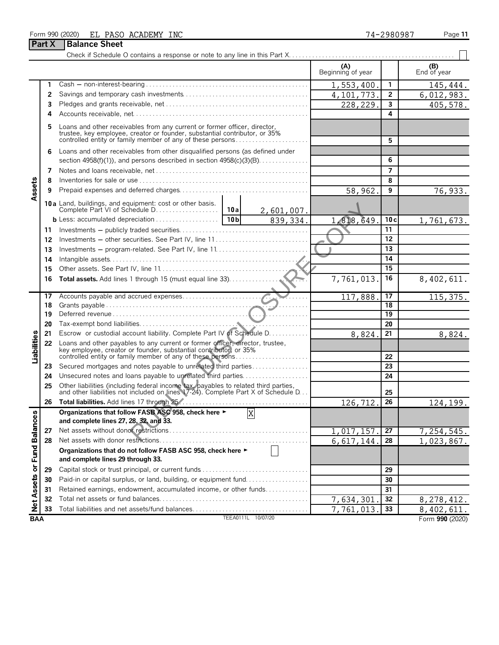### Form 990 (2020) Page **11** EL PASO ACADEMY INC 74-2980987

**Part X** | Balance Sheet

|                             |    |                                                                                                                                                                                                                       |                    | (A)<br>Beginning of year |              | (B)<br>End of year     |
|-----------------------------|----|-----------------------------------------------------------------------------------------------------------------------------------------------------------------------------------------------------------------------|--------------------|--------------------------|--------------|------------------------|
|                             | 1  |                                                                                                                                                                                                                       |                    | 1,553,400                | $\mathbf{1}$ | $\overline{1}$ 45,444. |
|                             | 2  |                                                                                                                                                                                                                       |                    | 4,101,773                | 2            | 6,012,983.             |
|                             | 3  |                                                                                                                                                                                                                       |                    | 228,229.                 | 3            | 405,578.               |
|                             | 4  |                                                                                                                                                                                                                       |                    |                          | 4            |                        |
|                             | 5  | Loans and other receivables from any current or former officer, director,<br>trustee, key employee, creator or founder, substantial contributor, or 35%<br>controlled entity or family member of any of these persons |                    |                          | 5            |                        |
|                             | 6  | Loans and other receivables from other disqualified persons (as defined under                                                                                                                                         |                    |                          |              |                        |
|                             |    | section $4958(f)(1)$ , and persons described in section $4958(c)(3)(B)$                                                                                                                                               |                    |                          | 6            |                        |
|                             | 7  |                                                                                                                                                                                                                       |                    |                          | 7            |                        |
|                             | 8  |                                                                                                                                                                                                                       |                    |                          | 8            |                        |
| Assets                      | 9  |                                                                                                                                                                                                                       |                    | 58,962.                  | 9            | 76,933.                |
|                             |    |                                                                                                                                                                                                                       | 2,601,007.         |                          |              |                        |
|                             |    |                                                                                                                                                                                                                       | 839, 334.          | 1,818,649                | 10c          | 1,761,673.             |
|                             | 11 |                                                                                                                                                                                                                       |                    |                          | 11           |                        |
|                             | 12 | Investments - other securities. See Part IV, line 11                                                                                                                                                                  |                    |                          | 12           |                        |
|                             | 13 |                                                                                                                                                                                                                       |                    |                          | 13           |                        |
|                             | 14 |                                                                                                                                                                                                                       |                    |                          | 14           |                        |
|                             | 15 |                                                                                                                                                                                                                       |                    |                          | 15           |                        |
|                             | 16 |                                                                                                                                                                                                                       |                    | 7,761,013.               | 16           | 8,402,611.             |
|                             |    |                                                                                                                                                                                                                       |                    |                          |              |                        |
|                             | 17 |                                                                                                                                                                                                                       |                    | 117,888                  | 17           | 115,375.               |
|                             | 18 |                                                                                                                                                                                                                       |                    |                          | 18           |                        |
|                             | 19 |                                                                                                                                                                                                                       |                    |                          | 19           |                        |
|                             | 20 |                                                                                                                                                                                                                       |                    |                          | 20           |                        |
|                             | 21 | Escrow or custodial account liability. Complete Part IV of Schedule D.                                                                                                                                                |                    | 8,824                    | 21           | 8,824.                 |
| Liabilities                 | 22 | Loans and other payables to any current or former officer, director, trustee, key employee, creator or founder, substantial contributor, or 35%<br>controlled entity or family member of any of these persons         |                    |                          | 22           |                        |
|                             | 23 | Secured mortgages and notes payable to unrelated third parties                                                                                                                                                        |                    |                          | 23           |                        |
|                             | 24 | Unsecured notes and loans payable to unrelated third parties                                                                                                                                                          |                    |                          | 24           |                        |
|                             | 25 | Other liabilities (including federal income tax, payables to related third parties, and other liabilities not included on lines 17-24). Complete Part X of Schedule D                                                 |                    |                          | 25           |                        |
|                             | 26 |                                                                                                                                                                                                                       |                    | 126,712                  | 26           | 124,199.               |
| Net Assets or Fund Balances |    | Organizations that follow FASB ASC 958, check here ►<br>and complete lines 27, 28, 32, and 33.                                                                                                                        | $\overline{X}$     |                          |              |                        |
|                             | 27 |                                                                                                                                                                                                                       |                    | 1,017,157                | 27           | 7, 254, 545.           |
|                             | 28 |                                                                                                                                                                                                                       |                    | 6,617,144                | 28           | 1,023,867.             |
|                             |    | Organizations that do not follow FASB ASC 958, check here ►<br>and complete lines 29 through 33.                                                                                                                      |                    |                          |              |                        |
|                             | 29 |                                                                                                                                                                                                                       |                    |                          | 29           |                        |
|                             | 30 | Paid-in or capital surplus, or land, building, or equipment fund                                                                                                                                                      |                    |                          | 30           |                        |
|                             | 31 | Retained earnings, endowment, accumulated income, or other funds                                                                                                                                                      |                    |                          | 31           |                        |
|                             | 32 |                                                                                                                                                                                                                       |                    | 7,634,301                | 32           | 8,278,412.             |
|                             | 33 |                                                                                                                                                                                                                       |                    | 7,761,013.               | 33           | 8,402,611.             |
| <b>BAA</b>                  |    |                                                                                                                                                                                                                       | TEEA0111L 10/07/20 |                          |              | Form 990 (2020)        |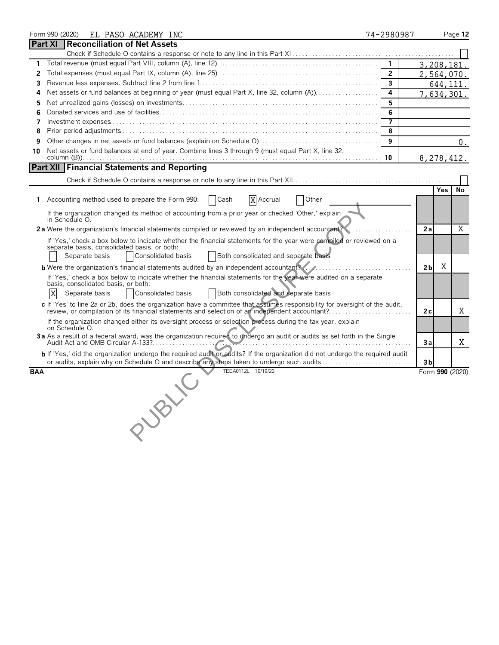|            | Form 990 (2020)<br>EL PASO ACADEMY INC                                                                                                                                                                                            | 74-2980987     |                |            | Page 12         |
|------------|-----------------------------------------------------------------------------------------------------------------------------------------------------------------------------------------------------------------------------------|----------------|----------------|------------|-----------------|
|            | <b>Reconciliation of Net Assets</b><br>Part XI                                                                                                                                                                                    |                |                |            |                 |
|            |                                                                                                                                                                                                                                   |                |                |            |                 |
| 1          |                                                                                                                                                                                                                                   | 1              |                | 3,208,181. |                 |
| 2          |                                                                                                                                                                                                                                   | $\overline{2}$ |                | 2,564,070. |                 |
| 3          |                                                                                                                                                                                                                                   | 3              |                | 644,111.   |                 |
| 4          |                                                                                                                                                                                                                                   | 4              |                | 7,634,301. |                 |
| 5          |                                                                                                                                                                                                                                   | 5              |                |            |                 |
| 6          |                                                                                                                                                                                                                                   | 6              |                |            |                 |
| 7          |                                                                                                                                                                                                                                   | $\overline{7}$ |                |            |                 |
| 8          |                                                                                                                                                                                                                                   | 8              |                |            |                 |
| 9          |                                                                                                                                                                                                                                   | 9              |                |            | 0.              |
| 10         | Net assets or fund balances at end of year. Combine lines 3 through 9 (must equal Part X, line 32,                                                                                                                                |                |                |            |                 |
|            |                                                                                                                                                                                                                                   | 10             |                | 8,278,412. |                 |
|            | <b>Part XII Financial Statements and Reporting</b>                                                                                                                                                                                |                |                |            |                 |
|            |                                                                                                                                                                                                                                   |                |                |            |                 |
|            |                                                                                                                                                                                                                                   |                |                | <b>Yes</b> | No              |
|            | Accounting method used to prepare the Form 990:<br>Cash<br>X Accrual<br>Other                                                                                                                                                     |                |                |            |                 |
|            | If the organization changed its method of accounting from a prior year or checked 'Other,' explain                                                                                                                                |                |                |            |                 |
|            | in Schedule O.                                                                                                                                                                                                                    |                |                |            |                 |
|            | 2a Were the organization's financial statements compiled or reviewed by an independent accountent?                                                                                                                                |                | 2a             |            | $\overline{X}$  |
|            | If 'Yes,' check a box below to indicate whether the financial statements for the year were compiled or reviewed on a                                                                                                              |                |                |            |                 |
|            | separate basis, consolidated basis, or both:                                                                                                                                                                                      |                |                |            |                 |
|            | Consolidated basis<br>Both consolidated and separate basis<br>Separate basis                                                                                                                                                      |                |                |            |                 |
|            | <b>b</b> Were the organization's financial statements audited by an independent accountant?                                                                                                                                       |                | 2 <sub>b</sub> | Χ          |                 |
|            | If 'Yes,' check a box below to indicate whether the financial statements for the year were audited on a separate                                                                                                                  |                |                |            |                 |
|            | basis, consolidated basis, or both:                                                                                                                                                                                               |                |                |            |                 |
|            | X<br>Both consolidated and separate basis<br>Separate basis<br>Consolidated basis                                                                                                                                                 |                |                |            |                 |
|            | c If 'Yes' to line 2a or 2b, does the organization have a committee that assumes responsibility for oversight of the audit,                                                                                                       |                | 2c             |            | Χ               |
|            |                                                                                                                                                                                                                                   |                |                |            |                 |
|            | If the organization changed either its oversight process or selection process during the tax year, explain<br>on Schedule O.                                                                                                      |                |                |            |                 |
|            | 3a As a result of a federal award, was the organization required to undergo an audit or audits as set forth in the Single                                                                                                         |                |                |            |                 |
|            | $\mathcal{L}$ , and the set of the set of the set of the set of the set of the set of the set of the set of the set of the set of the set of the set of the set of the set of the set of the set of the set of the set of the set |                | Зa             |            | Χ               |
|            | <b>b</b> If 'Yes,' did the organization undergo the required audit or addits? If the organization did not undergo the required audit                                                                                              |                |                |            |                 |
|            | or audits, explain why on Schedule O and describe any steps taken to undergo such audits                                                                                                                                          |                | 3 <sub>b</sub> |            |                 |
| <b>BAA</b> | TEEA0112L 10/19/20                                                                                                                                                                                                                |                |                |            | Form 990 (2020) |
|            |                                                                                                                                                                                                                                   |                |                |            |                 |
|            |                                                                                                                                                                                                                                   |                |                |            |                 |
|            |                                                                                                                                                                                                                                   |                |                |            |                 |
|            |                                                                                                                                                                                                                                   |                |                |            |                 |
|            | UBV.C                                                                                                                                                                                                                             |                |                |            |                 |
|            |                                                                                                                                                                                                                                   |                |                |            |                 |
|            |                                                                                                                                                                                                                                   |                |                |            |                 |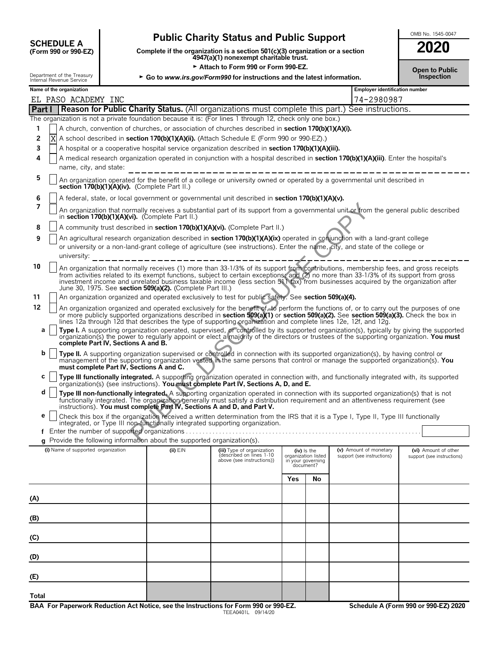# **CHEDULE A** Public Charity Status and Public Support<br>
(Form 990 or 990-EZ) Complete if the organization is a section 501(c)(3) organization or a section

**COMPOUTE A**<br>(Form 990 or 990-EZ) Complete if the organization is a section 501(c)(3) organization or a section<br>4947(a)(1) nonexempt charitable trust.

Department of the Treasury<br> **Example 2008 Consumer Service**<br> **Co to www.irs.gov/Form990 for instructions and the latest information.** 

| ZUZU                                |  |
|-------------------------------------|--|
| <b>Open to Public</b><br>Inspection |  |

|       |   | Name of the organization                      |                                                                          |                                                                                                                                                                                                                                                                                                                                                                                                                    |                                                       |               |                                                      |                                                    |
|-------|---|-----------------------------------------------|--------------------------------------------------------------------------|--------------------------------------------------------------------------------------------------------------------------------------------------------------------------------------------------------------------------------------------------------------------------------------------------------------------------------------------------------------------------------------------------------------------|-------------------------------------------------------|---------------|------------------------------------------------------|----------------------------------------------------|
|       |   | EL PASO ACADEMY INC                           |                                                                          |                                                                                                                                                                                                                                                                                                                                                                                                                    |                                                       |               | Employer identification number<br>74-2980987         |                                                    |
|       |   |                                               |                                                                          | <b>Part I</b> Reason for Public Charity Status. (All organizations must complete this part.) See instructions.                                                                                                                                                                                                                                                                                                     |                                                       |               |                                                      |                                                    |
|       |   |                                               |                                                                          | The organization is not a private foundation because it is: (For lines 1 through 12, check only one box.)                                                                                                                                                                                                                                                                                                          |                                                       |               |                                                      |                                                    |
| 1     |   |                                               |                                                                          | A church, convention of churches, or association of churches described in section 170(b)(1)(A)(i).                                                                                                                                                                                                                                                                                                                 |                                                       |               |                                                      |                                                    |
| 2     | Χ |                                               |                                                                          | A school described in section 170(b)(1)(A)(ii). (Attach Schedule E (Form 990 or 990-EZ).)                                                                                                                                                                                                                                                                                                                          |                                                       |               |                                                      |                                                    |
| 3     |   |                                               |                                                                          | A hospital or a cooperative hospital service organization described in section 170(b)(1)(A)(iii).                                                                                                                                                                                                                                                                                                                  |                                                       |               |                                                      |                                                    |
| 4     |   |                                               |                                                                          | A medical research organization operated in conjunction with a hospital described in section 170(b)(1)(A)(iii). Enter the hospital's                                                                                                                                                                                                                                                                               |                                                       |               |                                                      |                                                    |
|       |   | name, city, and state:                        |                                                                          |                                                                                                                                                                                                                                                                                                                                                                                                                    |                                                       |               |                                                      |                                                    |
| 5     |   | section 170(b)(1)(A)(iv). (Complete Part II.) |                                                                          | An organization operated for the benefit of a college or university owned or operated by a governmental unit described in                                                                                                                                                                                                                                                                                          |                                                       |               |                                                      |                                                    |
| 6     |   |                                               |                                                                          | A federal, state, or local government or governmental unit described in section 170(b)(1)(A)(v).                                                                                                                                                                                                                                                                                                                   |                                                       |               |                                                      |                                                    |
| 7     |   |                                               | in section 170(b)(1)(A)(vi). (Complete Part II.)                         | An organization that normally receives a substantial part of its support from a governmental unit or from the general public described                                                                                                                                                                                                                                                                             |                                                       |               |                                                      |                                                    |
| 8     |   |                                               |                                                                          | A community trust described in <b>section 170(b)(1)(A)(vi).</b> (Complete Part II.)                                                                                                                                                                                                                                                                                                                                |                                                       |               |                                                      |                                                    |
| 9     |   |                                               |                                                                          | An agricultural research organization described in section 170(b)(1)(A)(ix) operated in conjunction with a land-grant college<br>or university or a non-land-grant college of agriculture (see instructions). Enter the name, city, and state of the college or                                                                                                                                                    |                                                       |               |                                                      |                                                    |
|       |   | university:                                   |                                                                          | ______________________________                                                                                                                                                                                                                                                                                                                                                                                     |                                                       |               |                                                      |                                                    |
| 10    |   |                                               | June 30, 1975. See section 509(a)(2). (Complete Part III.)               | An organization that normally receives (1) more than 33-1/3% of its support from contributions, membership fees, and gross receipts<br>from activities related to its exempt functions, subject to certain exceptions, and (2) no more than 33-1/3% of its support from gross<br>investment income and unrelated business taxable income (less section 511 (ax) from businesses acquired by the organization after |                                                       |               |                                                      |                                                    |
| 11    |   |                                               |                                                                          | An organization organized and operated exclusively to test for public safety. See section 509(a)(4).                                                                                                                                                                                                                                                                                                               |                                                       |               |                                                      |                                                    |
| 12    |   |                                               |                                                                          | An organization organized and operated exclusively for the benefit of, to perform the functions of, or to carry out the purposes of one<br>or more publicly supported organizations described in section 509(a)(1) or section 509(a)(2). See section 509(a)(3). Check the box in                                                                                                                                   |                                                       |               |                                                      |                                                    |
|       |   |                                               |                                                                          | lines 12a through 12d that describes the type of supporting organization and complete lines 12e, 12f, and 12g.                                                                                                                                                                                                                                                                                                     |                                                       |               |                                                      |                                                    |
| а     |   | complete Part IV, Sections A and B.           |                                                                          | Type I. A supporting organization operated, supervised, or controlled by its supported organization(s), typically by giving the supported organization(s) the power to regularly apport or elect a majority of the directors o                                                                                                                                                                                     |                                                       |               |                                                      |                                                    |
| b     |   | must complete Part IV, Sections A and C.      |                                                                          | Type II. A supporting organization supervised or controlled in connection with its supported organization(s), by having control or<br>management of the supporting organization vested in the same persons that control or manage the supported organization(s). You                                                                                                                                               |                                                       |               |                                                      |                                                    |
| С     |   |                                               |                                                                          | Type III functionally integrated. A supporting organization operated in connection with, and functionally integrated with, its supported<br>organization(s) (see instructions). You must complete Part IV, Sections A, D, and E.                                                                                                                                                                                   |                                                       |               |                                                      |                                                    |
| d     |   |                                               |                                                                          | Type III non-functionally integrated. A supporting organization operated in connection with its supported organization(s) that is not<br>functionally integrated. The organization generally must satisfy a distribution requirement and an attentiveness requirement (see                                                                                                                                         |                                                       |               |                                                      |                                                    |
| е     |   |                                               |                                                                          | instructions). You must complete Part IV, Sections A and D, and Part V.<br>Check this box if the organization received a written determination from the IRS that it is a Type I, Type II, Type III functionally<br>integrated, or Type III non-functionally integrated supporting organization.                                                                                                                    |                                                       |               |                                                      |                                                    |
|       |   |                                               |                                                                          |                                                                                                                                                                                                                                                                                                                                                                                                                    |                                                       |               |                                                      |                                                    |
|       |   |                                               | g Provide the following information about the supported organization(s). |                                                                                                                                                                                                                                                                                                                                                                                                                    |                                                       |               |                                                      |                                                    |
|       |   | (i) Name of supported organization            | $(ii)$ $EIN$                                                             | (iii) Type of organization<br>described on lines 1-10<br>above (see instructions))                                                                                                                                                                                                                                                                                                                                 | organization listed<br>in your governing<br>document? | $(iv)$ is the | (v) Amount of monetary<br>support (see instructions) | (vi) Amount of other<br>support (see instructions) |
|       |   |                                               |                                                                          |                                                                                                                                                                                                                                                                                                                                                                                                                    | Yes                                                   | No            |                                                      |                                                    |
|       |   |                                               |                                                                          |                                                                                                                                                                                                                                                                                                                                                                                                                    |                                                       |               |                                                      |                                                    |
| (A)   |   |                                               |                                                                          |                                                                                                                                                                                                                                                                                                                                                                                                                    |                                                       |               |                                                      |                                                    |
|       |   |                                               |                                                                          |                                                                                                                                                                                                                                                                                                                                                                                                                    |                                                       |               |                                                      |                                                    |
| (B)   |   |                                               |                                                                          |                                                                                                                                                                                                                                                                                                                                                                                                                    |                                                       |               |                                                      |                                                    |
| (C)   |   |                                               |                                                                          |                                                                                                                                                                                                                                                                                                                                                                                                                    |                                                       |               |                                                      |                                                    |
| (D)   |   |                                               |                                                                          |                                                                                                                                                                                                                                                                                                                                                                                                                    |                                                       |               |                                                      |                                                    |
| (E)   |   |                                               |                                                                          |                                                                                                                                                                                                                                                                                                                                                                                                                    |                                                       |               |                                                      |                                                    |
|       |   |                                               |                                                                          |                                                                                                                                                                                                                                                                                                                                                                                                                    |                                                       |               |                                                      |                                                    |
| Total |   |                                               |                                                                          |                                                                                                                                                                                                                                                                                                                                                                                                                    |                                                       |               |                                                      |                                                    |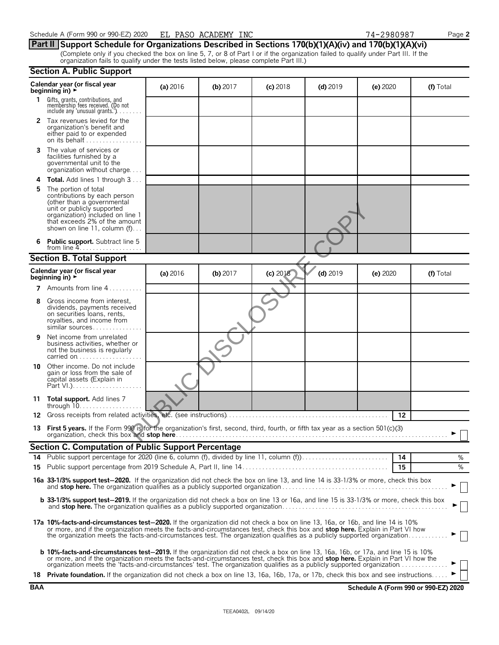|            | <b>Section A. Public Support</b>                                                                                                                                                                                                                                                                                                                                                                        |          |            |            |            |                                      |           |
|------------|---------------------------------------------------------------------------------------------------------------------------------------------------------------------------------------------------------------------------------------------------------------------------------------------------------------------------------------------------------------------------------------------------------|----------|------------|------------|------------|--------------------------------------|-----------|
|            | Calendar year (or fiscal year<br>beginning in) $\rightarrow$                                                                                                                                                                                                                                                                                                                                            | (a) 2016 | (b) 2017   | $(c)$ 2018 | $(d)$ 2019 | $(e)$ 2020                           | (f) Total |
| 1.         | Gifts, grants, contributions, and<br>membership fees received. (Do not<br>include any 'unusual grants'').                                                                                                                                                                                                                                                                                               |          |            |            |            |                                      |           |
| 2          | Tax revenues levied for the<br>organization's benefit and<br>either paid to or expended<br>on its behalf                                                                                                                                                                                                                                                                                                |          |            |            |            |                                      |           |
| 3          | The value of services or<br>facilities furnished by a<br>governmental unit to the<br>organization without charge                                                                                                                                                                                                                                                                                        |          |            |            |            |                                      |           |
| 4          | <b>Total.</b> Add lines 1 through 3                                                                                                                                                                                                                                                                                                                                                                     |          |            |            |            |                                      |           |
| 5          | The portion of total<br>contributions by each person<br>(other than a governmental<br>unit or publicly supported<br>organization) included on line 1<br>that exceeds 2% of the amount<br>shown on line 11, column $(f)$                                                                                                                                                                                 |          |            |            |            |                                      |           |
| 6          | <b>Public support.</b> Subtract line 5<br>from line $4$                                                                                                                                                                                                                                                                                                                                                 |          |            |            |            |                                      |           |
|            | <b>Section B. Total Support</b>                                                                                                                                                                                                                                                                                                                                                                         |          |            |            |            |                                      |           |
|            | Calendar year (or fiscal year<br>beginning in) $\rightarrow$                                                                                                                                                                                                                                                                                                                                            | (a) 2016 | $(b)$ 2017 | (c) 2018   | $(d)$ 2019 | (e) 2020                             | (f) Total |
|            | <b>7</b> Amounts from line 4                                                                                                                                                                                                                                                                                                                                                                            |          |            |            |            |                                      |           |
| 8          | Gross income from interest,<br>dividends, payments received<br>on securities loans, rents,<br>royalties, and income from<br>similar sources                                                                                                                                                                                                                                                             |          |            |            |            |                                      |           |
| 9          | Net income from unrelated<br>business activities, whether or<br>not the business is regularly<br>carried on                                                                                                                                                                                                                                                                                             |          |            |            |            |                                      |           |
| 10         | Other income. Do not include<br>gain or loss from the sale of<br>capital assets (Explain in                                                                                                                                                                                                                                                                                                             |          |            |            |            |                                      |           |
|            | 11 Total support. Add lines 7                                                                                                                                                                                                                                                                                                                                                                           |          |            |            |            |                                      |           |
| 12.        | Gross receipts from related activities, etc. (see instructions)                                                                                                                                                                                                                                                                                                                                         |          |            |            |            | 12                                   |           |
|            | 13 First 5 years. If the Form 990 is for the organization's first, second, third, fourth, or fifth tax year as a section 501(c)(3)                                                                                                                                                                                                                                                                      |          |            |            |            |                                      |           |
|            | <b>Section C. Computation of Public Support Percentage</b>                                                                                                                                                                                                                                                                                                                                              |          |            |            |            |                                      |           |
|            | 14 Public support percentage for 2020 (line 6, column (f), divided by line 11, column (f)                                                                                                                                                                                                                                                                                                               |          |            |            |            | - 14                                 | %<br>$\%$ |
|            |                                                                                                                                                                                                                                                                                                                                                                                                         |          |            |            |            | 15                                   |           |
|            | 16a 33-1/3% support test-2020. If the organization did not check the box on line 13, and line 14 is 33-1/3% or more, check this box                                                                                                                                                                                                                                                                     |          |            |            |            |                                      |           |
|            | b 33-1/3% support test-2019. If the organization did not check a box on line 13 or 16a, and line 15 is 33-1/3% or more, check this box                                                                                                                                                                                                                                                                  |          |            |            |            |                                      |           |
|            | 17a 10%-facts-and-circumstances test-2020. If the organization did not check a box on line 13, 16a, or 16b, and line 14 is 10%<br>or more, and if the organization meets the facts-and-circumstances test, check this box and stop here. Explain in Part VI how<br>the organization meets the facts-and-circumstances test. The organization qualifies as a publicly supported organization             |          |            |            |            |                                      |           |
|            | <b>b 10%-facts-and-circumstances test-2019.</b> If the organization did not check a box on line 13, 16a, 16b, or 17a, and line 15 is 10%<br>or more, and if the organization meets the facts-and-circumstances test, check this box and stop here. Explain in Part VI how the<br>organization meets the 'facts-and-circumstances' test. The organization qualifies as a publicly supported organization |          |            |            |            |                                      |           |
|            | 18 Private foundation. If the organization did not check a box on line 13, 16a, 16b, 17a, or 17b, check this box and see instructions                                                                                                                                                                                                                                                                   |          |            |            |            |                                      |           |
| <b>BAA</b> |                                                                                                                                                                                                                                                                                                                                                                                                         |          |            |            |            | Schedule A (Form 990 or 990-EZ) 2020 |           |

**Part II Support Schedule for Organizations Described in Sections 170(b)(1)(A)(iv) and 170(b)(1)(A)(vi)** (Complete only if you checked the box on line 5, 7, or 8 of Part I or if the organization failed to qualify under Part III. If the organization fails to qualify under the tests listed below, please complete Part III.)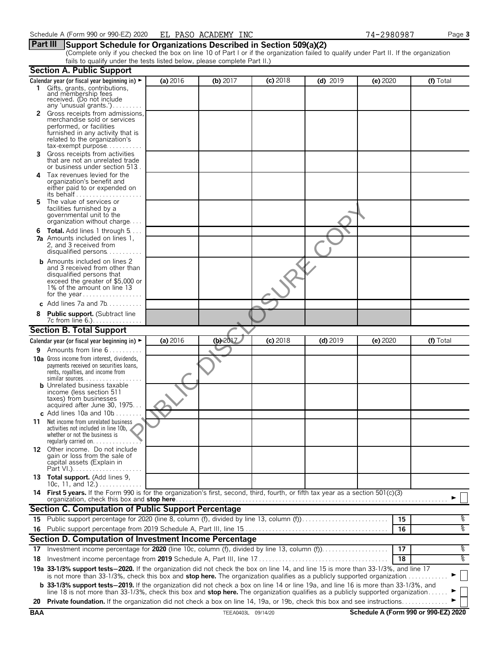(Complete only if you checked the box on line 10 of Part I or if the organization failed to qualify under Part II. If the organization fails to qualify under the tests listed below, please complete Part II.)

|    | <b>Section A. Public Support</b>                                                                                                                                                                                                                                              |          |          |            |            |          |           |
|----|-------------------------------------------------------------------------------------------------------------------------------------------------------------------------------------------------------------------------------------------------------------------------------|----------|----------|------------|------------|----------|-----------|
| 1  | Calendar year (or fiscal year beginning in) $\blacktriangleright$<br>Gifts, grants, contributions,<br>and membership fees<br>received. (Do not include                                                                                                                        | (a) 2016 | (b) 2017 | $(c)$ 2018 | $(d)$ 2019 | (e) 2020 | (f) Total |
|    | any 'unusual grants.')<br>2 Gross receipts from admissions,<br>merchandise sold or services<br>performed, or facilities<br>furnished in any activity that is<br>related to the organization's<br>$tax\text{-}exempt$ purpose                                                  |          |          |            |            |          |           |
| 3  | Gross receipts from activities<br>that are not an unrelated trade<br>or business under section 513.                                                                                                                                                                           |          |          |            |            |          |           |
| 4  | Tax revenues levied for the<br>organization's benefit and<br>either paid to or expended on<br>its behalf                                                                                                                                                                      |          |          |            |            |          |           |
| 5. | The value of services or<br>facilities furnished by a<br>governmental unit to the<br>organization without charge                                                                                                                                                              |          |          |            |            |          |           |
|    | <b>6 Total.</b> Add lines 1 through 5<br><b>7a</b> Amounts included on lines 1.<br>2, and 3 received from<br>disqualified persons                                                                                                                                             |          |          |            |            |          |           |
|    | <b>b</b> Amounts included on lines 2<br>and 3 received from other than<br>disqualified persons that<br>exceed the greater of \$5,000 or<br>1% of the amount on line 13                                                                                                        |          |          |            |            |          |           |
|    | c Add lines 7a and 7b                                                                                                                                                                                                                                                         |          |          |            |            |          |           |
|    | <b>Public support.</b> (Subtract line                                                                                                                                                                                                                                         |          |          |            |            |          |           |
|    | <b>Section B. Total Support</b>                                                                                                                                                                                                                                               |          |          |            |            |          |           |
|    | Calendar year (or fiscal year beginning in) $\blacktriangleright$                                                                                                                                                                                                             | (a) 2016 | (b) 2017 | $(c)$ 2018 | $(d)$ 2019 | (e) 2020 | (f) Total |
|    | <b>9</b> Amounts from line $6 \ldots \ldots$                                                                                                                                                                                                                                  |          |          |            |            |          |           |
|    | <b>10a</b> Gross income from interest, dividends,<br>payments received on securities loans,<br>rents, royalties, and income from<br>$similar$ sources.                                                                                                                        |          |          |            |            |          |           |
|    | <b>b</b> Unrelated business taxable<br>income (less section 511<br>taxes) from businesses<br>acquired after June 30, 1975                                                                                                                                                     |          |          |            |            |          |           |
| 11 | <b>c</b> Add lines 10a and $10b$<br>Net income from unrelated business<br>activities not included in line $10b$ ,<br>whether or not the business is<br>regularly carried on. $\ldots$                                                                                         |          |          |            |            |          |           |
|    | 12 Other income. Do not include<br>gain or loss from the sale of<br>capital assets (Explain in                                                                                                                                                                                |          |          |            |            |          |           |
|    | 13 Total support. (Add lines 9,<br>10c, 11, and 12.)                                                                                                                                                                                                                          |          |          |            |            |          |           |
|    | 14 First 5 years. If the Form 990 is for the organization's first, second, third, fourth, or fifth tax year as a section 501(c)(3)<br>organization, check this box and stop here.                                                                                             |          |          |            |            |          |           |
|    | Section C. Computation of Public Support Percentage                                                                                                                                                                                                                           |          |          |            |            |          |           |
| 15 | Public support percentage for 2020 (line 8, column (f), divided by line 13, column (f)                                                                                                                                                                                        |          |          |            |            | 15       | %         |
| 16 |                                                                                                                                                                                                                                                                               |          |          |            |            | 16       | oko       |
|    | Section D. Computation of Investment Income Percentage                                                                                                                                                                                                                        |          |          |            |            |          |           |
| 17 |                                                                                                                                                                                                                                                                               |          |          |            |            | 17       | ್ಠಿ       |
| 18 |                                                                                                                                                                                                                                                                               |          |          |            |            | 18       | ್ಠಿ       |
|    | 19a 33-1/3% support tests-2020. If the organization did not check the box on line 14, and line 15 is more than 33-1/3%, and line 17<br>is not more than 33-1/3%, check this box and stop here. The organization qualifies as a publicly supported organization                |          |          |            |            |          |           |
|    | <b>b</b> 33-1/3% support tests-2019. If the organization did not check a box on line 14 or line 19a, and line 16 is more than 33-1/3%, and<br>line 18 is not more than 33-1/3%, check this box and stop here. The organization qualifies as a publicly supported organization |          |          |            |            |          |           |
|    | 20 Private foundation. If the organization did not check a box on line 14, 19a, or 19b, check this box and see instructions                                                                                                                                                   |          |          |            |            |          |           |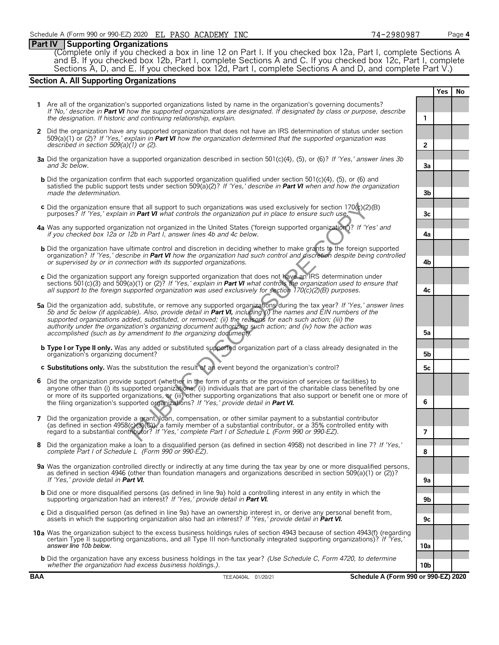# **Part IV Supporting Organizations**

(Complete only if you checked a box in line 12 on Part I. If you checked box 12a, Part I, complete Sections A and B. If you checked box 12b, Part I, complete Sections A and C. If you checked box 12c, Part I, complete Sections A, D, and E. If you checked box 12d, Part I, complete Sections A and D, and complete Part V.)

# **Section A. All Supporting Organizations**

|   |                                                                                                                                                                                                                                                                                                                                                                                                                                                                            |                      | <b>Yes</b> | No |
|---|----------------------------------------------------------------------------------------------------------------------------------------------------------------------------------------------------------------------------------------------------------------------------------------------------------------------------------------------------------------------------------------------------------------------------------------------------------------------------|----------------------|------------|----|
|   | 1 Are all of the organization's supported organizations listed by name in the organization's governing documents?<br>If 'No,' describe in Part VI how the supported organizations are designated. If designated by class or purpose, describe<br>the designation. If historic and continuing relationship, explain.                                                                                                                                                        | $\mathbf{1}$         |            |    |
|   | 2 Did the organization have any supported organization that does not have an IRS determination of status under section<br>509(a)(1) or (2)? If 'Yes,' explain in <b>Part VI</b> how the organization determined that the supported organization was                                                                                                                                                                                                                        |                      |            |    |
|   | described in section $509(a)(1)$ or (2).<br>3a Did the organization have a supported organization described in section 501(c)(4), (5), or (6)? If 'Yes,' answer lines 3b<br>and 3c below.                                                                                                                                                                                                                                                                                  | $\overline{2}$<br>За |            |    |
|   | <b>b</b> Did the organization confirm that each supported organization qualified under section $501(c)(4)$ , (5), or (6) and<br>satisfied the public support tests under section 509(a)(2)? If 'Yes,' describe in <b>Part VI</b> when and how the organization                                                                                                                                                                                                             |                      |            |    |
|   | made the determination.<br>c Did the organization ensure that all support to such organizations was used exclusively for section $170(c)(2)$ (B)<br>purposes? If 'Yes,' explain in <b>Part VI</b> what controls the organization put in place to ensure such use.                                                                                                                                                                                                          | 3b<br>3c             |            |    |
|   | 4a Was any supported organization not organized in the United States ('foreign supported organization')? If 'Yes' and<br>if you checked box 12a or 12b in Part I, answer lines 4b and 4c below.                                                                                                                                                                                                                                                                            | 4a                   |            |    |
|   | <b>b</b> Did the organization have ultimate control and discretion in deciding whether to make grants to the foreign supported<br>organization? If 'Yes,' describe in Part VI how the organization had such control and discretion despite being controlled<br>or supervised by or in connection with its supported organizations.                                                                                                                                         | 4b                   |            |    |
|   | c Did the organization support any foreign supported organization that does not have an IRS determination under<br>sections 501(c)(3) and 509(a)(1) or (2)? If 'Yes,' explain in <b>Part VI</b> what controls the organization used to ensure that<br>all support to the foreign supported organization was used exclusively for section $170(c)(2)(B)$ purposes.                                                                                                          | 4c                   |            |    |
|   | 5a Did the organization add, substitute, or remove any supported organizations during the tax year? If 'Yes,' answer lines<br>5b and 5c below (if applicable). Also, provide detail in Part VI, including (i) the names and EIN numbers of the<br>supported organizations added, substituted, or removed; (ii) the reasons for each such action; (iii) the                                                                                                                 |                      |            |    |
|   | authority under the organization's organizing document authorizing such action; and (iv) how the action was<br>accomplished (such as by amendment to the organizing document).                                                                                                                                                                                                                                                                                             | 5а                   |            |    |
|   | <b>b Type I or Type II only.</b> Was any added or substituted supported organization part of a class already designated in the<br>organization's organizing document?                                                                                                                                                                                                                                                                                                      | 5 <sub>b</sub>       |            |    |
|   | c Substitutions only. Was the substitution the result of an event beyond the organization's control?                                                                                                                                                                                                                                                                                                                                                                       | 5с                   |            |    |
| 6 | Did the organization provide support (whether in the form of grants or the provision of services or facilities) to<br>anyone other than (i) its supported organizations, (ii) individuals that are part of the charitable class benefited by one<br>or more of its supported organizations, or (iii) other supporting organizations that also support or benefit one or more of<br>the filing organization's supported organizations? If 'Yes,' provide detail in Part VI. | 6                    |            |    |
|   | 7 Did the organization provide a grant, loan, compensation, or other similar payment to a substantial contributor<br>(as defined in section 4958(c)(3)(C)), a family member of a substantial contributor, or a 35% controlled entity with<br>regard to a substantial contributor? If 'Yes,' complete Part I of Schedule L (Form 990 or 990-EZ).                                                                                                                            | $\overline{7}$       |            |    |
|   | Did the organization make a loan to a disqualified person (as defined in section 4958) not described in line 7? If 'Yes,'<br>complete Part I of Schedule L (Form 990 or 990-EZ).                                                                                                                                                                                                                                                                                           | 8                    |            |    |
|   | 9a Was the organization controlled directly or indirectly at any time during the tax year by one or more disqualified persons,<br>as defined in section 4946 (other than foundation managers and organizations described in section 509(a)(1) or (2))?                                                                                                                                                                                                                     |                      |            |    |
|   | If 'Yes,' provide detail in Part VI.<br><b>b</b> Did one or more disqualified persons (as defined in line 9a) hold a controlling interest in any entity in which the<br>supporting organization had an interest? If 'Yes,' provide detail in Part VI.                                                                                                                                                                                                                      | 9a<br>9b             |            |    |
|   | c Did a disqualified person (as defined in line 9a) have an ownership interest in, or derive any personal benefit from,<br>assets in which the supporting organization also had an interest? If 'Yes,' provide detail in Part VI.                                                                                                                                                                                                                                          | 9c                   |            |    |
|   | 10a Was the organization subject to the excess business holdings rules of section 4943 because of section 4943(f) (regarding<br>certain Type II supporting organizations, and all Type III non-functionally integrated supporting organizations)? If 'Yes,'<br>answer line 10b below.                                                                                                                                                                                      | 10a                  |            |    |
|   | <b>b</b> Did the organization have any excess business holdings in the tax year? (Use Schedule C, Form 4720, to determine<br>whether the organization had excess business holdings.).                                                                                                                                                                                                                                                                                      | 10b                  |            |    |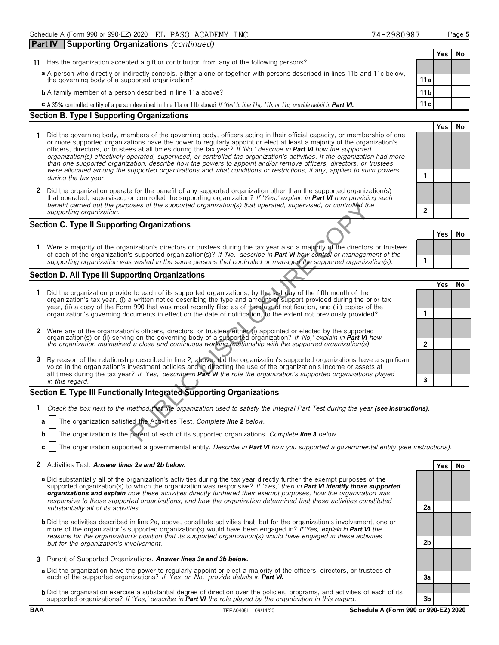|    | Part IV | Supporting Organizations (continued)                                                                                                                                                                                                                                                                                                                                                                                                                                                                                                                                                                                                                                                                                                                       |                 |            |           |
|----|---------|------------------------------------------------------------------------------------------------------------------------------------------------------------------------------------------------------------------------------------------------------------------------------------------------------------------------------------------------------------------------------------------------------------------------------------------------------------------------------------------------------------------------------------------------------------------------------------------------------------------------------------------------------------------------------------------------------------------------------------------------------------|-----------------|------------|-----------|
|    |         |                                                                                                                                                                                                                                                                                                                                                                                                                                                                                                                                                                                                                                                                                                                                                            |                 | <b>Yes</b> | No        |
| 11 |         | Has the organization accepted a gift or contribution from any of the following persons?                                                                                                                                                                                                                                                                                                                                                                                                                                                                                                                                                                                                                                                                    |                 |            |           |
|    |         | a A person who directly or indirectly controls, either alone or together with persons described in lines 11b and 11c below,<br>the governing body of a supported organization?                                                                                                                                                                                                                                                                                                                                                                                                                                                                                                                                                                             | 11a             |            |           |
|    |         | <b>b</b> A family member of a person described in line 11a above?                                                                                                                                                                                                                                                                                                                                                                                                                                                                                                                                                                                                                                                                                          | 11 <sub>b</sub> |            |           |
|    |         | <b>C</b> A 35% controlled entity of a person described in line 11a or 11b above? If 'Yes' to line 11a, 11b, or 11c, provide detail in <b>Part VI.</b>                                                                                                                                                                                                                                                                                                                                                                                                                                                                                                                                                                                                      | 11c             |            |           |
|    |         | <b>Section B. Type I Supporting Organizations</b>                                                                                                                                                                                                                                                                                                                                                                                                                                                                                                                                                                                                                                                                                                          |                 |            |           |
|    |         |                                                                                                                                                                                                                                                                                                                                                                                                                                                                                                                                                                                                                                                                                                                                                            |                 | <b>Yes</b> | <b>No</b> |
|    |         | Did the governing body, members of the governing body, officers acting in their official capacity, or membership of one<br>or more supported organizations have the power to regularly appoint or elect at least a majority of the organization's<br>officers, directors, or trustees at all times during the tax year? If 'No,' describe in <b>Part VI</b> how the supported<br>organization(s) effectively operated, supervised, or controlled the organization's activities. If the organization had more<br>than one supported organization, describe how the powers to appoint and/or remove officers, directors, or trustees<br>were allocated among the supported organizations and what conditions or restrictions, if any, applied to such powers |                 |            |           |
|    |         | during the tax year.                                                                                                                                                                                                                                                                                                                                                                                                                                                                                                                                                                                                                                                                                                                                       |                 |            |           |
| 2  |         | Did the organization operate for the benefit of any supported organization other than the supported organization(s)<br>that operated, supervised, or controlled the supporting organization? If 'Yes,' explain in <b>Part VI</b> how providing such                                                                                                                                                                                                                                                                                                                                                                                                                                                                                                        |                 |            |           |
|    |         | benefit carried out the purposes of the supported organization(s) that operated, supervised, or controlled the<br>supporting organization.                                                                                                                                                                                                                                                                                                                                                                                                                                                                                                                                                                                                                 | $\overline{2}$  |            |           |
|    |         | <b>Section C. Type II Supporting Organizations</b>                                                                                                                                                                                                                                                                                                                                                                                                                                                                                                                                                                                                                                                                                                         |                 |            |           |
|    |         |                                                                                                                                                                                                                                                                                                                                                                                                                                                                                                                                                                                                                                                                                                                                                            |                 | <b>Yes</b> | No.       |
|    |         | 1 Were a majority of the organization's directors or trustees during the tax year also a majority of the directors or trustees                                                                                                                                                                                                                                                                                                                                                                                                                                                                                                                                                                                                                             |                 |            |           |

# **Section D. All Type III Supporting Organizations**

|             | benefit carried out the purposes of the supported organization(s) that operated, supervised, or controlled the<br>supporting organization.                                                                                                                                                                                                                                                      | $\mathbf{2}$ |     |    |
|-------------|-------------------------------------------------------------------------------------------------------------------------------------------------------------------------------------------------------------------------------------------------------------------------------------------------------------------------------------------------------------------------------------------------|--------------|-----|----|
|             | Section C. Type II Supporting Organizations                                                                                                                                                                                                                                                                                                                                                     |              |     |    |
|             |                                                                                                                                                                                                                                                                                                                                                                                                 |              | Yes | No |
|             | Were a majority of the organization's directors or trustees during the tax year also a majority of the directors or trustees<br>of each of the organization's supported organization(s)? If 'No,' describe in Part VI how control or management of the<br>supporting organization was vested in the same persons that controlled or managed the supported organization(s).                      | 1            |     |    |
|             | Section D. All Type III Supporting Organizations                                                                                                                                                                                                                                                                                                                                                |              |     |    |
|             | Did the organization provide to each of its supported organizations, by the last day of the fifth month of the                                                                                                                                                                                                                                                                                  |              | Yes | No |
|             | organization's tax year, (i) a written notice describing the type and amount of support provided during the prior tax                                                                                                                                                                                                                                                                           |              |     |    |
|             | year, (ii) a copy of the Form 990 that was most recently filed as of the date of notification, and (iii) copies of the<br>organization's governing documents in effect on the date of notification, to the extent not previously provided?                                                                                                                                                      | 1            |     |    |
|             |                                                                                                                                                                                                                                                                                                                                                                                                 |              |     |    |
| $2^{\circ}$ | Were any of the organization's officers, directors, or trustees either (i) appointed or elected by the supported                                                                                                                                                                                                                                                                                |              |     |    |
|             | organization(s) or (ii) serving on the governing body of a supported organization? If 'No,' explain in Part VI how<br>the organization maintained a close and continuous working relationship with the supported organization(s).                                                                                                                                                               | $\mathbf{2}$ |     |    |
| 3           | By reason of the relationship described in line 2, above, did the organization's supported organizations have a significant<br>voice in the organization's investment policies and in directing the use of the organization's income or assets at<br>all times during the tax year? If 'Yes,' describe in Part VI the role the organization's supported organizations played<br>in this regard. | 3            |     |    |
|             | Section E. Type III Functionally Integrated Supporting Organizations                                                                                                                                                                                                                                                                                                                            |              |     |    |
|             |                                                                                                                                                                                                                                                                                                                                                                                                 |              |     |    |
|             | Check the box next to the method that the organization used to satisfy the Integral Part Test during the year (see instructions).                                                                                                                                                                                                                                                               |              |     |    |
|             | The organization satisfied the Activities Test. Complete line 2 below.<br>a                                                                                                                                                                                                                                                                                                                     |              |     |    |
|             | The organization is the parent of each of its supported organizations. Complete line 3 below.<br>b.                                                                                                                                                                                                                                                                                             |              |     |    |

# **Section E. Type III Functionally Integrated Supporting Organizations**

- **a** The organization satisfied the Activities Test. *Complete line 2 below.*
- **b** The organization is the parent of each of its supported organizations. *Complete line 3 below.*
- **c** The organization supported a governmental entity. *Describe in Part VI how you supported a governmental entity (see instructions).*

## **2** Activities Test. **Answer lines 2a and 2b below. Yes No**

- **a** Did substantially all of the organization's activities during the tax year directly further the exempt purposes of the supported organization(s) to which the organization was responsive? *If 'Yes,' then in Part VI identify those supported organizations and explain how these activities directly furthered their exempt purposes, how the organization was responsive to those supported organizations, and how the organization determined that these activities constituted substantially all of its activities.* **2a**
- **b** Did the activities described in line 2a, above, constitute activities that, but for the organization's involvement, one or more of the organization's supported organization(s) would have been engaged in? *If 'Yes,' explain in Part VI the reasons for the organization's position that its supported organization(s) would have engaged in these activities but for the organization's involvement.* **2b**
- **3** Parent of Supported Organizations. *Answer lines 3a and 3b below.*
- **a** Did the organization have the power to regularly appoint or elect a majority of the officers, directors, or trustees of each of the supported organizations? *If 'Yes' or 'No,' provide details in Part VI.* **3a**
- **b** Did the organization exercise a substantial degree of direction over the policies, programs, and activities of each of its supported organizations? *If 'Yes,' describe in Part VI the role played by the organization in this regard.* **3b**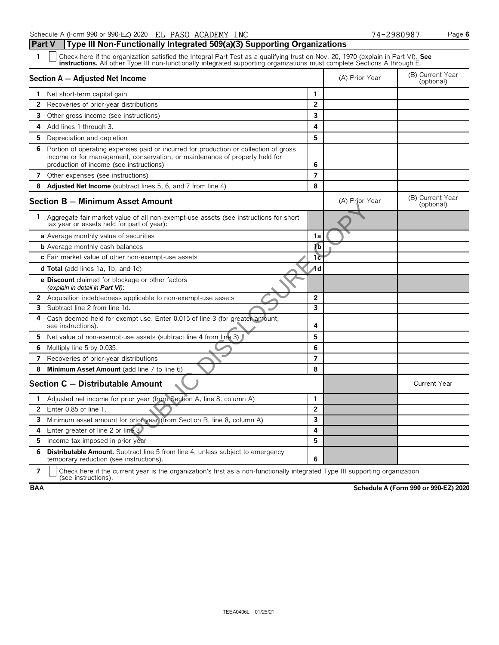**Part V Type III Non-Functionally Integrated 509(a)(3) Supporting Organizations**

| Section A - Adjusted Net Income           |                                                                                                                                                                                                                |                         | (A) Prior Year | (B) Current Year<br>(optional) |
|-------------------------------------------|----------------------------------------------------------------------------------------------------------------------------------------------------------------------------------------------------------------|-------------------------|----------------|--------------------------------|
| Net short-term capital gain<br>1.         |                                                                                                                                                                                                                | $\mathbf{1}$            |                |                                |
| $\mathbf{2}$                              | Recoveries of prior-year distributions                                                                                                                                                                         | $\overline{2}$          |                |                                |
| 3                                         | Other gross income (see instructions)                                                                                                                                                                          | 3                       |                |                                |
| 4<br>Add lines 1 through 3.               |                                                                                                                                                                                                                | 4                       |                |                                |
| 5.<br>Depreciation and depletion          |                                                                                                                                                                                                                | 5                       |                |                                |
| 6                                         | Portion of operating expenses paid or incurred for production or collection of gross<br>income or for management, conservation, or maintenance of property held for<br>production of income (see instructions) | 6                       |                |                                |
| 7 Other expenses (see instructions)       |                                                                                                                                                                                                                | $\overline{7}$          |                |                                |
| 8                                         | <b>Adjusted Net Income</b> (subtract lines 5, 6, and 7 from line 4)                                                                                                                                            | 8                       |                |                                |
|                                           | Section B - Minimum Asset Amount                                                                                                                                                                               |                         | (A) Prior Year | (B) Current Year<br>(optional) |
| 1.                                        | Aggregate fair market value of all non-exempt-use assets (see instructions for short<br>tax year or assets held for part of year):                                                                             |                         |                |                                |
|                                           | <b>a</b> Average monthly value of securities                                                                                                                                                                   | 1a                      |                |                                |
| <b>b</b> Average monthly cash balances    |                                                                                                                                                                                                                | ſb                      |                |                                |
|                                           | c Fair market value of other non-exempt-use assets                                                                                                                                                             | 1c                      |                |                                |
| <b>d Total</b> (add lines 1a, 1b, and 1c) |                                                                                                                                                                                                                | ⁄1d                     |                |                                |
| (explain in detail in Part VI):           | e Discount claimed for blockage or other factors                                                                                                                                                               |                         |                |                                |
|                                           | 2 Acquisition indebtedness applicable to non-exempt-use assets                                                                                                                                                 | $\overline{2}$          |                |                                |
| <b>3</b> Subtract line 2 from line 1d.    |                                                                                                                                                                                                                | $\overline{\mathbf{3}}$ |                |                                |
| 4<br>see instructions).                   | Cash deemed held for exempt use. Enter 0.015 of line 3 (for greater amount,                                                                                                                                    | 4                       |                |                                |
|                                           | 5 Net value of non-exempt-use assets (subtract line 4 from line 3)                                                                                                                                             | 5                       |                |                                |
| 6<br>Multiply line 5 by 0.035.            |                                                                                                                                                                                                                | 6                       |                |                                |
| 7                                         | Recoveries of prior-year distributions                                                                                                                                                                         | $\overline{7}$          |                |                                |
| 8                                         | Minimum Asset Amount (add line 7 to line 6)                                                                                                                                                                    | 8                       |                |                                |
|                                           | Section C - Distributable Amount                                                                                                                                                                               |                         |                | <b>Current Year</b>            |
| $\mathbf{1}$                              | Adjusted net income for prior year (from Section A, line 8, column A)                                                                                                                                          | 1                       |                |                                |
| Enter 0.85 of line 1.<br>$\mathbf{2}$     |                                                                                                                                                                                                                | $\overline{2}$          |                |                                |
|                                           | 3 Minimum asset amount for prior year (from Section B, line 8, column A)                                                                                                                                       | $\overline{\mathbf{3}}$ |                |                                |
| Enter greater of line 2 or line 3.<br>4   |                                                                                                                                                                                                                | 4                       |                |                                |
| 5 Income tax imposed in prior year        |                                                                                                                                                                                                                | 5                       |                |                                |
|                                           |                                                                                                                                                                                                                |                         |                |                                |

**7**  $\Box$  Check here if the current year is the organization's first as a non-functionally integrated Type III supporting organization (see instructions).

**BAA Schedule A (Form 990 or 990-EZ) 2020**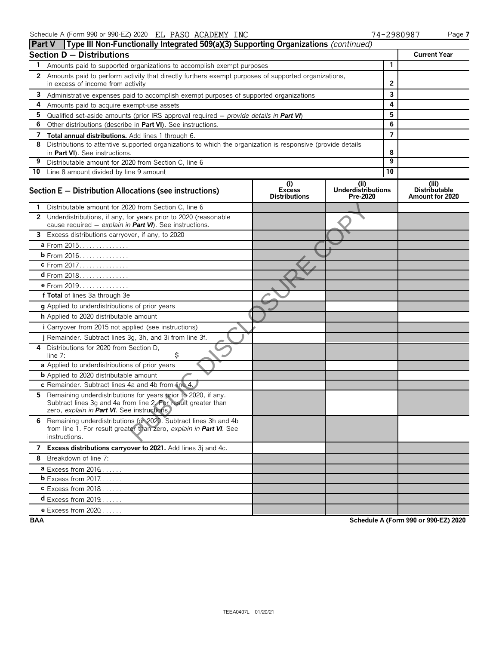|    | <b>Part V</b>   Type III Non-Functionally Integrated 509(a)(3) Supporting Organizations (continued)                                                                           |                                              |                                              |                |                                                  |
|----|-------------------------------------------------------------------------------------------------------------------------------------------------------------------------------|----------------------------------------------|----------------------------------------------|----------------|--------------------------------------------------|
|    | <b>Section D - Distributions</b>                                                                                                                                              |                                              |                                              |                | <b>Current Year</b>                              |
| 1. | Amounts paid to supported organizations to accomplish exempt purposes                                                                                                         |                                              |                                              | $\mathbf{1}$   |                                                  |
|    | 2 Amounts paid to perform activity that directly furthers exempt purposes of supported organizations,                                                                         |                                              |                                              |                |                                                  |
|    | in excess of income from activity                                                                                                                                             |                                              | 2                                            |                |                                                  |
| 3  | Administrative expenses paid to accomplish exempt purposes of supported organizations                                                                                         |                                              |                                              | 3              |                                                  |
| 4  | Amounts paid to acquire exempt-use assets                                                                                                                                     |                                              |                                              | 4              |                                                  |
| 5  | Qualified set-aside amounts (prior IRS approval required $-$ provide details in <b>Part VI</b> )                                                                              |                                              |                                              | 5              |                                                  |
| 6  | Other distributions (describe in Part VI). See instructions.                                                                                                                  |                                              |                                              | 6              |                                                  |
| 7  | Total annual distributions. Add lines 1 through 6.                                                                                                                            |                                              |                                              | $\overline{7}$ |                                                  |
| 8  | Distributions to attentive supported organizations to which the organization is responsive (provide details<br>in Part VI). See instructions.                                 |                                              |                                              | 8              |                                                  |
| 9  | Distributable amount for 2020 from Section C, line 6                                                                                                                          |                                              |                                              | 9              |                                                  |
|    | 10 Line 8 amount divided by line 9 amount                                                                                                                                     |                                              |                                              | 10             |                                                  |
|    | Section E - Distribution Allocations (see instructions)                                                                                                                       | (i)<br><b>Excess</b><br><b>Distributions</b> | (i)<br><b>Underdistributions</b><br>Pre-2020 |                | (iii)<br><b>Distributable</b><br>Amount for 2020 |
|    | 1 Distributable amount for 2020 from Section C, line 6                                                                                                                        |                                              |                                              |                |                                                  |
|    | 2 Underdistributions, if any, for years prior to 2020 (reasonable<br>cause required - explain in Part VI). See instructions.                                                  |                                              |                                              |                |                                                  |
|    | 3 Excess distributions carryover, if any, to 2020                                                                                                                             |                                              |                                              |                |                                                  |
|    | a From 2015.                                                                                                                                                                  |                                              |                                              |                |                                                  |
|    | <b>b</b> From 2016.                                                                                                                                                           |                                              |                                              |                |                                                  |
|    | c From 2017                                                                                                                                                                   |                                              |                                              |                |                                                  |
|    | $d$ From 2018.                                                                                                                                                                |                                              |                                              |                |                                                  |
|    | e From 2019.                                                                                                                                                                  |                                              |                                              |                |                                                  |
|    | f Total of lines 3a through 3e                                                                                                                                                |                                              |                                              |                |                                                  |
|    | g Applied to underdistributions of prior years                                                                                                                                |                                              |                                              |                |                                                  |
|    | h Applied to 2020 distributable amount                                                                                                                                        |                                              |                                              |                |                                                  |
|    | <i>i</i> Carryover from 2015 not applied (see instructions)                                                                                                                   |                                              |                                              |                |                                                  |
|    | j Remainder. Subtract lines 3g, 3h, and 3i from line 3f.                                                                                                                      |                                              |                                              |                |                                                  |
| 4  | Distributions for 2020 from Section D.<br>\$<br>line $7:$                                                                                                                     |                                              |                                              |                |                                                  |
|    | a Applied to underdistributions of prior years                                                                                                                                |                                              |                                              |                |                                                  |
|    | <b>b</b> Applied to 2020 distributable amount                                                                                                                                 |                                              |                                              |                |                                                  |
|    | c Remainder. Subtract lines 4a and 4b from line 4.                                                                                                                            |                                              |                                              |                |                                                  |
| 5. | Remaining underdistributions for years prior to 2020, if any.<br>Subtract lines 3g and 4a from line 2. For result greater than<br>zero, explain in Part VI. See instructions. |                                              |                                              |                |                                                  |
|    | 6 Remaining underdistributions for 2020. Subtract lines 3h and 4b<br>from line 1. For result greater than zero, explain in Part VI. See<br>instructions.                      |                                              |                                              |                |                                                  |
|    | 7 Excess distributions carryover to 2021. Add lines 3j and 4c.                                                                                                                |                                              |                                              |                |                                                  |
|    | 8 Breakdown of line 7:                                                                                                                                                        |                                              |                                              |                |                                                  |
|    | $a$ Excess from 2016                                                                                                                                                          |                                              |                                              |                |                                                  |
|    | <b>b</b> Excess from $2017$                                                                                                                                                   |                                              |                                              |                |                                                  |
|    | $c$ Excess from 2018                                                                                                                                                          |                                              |                                              |                |                                                  |
|    | <b>d</b> Excess from $2019$                                                                                                                                                   |                                              |                                              |                |                                                  |
|    | <b>e</b> Excess from 2020                                                                                                                                                     |                                              |                                              |                |                                                  |

**BAA Schedule A (Form 990 or 990-EZ) 2020**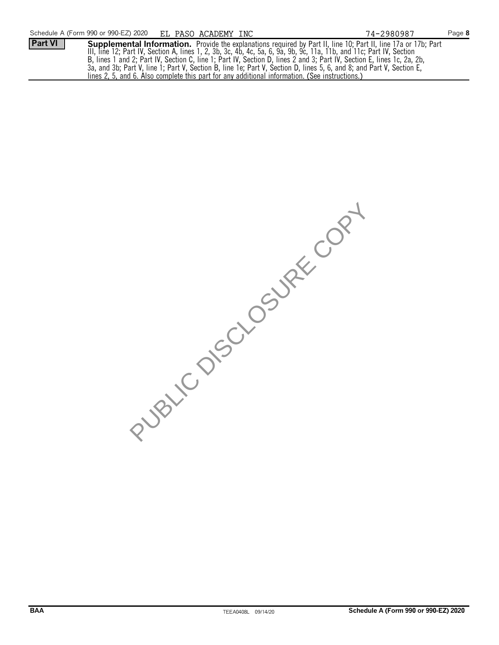

PUBLIC DISCUSSIRE COPY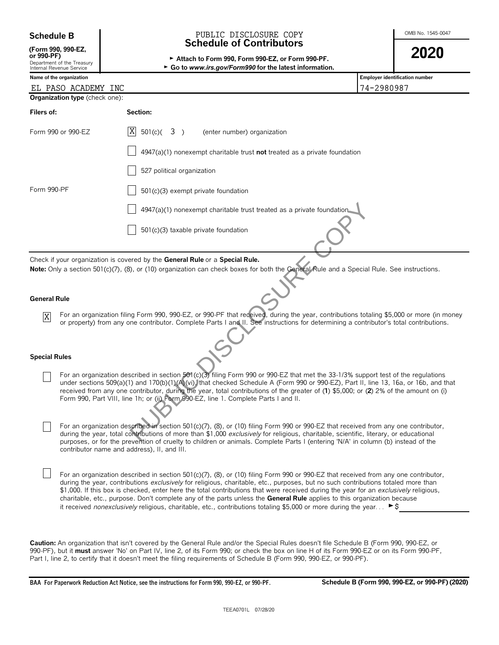| <b>Schedule B</b> |  |  |
|-------------------|--|--|
|-------------------|--|--|

|               | (Form 990, 990-EZ |
|---------------|-------------------|
| $\sim$ 000 PP |                   |

| or 990-PF)             |  |  |
|------------------------|--|--|
| Donartmant of the Trai |  |  |

### Schedule B **Schedule B COLOSURE COPY COPY COPY COPY COPY COPY COPY COPY CONB** No. 1545-0047 **Schedule of Contributors** PUBLIC DISCLOSURE COPY

**or 990-PF)** <sup>G</sup>**Attach to Form 990, Form 990-EZ, or Form 990-PF. 2020**



| Λ | T |
|---|---|
|   | J |
|   |   |

|                      | Department of the Treasury<br>Internal Revenue Service | ► Go to www.irs.gov/Form990 for the latest information.                                                                                                                                                                                                                                                                                                                                                                                                                                                                                                                                                                                                                               |                                |
|----------------------|--------------------------------------------------------|---------------------------------------------------------------------------------------------------------------------------------------------------------------------------------------------------------------------------------------------------------------------------------------------------------------------------------------------------------------------------------------------------------------------------------------------------------------------------------------------------------------------------------------------------------------------------------------------------------------------------------------------------------------------------------------|--------------------------------|
|                      | Name of the organization                               |                                                                                                                                                                                                                                                                                                                                                                                                                                                                                                                                                                                                                                                                                       | Employer identification number |
|                      | EL PASO ACADEMY INC                                    |                                                                                                                                                                                                                                                                                                                                                                                                                                                                                                                                                                                                                                                                                       | 74-2980987                     |
|                      | Organization type (check one):                         |                                                                                                                                                                                                                                                                                                                                                                                                                                                                                                                                                                                                                                                                                       |                                |
| Filers of:           |                                                        | Section:                                                                                                                                                                                                                                                                                                                                                                                                                                                                                                                                                                                                                                                                              |                                |
|                      | Form 990 or 990-EZ                                     | X<br>$501(c)$ (3)<br>(enter number) organization                                                                                                                                                                                                                                                                                                                                                                                                                                                                                                                                                                                                                                      |                                |
|                      |                                                        | $4947(a)(1)$ nonexempt charitable trust not treated as a private foundation                                                                                                                                                                                                                                                                                                                                                                                                                                                                                                                                                                                                           |                                |
|                      |                                                        | 527 political organization                                                                                                                                                                                                                                                                                                                                                                                                                                                                                                                                                                                                                                                            |                                |
| Form 990-PF          |                                                        | 501(c)(3) exempt private foundation                                                                                                                                                                                                                                                                                                                                                                                                                                                                                                                                                                                                                                                   |                                |
|                      |                                                        | 4947(a)(1) nonexempt charitable trust treated as a private foundation                                                                                                                                                                                                                                                                                                                                                                                                                                                                                                                                                                                                                 |                                |
|                      |                                                        | 501(c)(3) taxable private foundation                                                                                                                                                                                                                                                                                                                                                                                                                                                                                                                                                                                                                                                  |                                |
|                      |                                                        | Check if your organization is covered by the General Rule or a Special Rule.<br>Note: Only a section 501(c)(7), (8), or (10) organization can check boxes for both the General Rule and a Special Rule. See instructions.                                                                                                                                                                                                                                                                                                                                                                                                                                                             |                                |
| <b>General Rule</b>  |                                                        |                                                                                                                                                                                                                                                                                                                                                                                                                                                                                                                                                                                                                                                                                       |                                |
| $\mathbf X$          |                                                        | For an organization filing Form 990, 990-EZ, or 990-PF that received, during the year, contributions totaling \$5,000 or more (in money<br>or property) from any one contributor. Complete Parts I and II. See instructions for determining a contributor's total contributions.                                                                                                                                                                                                                                                                                                                                                                                                      |                                |
| <b>Special Rules</b> |                                                        |                                                                                                                                                                                                                                                                                                                                                                                                                                                                                                                                                                                                                                                                                       |                                |
|                      |                                                        | For an organization described in section 501(c)(3) filing Form 990 or 990-EZ that met the 33-1/3% support test of the regulations<br>under sections 509(a)(1) and 170(b)(1)(A)(vi), that checked Schedule A (Form 990 or 990-EZ), Part II, line 13, 16a, or 16b, and that<br>received from any one contributor, during the year, total contributions of the greater of (1) \$5,000; or (2) 2% of the amount on (i)<br>Form 990, Part VIII, line 1h; or (ii) Form 990-EZ, line 1. Complete Parts I and II.                                                                                                                                                                             |                                |
|                      |                                                        | For an organization described in section 501(c)(7), (8), or (10) filing Form 990 or 990-EZ that received from any one contributor,<br>during the year, total contributions of more than \$1,000 exclusively for religious, charitable, scientific, literary, or educational<br>purposes, or for the prevention of cruelty to children or animals. Complete Parts I (entering 'N/A' in column (b) instead of the<br>contributor name and address), II, and III.                                                                                                                                                                                                                        |                                |
|                      |                                                        | For an organization described in section 501(c)(7), (8), or (10) filing Form 990 or 990-EZ that received from any one contributor,<br>during the year, contributions exclusively for religious, charitable, etc., purposes, but no such contributions totaled more than<br>\$1,000. If this box is checked, enter here the total contributions that were received during the year for an exclusively religious,<br>charitable, etc., purpose. Don't complete any of the parts unless the General Rule applies to this organization because<br>it received nonexclusively religious, charitable, etc., contributions totaling \$5,000 or more during the year $\blacktriangleright$ \$ |                                |
|                      |                                                        |                                                                                                                                                                                                                                                                                                                                                                                                                                                                                                                                                                                                                                                                                       |                                |

**Caution:** An organization that isn't covered by the General Rule and/or the Special Rules doesn't file Schedule B (Form 990, 990-EZ, or 990-PF), but it **must** answer 'No' on Part IV, line 2, of its Form 990; or check the box on line H of its Form 990-EZ or on its Form 990-PF, Part I, line 2, to certify that it doesn't meet the filing requirements of Schedule B (Form 990, 990-EZ, or 990-PF).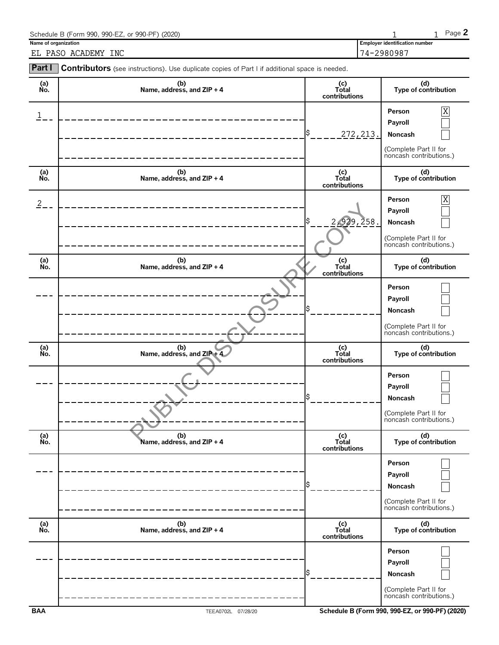|                                             | Schedule B (Form 990, 990-EZ, or 990-PF) (2020)                                                       |                               |                                                     | Page 2                                                          |
|---------------------------------------------|-------------------------------------------------------------------------------------------------------|-------------------------------|-----------------------------------------------------|-----------------------------------------------------------------|
| Name of organization<br>EL PASO ACADEMY INC |                                                                                                       |                               | <b>Employer identification number</b><br>74-2980987 |                                                                 |
| Part I                                      | <b>Contributors</b> (see instructions). Use duplicate copies of Part I if additional space is needed. |                               |                                                     |                                                                 |
| (a)<br>No.                                  | (b)<br>Name, address, and ZIP + 4                                                                     | (c)<br>Total<br>contributions |                                                     | (d)<br>Type of contribution                                     |
|                                             |                                                                                                       | \$                            | Person<br>Payroll<br>272, 213.<br>Noncash           | $\mathbf X$<br>(Complete Part II for<br>noncash contributions.) |
| (a)<br>No.                                  | (b)<br>Name, address, and $ZIP + 4$                                                                   | (c)<br>Total<br>contributions |                                                     | (d)<br>Type of contribution                                     |
| $\overline{2}$                              |                                                                                                       | \$                            | Person<br>Payroll<br>2,929,258.<br>Noncash          | X<br>(Complete Part II for<br>noncash contributions.)           |
| (a)                                         | (b)                                                                                                   | (c)                           |                                                     | (d)                                                             |

| No.              | Name, address, and $ZIP + 4$      | Total<br>contributions        | Type of contribution                                                                  |
|------------------|-----------------------------------|-------------------------------|---------------------------------------------------------------------------------------|
|                  |                                   | \$<br>272, 213.               | Χ<br>Person<br>Payroll<br>Noncash<br>(Complete Part II for<br>noncash contributions.) |
| (a)<br>No.       | (b)<br>Name, address, and ZIP + 4 | (c)<br>Total<br>contributions | (d)<br>Type of contribution                                                           |
| $\overline{2}$ . |                                   | \$<br>2,929,258.              | Χ<br>Person<br>Payroll<br>Noncash<br>(Complete Part II for<br>noncash contributions.) |
| (a)<br>No.       | (b)<br>Name, address, and ZIP + 4 | (c)<br>Total<br>contributions | (d)<br>Type of contribution                                                           |
|                  |                                   | Ś                             | Person<br>Payroll<br>Noncash<br>(Complete Part II for<br>noncash contributions.)      |
|                  |                                   |                               |                                                                                       |
| (a)<br>No.       | (b)<br>Name, address, and ZIP + 4 | (c)<br>Total<br>contributions | (d)<br>Type of contribution                                                           |
|                  |                                   | Ś                             | Person<br>Payroll<br>Noncash<br>(Complete Part II for<br>noncash contributions.)      |
| (a)<br>No.       | (b)<br>Name, address, and ZIP + 4 | (c)<br>Total<br>contributions | (d)<br>Type of contribution                                                           |
|                  |                                   | Ś                             | Person<br>Payroll<br>Noncash<br>(Complete Part II for<br>noncash contributions.)      |
| (a)<br>No.       | (b)<br>Name, address, and ZIP + 4 | (c)<br>Total<br>contributions | (d)<br>Type of contribution                                                           |
|                  |                                   | \$                            | Person<br>Payroll<br>Noncash<br>(Complete Part II for<br>noncash contributions.)      |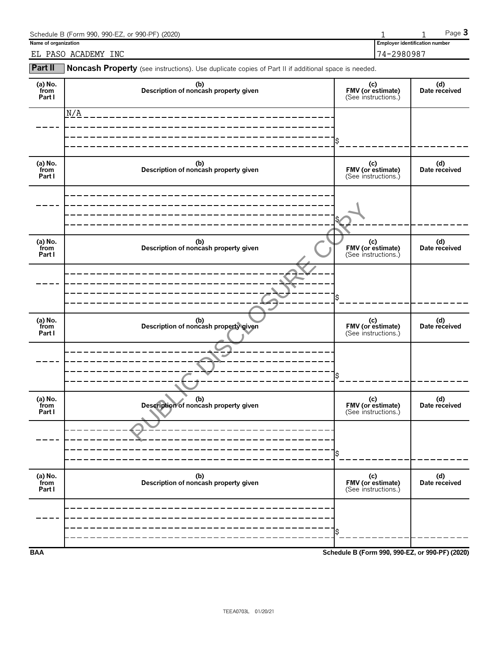| Schedule B (Form 990, 990-EZ, or 990-PF) (2020) |                                       | $P$ aqe $\bullet$ |
|-------------------------------------------------|---------------------------------------|-------------------|
| Name of organization                            | <b>Employer identification number</b> |                   |
| INC<br>ACADEMY<br>PASO<br>ΕL                    | 74-2980987                            |                   |

**Part II** Noncash Property (see instructions). Use duplicate copies of Part II if additional space is needed.

| (a) No.<br>from<br>Part I   | (b)<br>Description of noncash property given | (c)<br>FMV (or estimate)<br>(See instructions.) | (d)<br>Date received |
|-----------------------------|----------------------------------------------|-------------------------------------------------|----------------------|
|                             | N/A                                          |                                                 |                      |
|                             |                                              |                                                 |                      |
| $(a)$ No.<br>from<br>Part I | (b)<br>Description of noncash property given | (c)<br>FMV (or estimate)<br>(See instructions.) | (d)<br>Date received |
|                             |                                              |                                                 |                      |
| (a) No.<br>from<br>Part I   | (b)<br>Description of noncash property given | (c)<br>FMV (or estimate)<br>(See instructions.) | (d)<br>Date received |
|                             |                                              |                                                 |                      |
| (a) No.<br>from<br>Part I   | (b)<br>Description of noncash property given | (c)<br>FMV (or estimate)<br>(See instructions.) | (d)<br>Date received |
|                             |                                              |                                                 |                      |
| (a) $No.$ from<br>Part I    | (b)<br>Description of noncash property given | (c)<br>FMV (or estimate)<br>(See instructions.) | (d)<br>Date received |
|                             |                                              |                                                 |                      |
| (a) No.<br>from<br>Part I   | (b)<br>Description of noncash property given | (c)<br>FMV (or estimate)<br>(See instructions.) | (d)<br>Date received |
|                             |                                              |                                                 |                      |
| <b>BAA</b>                  |                                              | Schedule B (Form 990, 990-EZ, or 990-PF) (2020) |                      |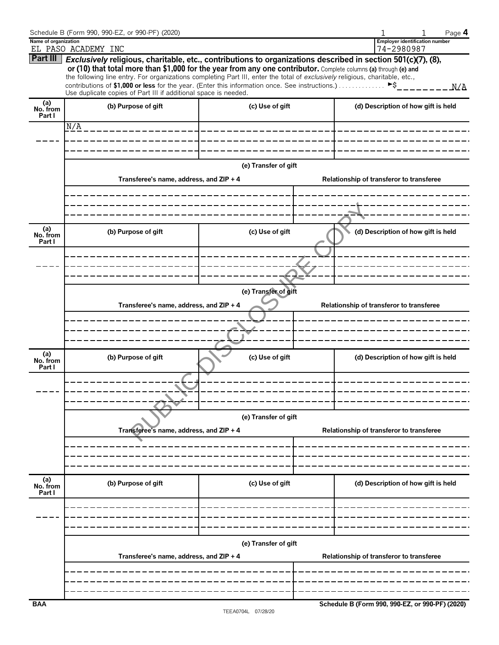|                           | Schedule B (Form 990, 990-EZ, or 990-PF) (2020)                                                                                                                                                                                                                                                                                                                                                                                                                                                                                                   |                       |  | Page 4                                              |  |  |
|---------------------------|---------------------------------------------------------------------------------------------------------------------------------------------------------------------------------------------------------------------------------------------------------------------------------------------------------------------------------------------------------------------------------------------------------------------------------------------------------------------------------------------------------------------------------------------------|-----------------------|--|-----------------------------------------------------|--|--|
| Name of organization      | EL PASO ACADEMY INC                                                                                                                                                                                                                                                                                                                                                                                                                                                                                                                               |                       |  | <b>Employer identification number</b><br>74-2980987 |  |  |
|                           | Part III   Exclusively religious, charitable, etc., contributions to organizations described in section 501(c)(7), (8),<br>or (10) that total more than \$1,000 for the year from any one contributor. Complete columns (a) through (e) and<br>the following line entry. For organizations completing Part III, enter the total of exclusively religious, charitable, etc.,<br>contributions of \$1,000 or less for the year. (Enter this information once. See instructions.)<br>Use duplicate copies of Part III if additional space is needed. |                       |  | ►Ŝ<br>N/A                                           |  |  |
| (a)<br>No. from           | (b) Purpose of gift                                                                                                                                                                                                                                                                                                                                                                                                                                                                                                                               | (c) Use of gift       |  | (d) Description of how gift is held                 |  |  |
| Part I                    | N/A                                                                                                                                                                                                                                                                                                                                                                                                                                                                                                                                               |                       |  |                                                     |  |  |
|                           |                                                                                                                                                                                                                                                                                                                                                                                                                                                                                                                                                   | _____________________ |  |                                                     |  |  |
|                           |                                                                                                                                                                                                                                                                                                                                                                                                                                                                                                                                                   |                       |  |                                                     |  |  |
|                           |                                                                                                                                                                                                                                                                                                                                                                                                                                                                                                                                                   | (e) Transfer of gift  |  |                                                     |  |  |
|                           | Transferee's name, address, and ZIP + 4                                                                                                                                                                                                                                                                                                                                                                                                                                                                                                           |                       |  | Relationship of transferor to transferee            |  |  |
|                           |                                                                                                                                                                                                                                                                                                                                                                                                                                                                                                                                                   |                       |  |                                                     |  |  |
|                           |                                                                                                                                                                                                                                                                                                                                                                                                                                                                                                                                                   |                       |  |                                                     |  |  |
| (a)<br>No. from<br>Part I | (b) Purpose of gift                                                                                                                                                                                                                                                                                                                                                                                                                                                                                                                               | (c) Use of gift       |  | (d) Description of how gift is held                 |  |  |
|                           |                                                                                                                                                                                                                                                                                                                                                                                                                                                                                                                                                   | $\frac{1}{2}$         |  |                                                     |  |  |
|                           |                                                                                                                                                                                                                                                                                                                                                                                                                                                                                                                                                   |                       |  |                                                     |  |  |
|                           | (e) Transfer of gift                                                                                                                                                                                                                                                                                                                                                                                                                                                                                                                              |                       |  |                                                     |  |  |
|                           | Transferee's name, address, and ZIP + 4<br>Relationship of transferor to transferee                                                                                                                                                                                                                                                                                                                                                                                                                                                               |                       |  |                                                     |  |  |
|                           |                                                                                                                                                                                                                                                                                                                                                                                                                                                                                                                                                   |                       |  |                                                     |  |  |
|                           |                                                                                                                                                                                                                                                                                                                                                                                                                                                                                                                                                   |                       |  |                                                     |  |  |
| (a)<br>No. from<br>Part I | (b) Purpose of gift                                                                                                                                                                                                                                                                                                                                                                                                                                                                                                                               | (c) Use of gift       |  | (d) Description of how gift is held                 |  |  |
|                           |                                                                                                                                                                                                                                                                                                                                                                                                                                                                                                                                                   |                       |  |                                                     |  |  |
|                           |                                                                                                                                                                                                                                                                                                                                                                                                                                                                                                                                                   |                       |  |                                                     |  |  |
|                           |                                                                                                                                                                                                                                                                                                                                                                                                                                                                                                                                                   |                       |  |                                                     |  |  |
|                           | (e) Transfer of gift<br>Transferee's name, address, and ZIP + 4                                                                                                                                                                                                                                                                                                                                                                                                                                                                                   |                       |  | Relationship of transferor to transferee            |  |  |
|                           |                                                                                                                                                                                                                                                                                                                                                                                                                                                                                                                                                   |                       |  |                                                     |  |  |
|                           |                                                                                                                                                                                                                                                                                                                                                                                                                                                                                                                                                   |                       |  |                                                     |  |  |
|                           |                                                                                                                                                                                                                                                                                                                                                                                                                                                                                                                                                   |                       |  |                                                     |  |  |
| (a)<br>No. from<br>Part I | (b) Purpose of gift                                                                                                                                                                                                                                                                                                                                                                                                                                                                                                                               | (c) Use of gift       |  | (d) Description of how gift is held                 |  |  |
|                           |                                                                                                                                                                                                                                                                                                                                                                                                                                                                                                                                                   |                       |  |                                                     |  |  |
|                           |                                                                                                                                                                                                                                                                                                                                                                                                                                                                                                                                                   |                       |  |                                                     |  |  |
|                           |                                                                                                                                                                                                                                                                                                                                                                                                                                                                                                                                                   |                       |  |                                                     |  |  |
|                           | (e) Transfer of gift<br>Transferee's name, address, and ZIP + 4                                                                                                                                                                                                                                                                                                                                                                                                                                                                                   |                       |  | Relationship of transferor to transferee            |  |  |
|                           |                                                                                                                                                                                                                                                                                                                                                                                                                                                                                                                                                   |                       |  |                                                     |  |  |
|                           |                                                                                                                                                                                                                                                                                                                                                                                                                                                                                                                                                   |                       |  |                                                     |  |  |
| <b>BAA</b>                |                                                                                                                                                                                                                                                                                                                                                                                                                                                                                                                                                   |                       |  | Schedule B (Form 990, 990-EZ, or 990-PF) (2020)     |  |  |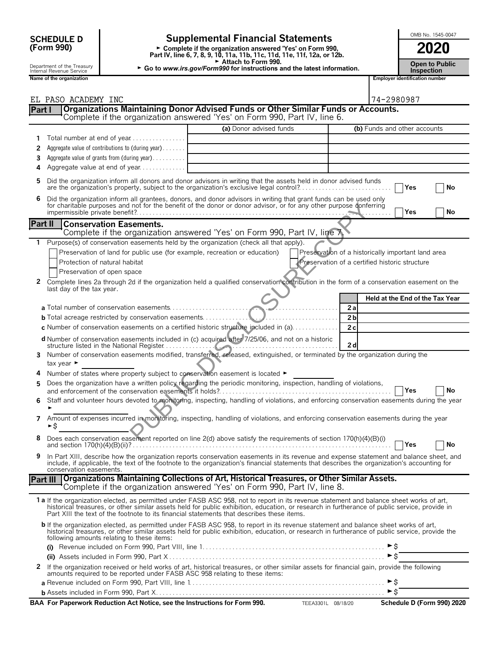| <b>SCHEDULE D</b> |  |
|-------------------|--|
| (Form 990)        |  |

# SCHEDULE D **Supplemental Financial Statements**<br>
Form 990) Form Physics of Form 990, Complete if the organization answered 'Yes' on Form 990,

**Part IV, line 6, 7, 8, 9, 10, 11a, 11b, 11c, 11d, 11e, 11f, 12a, or 12b.**<br>
Part IV, line 6, 7, 8, 9, 10, 11a, 11b, 11c, 11d, 11e, 11f, 12a, or 12b.

Attach to Form 990.

Department of the Treasury **Open to Public Comment of the Treasury Proper to Public Comment of the Treasury <b>Proper to Pu**<br>Inspection **Inspection Inspection** 

|  | OMB No. 1545-0047 |  |
|--|-------------------|--|
|  |                   |  |
|  |                   |  |

| <b>Open to Publi</b> |  |
|----------------------|--|
| Inconstion           |  |

|              | Name of the organization                                                                                                                                                                                                                                                                                                                                                                |                         |                                                | <b>Employer identification number</b>              |
|--------------|-----------------------------------------------------------------------------------------------------------------------------------------------------------------------------------------------------------------------------------------------------------------------------------------------------------------------------------------------------------------------------------------|-------------------------|------------------------------------------------|----------------------------------------------------|
|              |                                                                                                                                                                                                                                                                                                                                                                                         |                         |                                                |                                                    |
|              | EL PASO ACADEMY INC<br>Organizations Maintaining Donor Advised Funds or Other Similar Funds or Accounts.                                                                                                                                                                                                                                                                                |                         |                                                | 74-2980987                                         |
| Part I       | Complete if the organization answered 'Yes' on Form 990, Part IV, line 6.                                                                                                                                                                                                                                                                                                               |                         |                                                |                                                    |
|              |                                                                                                                                                                                                                                                                                                                                                                                         | (a) Donor advised funds |                                                | (b) Funds and other accounts                       |
| 1            |                                                                                                                                                                                                                                                                                                                                                                                         |                         |                                                |                                                    |
| 2            | Aggregate value of contributions to (during year)                                                                                                                                                                                                                                                                                                                                       |                         |                                                |                                                    |
| 3            | Aggregate value of grants from (during year)                                                                                                                                                                                                                                                                                                                                            |                         |                                                |                                                    |
| 4            | Aggregate value at end of year                                                                                                                                                                                                                                                                                                                                                          |                         |                                                |                                                    |
|              |                                                                                                                                                                                                                                                                                                                                                                                         |                         |                                                |                                                    |
| 5            | Did the organization inform all donors and donor advisors in writing that the assets held in donor advised funds<br>are the organization's property, subject to the organization's exclusive legal control?                                                                                                                                                                             |                         |                                                | Yes<br>No                                          |
| 6            | Did the organization inform all grantees, donors, and donor advisors in writing that grant funds can be used only<br>for charitable purposes and not for the benefit of the donor or donor advisor, or for any other purpose conferring                                                                                                                                                 |                         |                                                | Yes<br>No                                          |
|              | Part II<br><b>Conservation Easements.</b><br>Complete if the organization answered 'Yes' on Form 990, Part IV, line 7.                                                                                                                                                                                                                                                                  |                         |                                                |                                                    |
| 1            | Purpose(s) of conservation easements held by the organization (check all that apply).                                                                                                                                                                                                                                                                                                   |                         |                                                |                                                    |
|              | Preservation of land for public use (for example, recreation or education)                                                                                                                                                                                                                                                                                                              |                         |                                                | Preservation of a historically important land area |
|              | Protection of natural habitat                                                                                                                                                                                                                                                                                                                                                           |                         | Preservation of a certified historic structure |                                                    |
|              | Preservation of open space                                                                                                                                                                                                                                                                                                                                                              |                         |                                                |                                                    |
| $\mathbf{2}$ | Complete lines 2a through 2d if the organization held a qualified conservation contribution in the form of a conservation easement on the<br>last day of the tax year.                                                                                                                                                                                                                  |                         |                                                |                                                    |
|              |                                                                                                                                                                                                                                                                                                                                                                                         |                         |                                                | Held at the End of the Tax Year                    |
|              |                                                                                                                                                                                                                                                                                                                                                                                         |                         | 2a                                             |                                                    |
|              | <b>b</b> Total acreage restricted by conservation easements                                                                                                                                                                                                                                                                                                                             |                         | 2 <sub>b</sub><br>.                            |                                                    |
|              | c Number of conservation easements on a certified historic structure included in (a)                                                                                                                                                                                                                                                                                                    |                         | 2c                                             |                                                    |
|              | d Number of conservation easements included in (c) acquired after 7/25/06, and not on a historic<br>structure listed in the National Register                                                                                                                                                                                                                                           |                         | 2d                                             |                                                    |
| 3            | Number of conservation easements modified, transferred, released, extinguished, or terminated by the organization during the<br>tax year $\blacktriangleright$                                                                                                                                                                                                                          |                         |                                                |                                                    |
| 4            | Number of states where property subject to conservation easement is located ►                                                                                                                                                                                                                                                                                                           |                         |                                                |                                                    |
| 5            | Does the organization have a written policy regarding the periodic monitoring, inspection, handling of violations,                                                                                                                                                                                                                                                                      |                         |                                                | No<br>Yes                                          |
|              | Staff and volunteer hours devoted to monitoring, inspecting, handling of violations, and enforcing conservation easements during the year                                                                                                                                                                                                                                               |                         |                                                |                                                    |
| 7            | Amount of expenses incurred in monitoring, inspecting, handling of violations, and enforcing conservation easements during the year<br>►\$                                                                                                                                                                                                                                              |                         |                                                |                                                    |
|              | Does each conservation easement reported on line 2(d) above satisfy the requirements of section 170(h)(4)(B)(i)                                                                                                                                                                                                                                                                         |                         |                                                | No<br>Yes                                          |
| 9            | In Part XIII, describe how the organization reports conservation easements in its revenue and expense statement and balance sheet, and<br>include, if applicable, the text of the footnote to the organization's financial statements that describes the organization's accounting for<br>conservation easements.                                                                       |                         |                                                |                                                    |
|              | Organizations Maintaining Collections of Art, Historical Treasures, or Other Similar Assets.<br>Part III<br>Complete if the organization answered 'Yes' on Form 990, Part IV, line 8.                                                                                                                                                                                                   |                         |                                                |                                                    |
|              | 1 a If the organization elected, as permitted under FASB ASC 958, not to report in its revenue statement and balance sheet works of art,<br>historical treasures, or other similar assets held for public exhibition, education, or research in furtherance of public service, provide in<br>Part XIII the text of the footnote to its financial statements that describes these items. |                         |                                                |                                                    |
|              | b If the organization elected, as permitted under FASB ASC 958, to report in its revenue statement and balance sheet works of art,<br>historical treasures, or other similar assets held for public exhibition, education, or research in furtherance of public service, provide the<br>following amounts relating to these items:                                                      |                         |                                                |                                                    |
|              |                                                                                                                                                                                                                                                                                                                                                                                         |                         |                                                | $\blacktriangleright$ \$                           |
|              |                                                                                                                                                                                                                                                                                                                                                                                         |                         |                                                | $\triangleright$ \$                                |
| 2            | If the organization received or held works of art, historical treasures, or other similar assets for financial gain, provide the following<br>amounts required to be reported under FASB ASC 958 relating to these items:                                                                                                                                                               |                         |                                                |                                                    |
|              |                                                                                                                                                                                                                                                                                                                                                                                         |                         |                                                | $\triangleright$ \$                                |
|              |                                                                                                                                                                                                                                                                                                                                                                                         |                         |                                                | $\triangleright$ \$                                |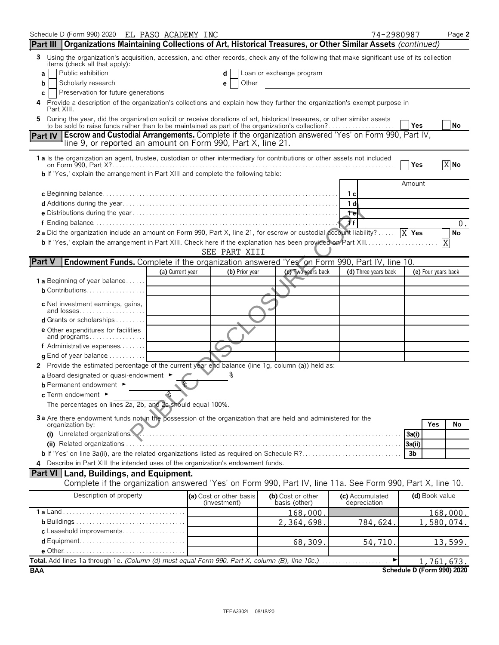| Schedule D (Form 990) 2020 EL PASO ACADEMY INC                                                                                                                                                                                    |                  |                                         |                                    | 74-2980987                      |                            | Page 2     |
|-----------------------------------------------------------------------------------------------------------------------------------------------------------------------------------------------------------------------------------|------------------|-----------------------------------------|------------------------------------|---------------------------------|----------------------------|------------|
| Organizations Maintaining Collections of Art, Historical Treasures, or Other Similar Assets (continued)<br><b>Part III</b>                                                                                                        |                  |                                         |                                    |                                 |                            |            |
| Using the organization's acquisition, accession, and other records, check any of the following that make significant use of its collection<br>3<br>items (check all that apply):                                                  |                  |                                         |                                    |                                 |                            |            |
| Public exhibition<br>a                                                                                                                                                                                                            |                  |                                         | Loan or exchange program           |                                 |                            |            |
| Scholarly research<br>b                                                                                                                                                                                                           |                  | Other<br>е                              |                                    |                                 |                            |            |
| Preservation for future generations<br>С                                                                                                                                                                                          |                  |                                         |                                    |                                 |                            |            |
| Provide a description of the organization's collections and explain how they further the organization's exempt purpose in<br>4<br>Part XIII.                                                                                      |                  |                                         |                                    |                                 |                            |            |
| During the year, did the organization solicit or receive donations of art, historical treasures, or other similar assets<br>5<br>to be sold to raise funds rather than to be maintained as part of the organization's collection? |                  |                                         |                                    |                                 | Yes                        | No         |
| <b>Escrow and Custodial Arrangements.</b> Complete if the organization answered 'Yes' on Form 990, Part IV,<br><b>Part IV</b><br>line 9, or reported an amount on Form 990, Part X, line 21.                                      |                  |                                         |                                    |                                 |                            |            |
| 1 a Is the organization an agent, trustee, custodian or other intermediary for contributions or other assets not included                                                                                                         |                  |                                         |                                    |                                 | Yes                        | X No       |
| b If 'Yes,' explain the arrangement in Part XIII and complete the following table:                                                                                                                                                |                  |                                         |                                    |                                 |                            |            |
|                                                                                                                                                                                                                                   |                  |                                         |                                    |                                 | Amount                     |            |
|                                                                                                                                                                                                                                   |                  |                                         |                                    | 1с                              |                            |            |
|                                                                                                                                                                                                                                   |                  |                                         |                                    | 1 di                            |                            |            |
|                                                                                                                                                                                                                                   |                  |                                         |                                    | 1 <sub>e</sub>                  |                            |            |
|                                                                                                                                                                                                                                   |                  |                                         |                                    | Æf.                             |                            | 0.         |
| 2a Did the organization include an amount on Form 990, Part X, line 21, for escrow or custodial account liability? $[\overline{X}]$ Yes                                                                                           |                  |                                         |                                    |                                 |                            | No         |
| b If 'Yes,' explain the arrangement in Part XIII. Check here if the explanation has been provided on Part XIII                                                                                                                    |                  | SEE PART XIII                           |                                    |                                 |                            | X          |
| <b>Part V</b><br><b>Endowment Funds.</b> Complete if the organization answered 'Yes' on Form 990, Part IV, line 10.                                                                                                               |                  |                                         |                                    |                                 |                            |            |
|                                                                                                                                                                                                                                   | (a) Current year | (b) Prior year                          | (c) Two years back                 | (d) Three years back            | (e) Four years back        |            |
| <b>1 a</b> Beginning of year balance                                                                                                                                                                                              |                  |                                         |                                    |                                 |                            |            |
| <b>b</b> Contributions. $\ldots \ldots \ldots \ldots \ldots$                                                                                                                                                                      |                  |                                         |                                    |                                 |                            |            |
| c Net investment earnings, gains,<br>and losses                                                                                                                                                                                   |                  |                                         |                                    |                                 |                            |            |
| <b>d</b> Grants or scholarships $\ldots \ldots$                                                                                                                                                                                   |                  |                                         |                                    |                                 |                            |            |
| <b>e</b> Other expenditures for facilities<br>and programs                                                                                                                                                                        |                  |                                         |                                    |                                 |                            |            |
| f Administrative expenses                                                                                                                                                                                                         |                  |                                         |                                    |                                 |                            |            |
| $q$ End of year balance $\ldots \ldots \ldots$                                                                                                                                                                                    |                  |                                         |                                    |                                 |                            |            |
| 2 Provide the estimated percentage of the current year end balance (line 1g, column (a)) held as:                                                                                                                                 |                  |                                         |                                    |                                 |                            |            |
| a Board designated or quasi-endowment ►                                                                                                                                                                                           |                  |                                         |                                    |                                 |                            |            |
| <b>b</b> Permanent endowment $\blacktriangleright$                                                                                                                                                                                |                  |                                         |                                    |                                 |                            |            |
| $_{\rm c}$ Term endowment $\,$                                                                                                                                                                                                    | $\infty$         |                                         |                                    |                                 |                            |            |
| The percentages on lines 2a, 2b, and 2c should equal 100%.                                                                                                                                                                        |                  |                                         |                                    |                                 |                            |            |
| 3a Are there endowment funds not in the possession of the organization that are held and administered for the                                                                                                                     |                  |                                         |                                    |                                 |                            |            |
| organization by:<br>(i) Unrelated organizations.                                                                                                                                                                                  |                  |                                         |                                    |                                 | Yes                        | No         |
|                                                                                                                                                                                                                                   |                  |                                         |                                    |                                 | 3a(i)                      |            |
|                                                                                                                                                                                                                                   |                  |                                         |                                    |                                 | 3a(ii)<br>3b               |            |
| 4 Describe in Part XIII the intended uses of the organization's endowment funds.                                                                                                                                                  |                  |                                         |                                    |                                 |                            |            |
| Part VI   Land, Buildings, and Equipment.                                                                                                                                                                                         |                  |                                         |                                    |                                 |                            |            |
| Complete if the organization answered 'Yes' on Form 990, Part IV, line 11a. See Form 990, Part X, line 10.                                                                                                                        |                  |                                         |                                    |                                 |                            |            |
| Description of property                                                                                                                                                                                                           |                  | (a) Cost or other basis<br>(investment) | (b) Cost or other<br>basis (other) | (c) Accumulated<br>depreciation | (d) Book value             |            |
|                                                                                                                                                                                                                                   |                  |                                         | 168,000.                           |                                 |                            | 168,000.   |
|                                                                                                                                                                                                                                   |                  |                                         | 2,364,698.                         | 784,624.                        |                            | 1,580,074. |
| c Leasehold improvements                                                                                                                                                                                                          |                  |                                         |                                    |                                 |                            |            |
|                                                                                                                                                                                                                                   |                  |                                         | 68,309.                            | 54,710.                         |                            | 13,599.    |
|                                                                                                                                                                                                                                   |                  |                                         |                                    |                                 |                            |            |
|                                                                                                                                                                                                                                   |                  |                                         |                                    | ▶                               |                            | 1,761,673. |
| BAA                                                                                                                                                                                                                               |                  |                                         |                                    |                                 | Schedule D (Form 990) 2020 |            |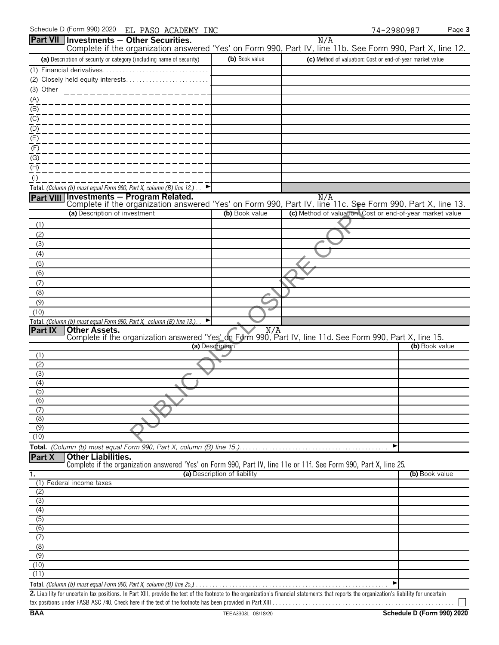| Schedule D (Form 990) 2020<br>EL PASO ACADEMY INC                                                                                                                                           |                              |                                                           | 74-2980987     | Page 3 |
|---------------------------------------------------------------------------------------------------------------------------------------------------------------------------------------------|------------------------------|-----------------------------------------------------------|----------------|--------|
| Part VII Investments - Other Securities.                                                                                                                                                    |                              | N/A                                                       |                |        |
| Complete if the organization answered 'Yes' on Form 990, Part IV, line 11b. See Form 990, Part X, line 12.<br>(a) Description of security or category (including name of security)          | (b) Book value               | (c) Method of valuation: Cost or end-of-year market value |                |        |
| (1) Financial derivatives                                                                                                                                                                   |                              |                                                           |                |        |
| (2) Closely held equity interests                                                                                                                                                           |                              |                                                           |                |        |
| (3) Other                                                                                                                                                                                   |                              |                                                           |                |        |
|                                                                                                                                                                                             |                              |                                                           |                |        |
| $\frac{(A)}{(B)}$                                                                                                                                                                           |                              |                                                           |                |        |
| $\underline{(C)}$                                                                                                                                                                           |                              |                                                           |                |        |
| (D)                                                                                                                                                                                         |                              |                                                           |                |        |
| $\overline{E)}$                                                                                                                                                                             |                              |                                                           |                |        |
| (F)                                                                                                                                                                                         |                              |                                                           |                |        |
| (G)<br>(H)                                                                                                                                                                                  |                              |                                                           |                |        |
| $($ l $)$                                                                                                                                                                                   |                              |                                                           |                |        |
| Total. (Column (b) must equal Form 990, Part X, column (B) line 12.) $\Box$                                                                                                                 |                              |                                                           |                |        |
| Part VIII Investments - Program Related.                                                                                                                                                    |                              | N/A                                                       |                |        |
| Complete if the organization answered 'Yes' on Form 990, Part IV, line 11c. See Form 990, Part X, line 13.                                                                                  |                              |                                                           |                |        |
| (a) Description of investment                                                                                                                                                               | (b) Book value               | (c) Method of valuation: Cost or end-of-year market value |                |        |
| (1)<br>(2)                                                                                                                                                                                  |                              |                                                           |                |        |
| (3)                                                                                                                                                                                         |                              |                                                           |                |        |
| (4)                                                                                                                                                                                         |                              |                                                           |                |        |
| (5)                                                                                                                                                                                         |                              |                                                           |                |        |
| (6)                                                                                                                                                                                         |                              |                                                           |                |        |
| (7)                                                                                                                                                                                         |                              |                                                           |                |        |
| (8)                                                                                                                                                                                         |                              |                                                           |                |        |
| (9)                                                                                                                                                                                         |                              |                                                           |                |        |
| (10)<br>Total. (Column (b) must equal Form 990, Part X, column (B) line 13.).<br>▶                                                                                                          |                              |                                                           |                |        |
| <b>Other Assets.</b><br>Part IX<br>Other Assets.<br>Complete if the organization answered 'Yes' on Form 990, Part IV, line 11d. See Form 990, Part X, line 15.                              |                              |                                                           |                |        |
|                                                                                                                                                                                             |                              |                                                           |                |        |
| (a) Description<br>(1)                                                                                                                                                                      |                              |                                                           | (b) Book value |        |
| (2)                                                                                                                                                                                         |                              |                                                           |                |        |
| (3)                                                                                                                                                                                         |                              |                                                           |                |        |
| (4)                                                                                                                                                                                         |                              |                                                           |                |        |
| (5)<br>(6)                                                                                                                                                                                  |                              |                                                           |                |        |
| (7)                                                                                                                                                                                         |                              |                                                           |                |        |
| (8)                                                                                                                                                                                         |                              |                                                           |                |        |
| (9)                                                                                                                                                                                         |                              |                                                           |                |        |
| (10)                                                                                                                                                                                        |                              |                                                           |                |        |
|                                                                                                                                                                                             |                              |                                                           |                |        |
| <b>Other Liabilities.</b><br>Part X<br>Complete if the organization answered 'Yes' on Form 990, Part IV, line 11e or 11f. See Form 990, Part X, line 25.                                    |                              |                                                           |                |        |
| 1.                                                                                                                                                                                          | (a) Description of liability |                                                           | (b) Book value |        |
| (1) Federal income taxes                                                                                                                                                                    |                              |                                                           |                |        |
| (2)                                                                                                                                                                                         |                              |                                                           |                |        |
| (3)<br>(4)                                                                                                                                                                                  |                              |                                                           |                |        |
| (5)                                                                                                                                                                                         |                              |                                                           |                |        |
| (6)                                                                                                                                                                                         |                              |                                                           |                |        |
| (7)                                                                                                                                                                                         |                              |                                                           |                |        |
| (8)                                                                                                                                                                                         |                              |                                                           |                |        |
| (9)<br>(10)                                                                                                                                                                                 |                              |                                                           |                |        |
| (11)                                                                                                                                                                                        |                              |                                                           |                |        |
|                                                                                                                                                                                             |                              |                                                           |                |        |
| 2. Liability for uncertain tay positions, In Part XIII, provide the text of the footpote to the organization's financial statements that reports the organization's liability for uncertain |                              |                                                           |                |        |

| 2. Liability for uncertain tax positions. In Part XIII, provide the text of the footnote to the organization's financial statements that reports the organization's liability for uncertain |  |
|---------------------------------------------------------------------------------------------------------------------------------------------------------------------------------------------|--|
| tax positions under FASB ASC 740. Check here if the text of the footnote has been provided in Part XIII $\dots \dots \dots$                                                                 |  |

 $\Box$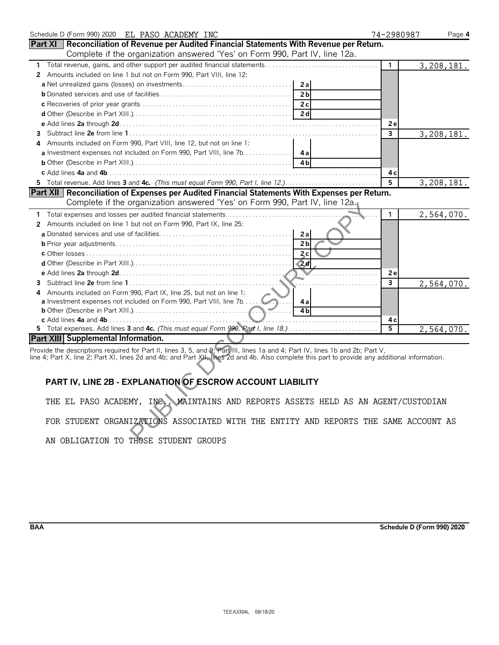| Schedule D (Form 990) 2020 EL PASO ACADEMY INC                                                                                                                                                                                 | 74-2980987   | Page 4       |
|--------------------------------------------------------------------------------------------------------------------------------------------------------------------------------------------------------------------------------|--------------|--------------|
| Part XI   Reconciliation of Revenue per Audited Financial Statements With Revenue per Return.                                                                                                                                  |              |              |
| Complete if the organization answered 'Yes' on Form 990, Part IV, line 12a.                                                                                                                                                    |              |              |
| Total revenue, gains, and other support per audited financial statements                                                                                                                                                       | $\mathbf{1}$ | 3, 208, 181. |
| Amounts included on line 1 but not on Form 990, Part VIII, line 12:<br>$\mathbf{2}$                                                                                                                                            |              |              |
| 2a                                                                                                                                                                                                                             |              |              |
| 2 <sub>b</sub>                                                                                                                                                                                                                 |              |              |
| 2c                                                                                                                                                                                                                             |              |              |
| 2d                                                                                                                                                                                                                             |              |              |
|                                                                                                                                                                                                                                | 2e           |              |
| 3                                                                                                                                                                                                                              | 3            | 3, 208, 181. |
| Amounts included on Form 990, Part VIII, line 12, but not on line 1:                                                                                                                                                           |              |              |
| a Investment expenses not included on Form 990, Part VIII, line 7b.<br>4а                                                                                                                                                      |              |              |
| 4 <sub>h</sub>                                                                                                                                                                                                                 |              |              |
|                                                                                                                                                                                                                                | 4 c          |              |
| 5 Total revenue. Add lines 3 and 4c. (This must equal Form 990, Part I, line 12.)                                                                                                                                              | 5            | 3,208,181.   |
| Part XII   Reconciliation of Expenses per Audited Financial Statements With Expenses per Return.                                                                                                                               |              |              |
| Complete if the organization answered 'Yes' on Form 990, Part IV, line 12a.                                                                                                                                                    |              |              |
| Total expenses and losses per audited financial statements<br>1.                                                                                                                                                               | $\mathbf{1}$ | 2,564,070.   |
| Amounts included on line 1 but not on Form 990, Part IX, line 25:<br>2                                                                                                                                                         |              |              |
| 2a                                                                                                                                                                                                                             |              |              |
| 2 <sub>b</sub>                                                                                                                                                                                                                 |              |              |
| 2c                                                                                                                                                                                                                             |              |              |
| $\sqrt{2}d$                                                                                                                                                                                                                    |              |              |
|                                                                                                                                                                                                                                | 2e           |              |
| 3                                                                                                                                                                                                                              | 3            | 2,564,070.   |
| Amounts included on Form 990, Part IX, line 25, but not on line 1:                                                                                                                                                             |              |              |
| <b>a</b> Investment expenses not included on Form 990, Part VIII, line 7b<br>4a                                                                                                                                                |              |              |
| 4 <sub>b</sub>                                                                                                                                                                                                                 |              |              |
|                                                                                                                                                                                                                                | 4с           |              |
| 5 Total expenses. Add lines 3 and 4c. (This must equal Form 990, Rart I, line 18.)                                                                                                                                             | 5            | 2,564,070.   |
| <b>Part XIII Supplemental Information.</b>                                                                                                                                                                                     |              |              |
| Provide the descriptions required for Part II, lines 3, 5, and 9; Part III, lines 1a and 4; Part IV, lines 1b and 2b; Part V, line 2; Part XI, lines 2d and 4b; and Part XII, lines 2d and Part XII, lines 2d and 4b. Also com |              |              |
|                                                                                                                                                                                                                                |              |              |
|                                                                                                                                                                                                                                |              |              |
| PART IV, LINE 2B - EXPLANATION OF ESCROW ACCOUNT LIABILITY                                                                                                                                                                     |              |              |
|                                                                                                                                                                                                                                |              |              |
| THE EL PASO ACADEMY, INC. MAINTAINS AND REPORTS ASSETS HELD AS AN AGENT/CUSTODIAN                                                                                                                                              |              |              |
|                                                                                                                                                                                                                                |              |              |
| FOR STUDENT ORGANIZATIONS ASSOCIATED WITH THE ENTITY AND REPORTS THE SAME ACCOUNT AS                                                                                                                                           |              |              |
|                                                                                                                                                                                                                                |              |              |
| AN ORITOATION TO THOCE CTUDENT CROUDS                                                                                                                                                                                          |              |              |

## line 4; Part X, line 2; Part XI, lines 2d and 4b; and Part XII, lines 2d and 4b. Also complete this part to provide any additional information.

# **PART IV, LINE 2B - EXPLANATION OF ESCROW ACCOUNT LIABILITY**

**BAA Schedule D (Form 990) 2020**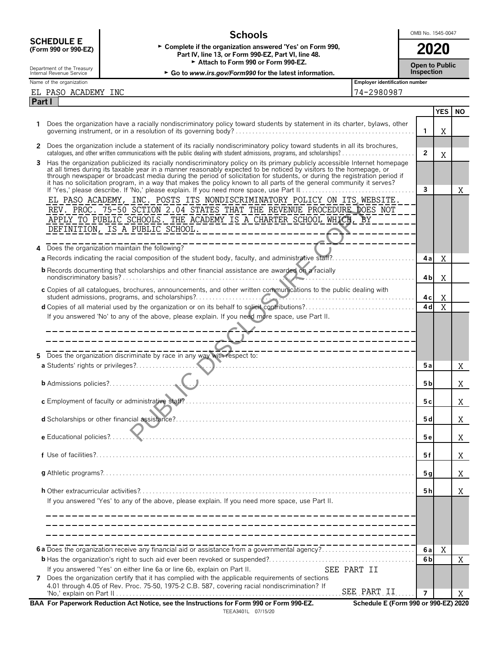|                                                                                                                                                                                                      | <b>Schools</b>                                                                                                                                                                                                                                                                                                                                                                |                                       | OMB No. 1545-0047 |                               |     |  |
|------------------------------------------------------------------------------------------------------------------------------------------------------------------------------------------------------|-------------------------------------------------------------------------------------------------------------------------------------------------------------------------------------------------------------------------------------------------------------------------------------------------------------------------------------------------------------------------------|---------------------------------------|-------------------|-------------------------------|-----|--|
| <b>SCHEDULE E</b><br>► Complete if the organization answered 'Yes' on Form 990,<br>(Form 990 or 990-EZ)<br>Part IV, line 13, or Form 990-EZ, Part VI, line 48.<br>Attach to Form 990 or Form 990-EZ. |                                                                                                                                                                                                                                                                                                                                                                               |                                       |                   | 2020<br><b>Open to Public</b> |     |  |
| Department of the Treasury<br>Internal Revenue Service                                                                                                                                               | ► Go to www.irs.gov/Form990 for the latest information.                                                                                                                                                                                                                                                                                                                       |                                       | Inspection        |                               |     |  |
| Name of the organization                                                                                                                                                                             |                                                                                                                                                                                                                                                                                                                                                                               | <b>Employer identification number</b> |                   |                               |     |  |
| EL PASO ACADEMY INC<br>Part I                                                                                                                                                                        |                                                                                                                                                                                                                                                                                                                                                                               | 74-2980987                            |                   |                               |     |  |
|                                                                                                                                                                                                      |                                                                                                                                                                                                                                                                                                                                                                               |                                       |                   | <b>YES</b>                    | NO. |  |
| 1.                                                                                                                                                                                                   | Does the organization have a racially nondiscriminatory policy toward students by statement in its charter, bylaws, other                                                                                                                                                                                                                                                     |                                       | 1                 | X                             |     |  |
|                                                                                                                                                                                                      | 2 Does the organization include a statement of its racially nondiscriminatory policy toward students in all its brochures,                                                                                                                                                                                                                                                    |                                       | $\overline{2}$    |                               |     |  |
| 3                                                                                                                                                                                                    | Has the organization publicized its racially nondiscriminatory policy on its primary publicly accessible Internet homepage<br>at all times during its taxable year in a manner reasonably expected to be noticed by visitors to the homepage, or<br>through newspaper or broadcast media during the period of solicitation for students, or during the registration period if |                                       |                   | X                             |     |  |
|                                                                                                                                                                                                      | it has no solicitation program, in a way that makes the policy known to all parts of the general community it serves?                                                                                                                                                                                                                                                         |                                       | 3                 |                               | Χ   |  |
|                                                                                                                                                                                                      | EL PASO ACADEMY, INC. POSTS ITS NONDISCRIMINATORY POLICY ON ITS WEBSITE.<br>REV. PROC. 75-50 SCTION 2.04 STATES THAT THE REVENUE PROCEDURE DOES NOT                                                                                                                                                                                                                           |                                       |                   |                               |     |  |
|                                                                                                                                                                                                      | APPLY TO PUBLIC SCHOOLS. THE ACADEMY IS A CHARTER SCHOOL WHICH, BY                                                                                                                                                                                                                                                                                                            |                                       |                   |                               |     |  |
| 4                                                                                                                                                                                                    | ______________________<br>Does the organization maintain the following?                                                                                                                                                                                                                                                                                                       |                                       |                   |                               |     |  |
|                                                                                                                                                                                                      |                                                                                                                                                                                                                                                                                                                                                                               |                                       | 4 a               | X                             |     |  |
|                                                                                                                                                                                                      | <b>b</b> Records documenting that scholarships and other financial assistance are awarded on a racially                                                                                                                                                                                                                                                                       |                                       | 4b                | X                             |     |  |
|                                                                                                                                                                                                      | c Copies of all catalogues, brochures, announcements, and other written communications to the public dealing with                                                                                                                                                                                                                                                             |                                       | 4 c               | Χ                             |     |  |
|                                                                                                                                                                                                      |                                                                                                                                                                                                                                                                                                                                                                               |                                       | 4d                | X                             |     |  |
|                                                                                                                                                                                                      | If you answered 'No' to any of the above, please explain. If you need more space, use Part II.                                                                                                                                                                                                                                                                                |                                       |                   |                               |     |  |
|                                                                                                                                                                                                      | 4---------------------------<br>____________________________                                                                                                                                                                                                                                                                                                                  |                                       |                   |                               |     |  |
|                                                                                                                                                                                                      | -------------------------                                                                                                                                                                                                                                                                                                                                                     |                                       |                   |                               |     |  |
| 5.                                                                                                                                                                                                   | $\frac{1}{2}$ Does the organization discriminate by race in any way with respect to:                                                                                                                                                                                                                                                                                          |                                       |                   |                               |     |  |
|                                                                                                                                                                                                      | a Students' rights or privileges?                                                                                                                                                                                                                                                                                                                                             |                                       | 5a                |                               | X   |  |
|                                                                                                                                                                                                      | <b>b</b> Admissions policies?                                                                                                                                                                                                                                                                                                                                                 |                                       | 5 <sub>b</sub>    |                               | Χ   |  |
|                                                                                                                                                                                                      |                                                                                                                                                                                                                                                                                                                                                                               |                                       | 5 c               |                               | X   |  |
|                                                                                                                                                                                                      |                                                                                                                                                                                                                                                                                                                                                                               |                                       | 5 d               |                               | X   |  |
| e Educational policies?.                                                                                                                                                                             |                                                                                                                                                                                                                                                                                                                                                                               |                                       | 5 e               |                               | X   |  |
|                                                                                                                                                                                                      |                                                                                                                                                                                                                                                                                                                                                                               |                                       | 5 f               |                               | X   |  |
|                                                                                                                                                                                                      |                                                                                                                                                                                                                                                                                                                                                                               |                                       | 5 <sub>g</sub>    |                               | X   |  |
|                                                                                                                                                                                                      | If you answered 'Yes' to any of the above, please explain. If you need more space, use Part II.                                                                                                                                                                                                                                                                               |                                       | 5 h               |                               | X   |  |
|                                                                                                                                                                                                      |                                                                                                                                                                                                                                                                                                                                                                               |                                       |                   |                               |     |  |
|                                                                                                                                                                                                      |                                                                                                                                                                                                                                                                                                                                                                               |                                       |                   |                               |     |  |
|                                                                                                                                                                                                      |                                                                                                                                                                                                                                                                                                                                                                               |                                       | 6a                | Χ                             |     |  |
|                                                                                                                                                                                                      |                                                                                                                                                                                                                                                                                                                                                                               |                                       | 6 <sub>b</sub>    |                               | X   |  |
| 7                                                                                                                                                                                                    | If you answered 'Yes' on either line 6a or line 6b, explain on Part II.<br>Does the organization certify that it has complied with the applicable requirements of sections                                                                                                                                                                                                    | SEE PART II                           |                   |                               |     |  |
|                                                                                                                                                                                                      | 4.01 through 4.05 of Rev. Proc. 75-50, 1975-2 C.B. 587, covering racial nondiscrimination? If                                                                                                                                                                                                                                                                                 | SEE PART II                           | 7                 |                               | X   |  |
|                                                                                                                                                                                                      | BAA For Paperwork Reduction Act Notice, see the Instructions for Form 990 or Form 990-EZ.                                                                                                                                                                                                                                                                                     | Schedule E (Form 990 or 990-EZ) 2020  |                   |                               |     |  |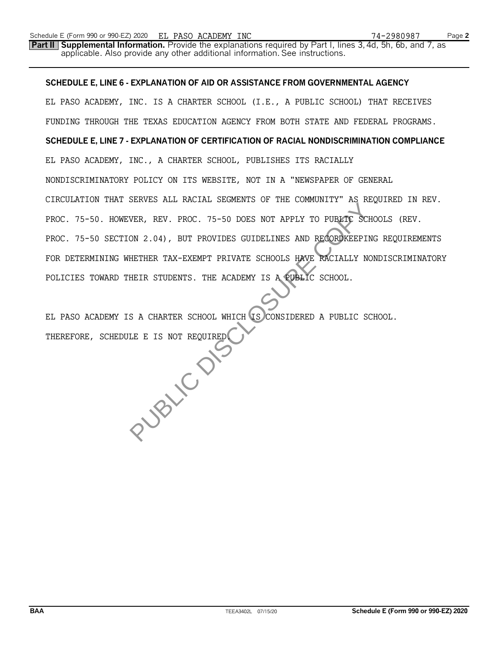**Part II Supplemental Information.** Provide the explanations required by Part I, lines 3, 4d, 5h, 6b, and 7, as applicable. Also provide any other additional information. See instructions.

# **SCHEDULE E, LINE 6 - EXPLANATION OF AID OR ASSISTANCE FROM GOVERNMENTAL AGENCY**

EL PASO ACADEMY, INC. IS A CHARTER SCHOOL (I.E., A PUBLIC SCHOOL) THAT RECEIVES FUNDING THROUGH THE TEXAS EDUCATION AGENCY FROM BOTH STATE AND FEDERAL PROGRAMS. **SCHEDULE E, LINE 7 - EXPLANATION OF CERTIFICATION OF RACIAL NONDISCRIMINATION COMPLIANCE** EL PASO ACADEMY, INC., A CHARTER SCHOOL, PUBLISHES ITS RACIALLY NONDISCRIMINATORY POLICY ON ITS WEBSITE, NOT IN A "NEWSPAPER OF GENERAL CIRCULATION THAT SERVES ALL RACIAL SEGMENTS OF THE COMMUNITY" AS REQUIRED IN REV. PROC. 75-50. HOWEVER, REV. PROC. 75-50 DOES NOT APPLY TO PUBLIC SCHOOLS (REV. PROC. 75-50 SECTION 2.04), BUT PROVIDES GUIDELINES AND RECORDKEEPING REQUIREMENTS FOR DETERMINING WHETHER TAX-EXEMPT PRIVATE SCHOOLS HAVE RACIALLY NONDISCRIMINATORY POLICIES TOWARD THEIR STUDENTS. THE ACADEMY IS A PUBLIC SCHOOL.

EL PASO ACADEMY IS A CHARTER SCHOOL WHICH IS CONSIDERED A PUBLIC SCHOOL. THEREFORE, SCHEDULE E IS NOT REQUIRED. PUBLIC DISC